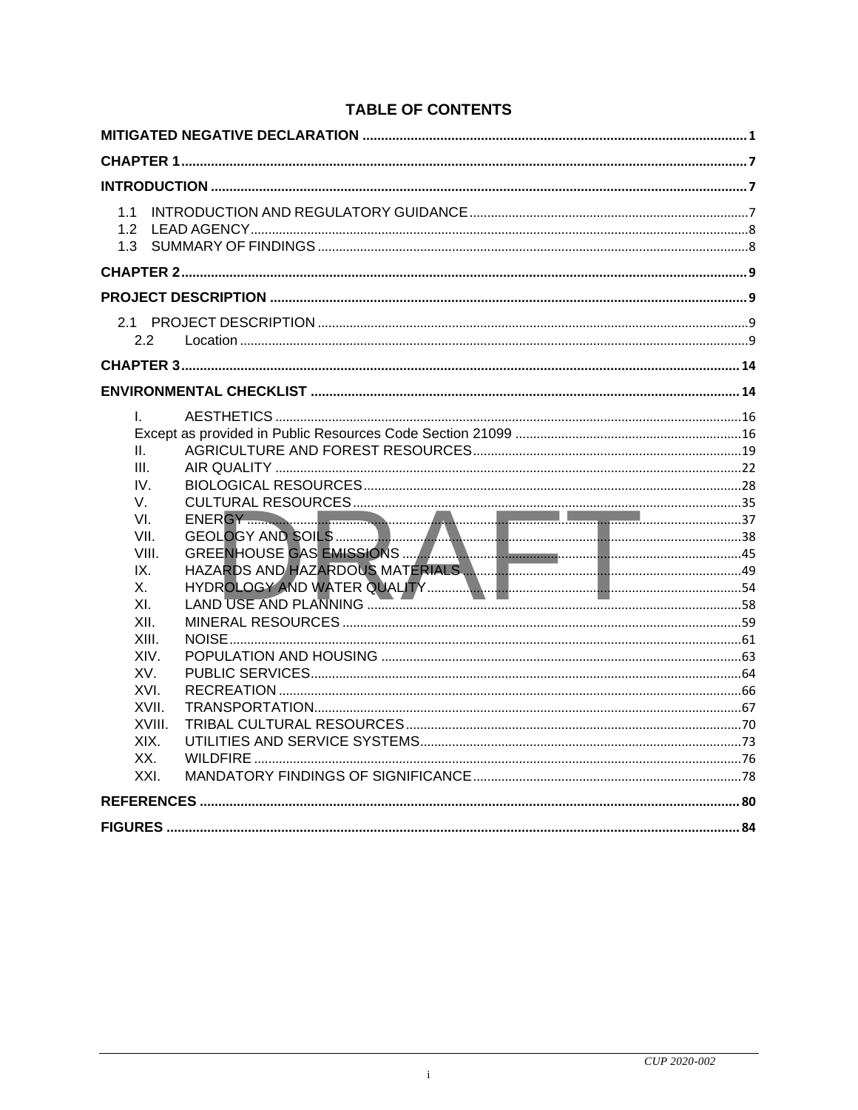| 1.1                                                                                                              |  |
|------------------------------------------------------------------------------------------------------------------|--|
|                                                                                                                  |  |
|                                                                                                                  |  |
| $2.2^{\circ}$                                                                                                    |  |
|                                                                                                                  |  |
|                                                                                                                  |  |
| II.<br>III.<br>IV.<br>V.<br>VI.<br>VII.<br>VIII.<br>IX.<br>$X_{-}$<br>XI.<br>XII<br>XIII.<br>XIV.<br>XV.<br>XVI. |  |
| XVII.<br>XVIII.<br>XIX.<br>XX.<br>XXI.                                                                           |  |
|                                                                                                                  |  |
|                                                                                                                  |  |

# **TABLE OF CONTENTS**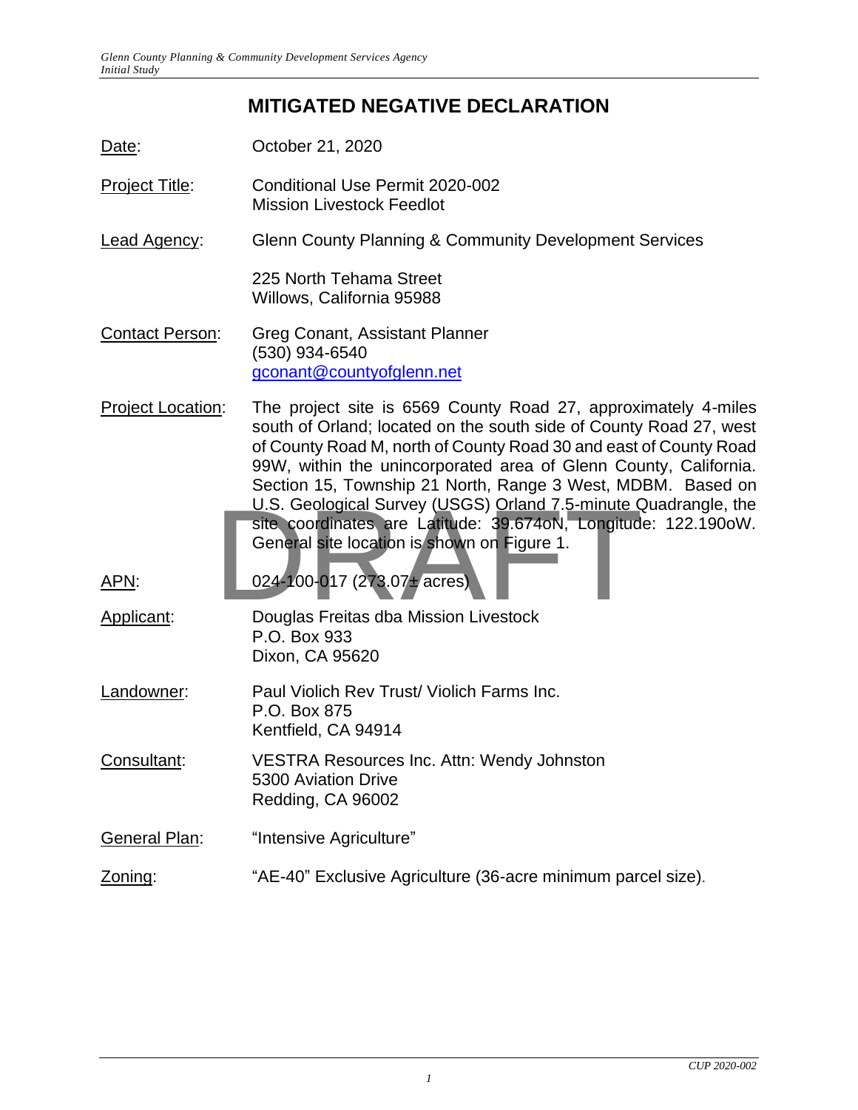# **MITIGATED NEGATIVE DECLARATION**

- <span id="page-1-0"></span>Date: **October 21, 2020**
- Project Title: Conditional Use Permit 2020-002 Mission Livestock Feedlot
- Lead Agency: Glenn County Planning & Community Development Services

225 North Tehama Street Willows, California 95988

- Contact Person: Greg Conant, Assistant Planner (530) 934-6540 [gconant@countyofglenn.net](mailto:gconant@countyofglenn.net)
- Project Location: The project site is 6569 County Road 27, approximately 4-miles south of Orland; located on the south side of County Road 27, west of County Road M, north of County Road 30 and east of County Road 99W, within the unincorporated area of Glenn County, California. Section 15, Township 21 North, Range 3 West, MDBM. Based on U.S. Geological Survey (USGS) Orland 7.5-minute Quadrangle, the<br>
site coordinates are Latitude: 39.674oN, Longitude: 122.190oW.<br>
General site location is shown on Figure 1.<br>
024-100-017 (273.07+ acres)<br>
Douglas Freitas dba site coordinates are Latitude: 39.674oN, Longitude: 122.190oW. General site location is shown on Figure 1.

APN: 024-100-017 (273.07± acres)

- Applicant: Douglas Freitas dba Mission Livestock P.O. Box 933 Dixon, CA 95620
- Landowner: Paul Violich Rev Trust/ Violich Farms Inc. P.O. Box 875 Kentfield, CA 94914
- Consultant: VESTRA Resources Inc. Attn: Wendy Johnston 5300 Aviation Drive Redding, CA 96002
- General Plan: "Intensive Agriculture"
- Zoning: "AE-40" Exclusive Agriculture (36-acre minimum parcel size).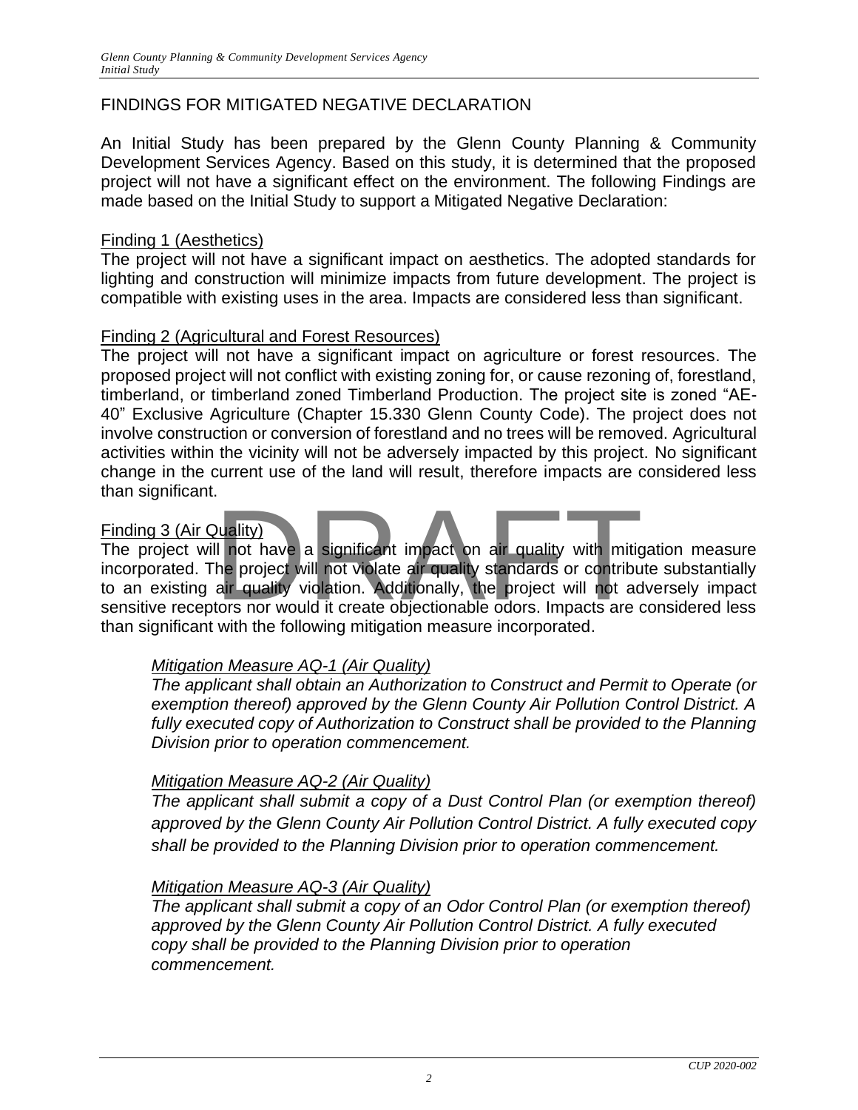# FINDINGS FOR MITIGATED NEGATIVE DECLARATION

An Initial Study has been prepared by the Glenn County Planning & Community Development Services Agency. Based on this study, it is determined that the proposed project will not have a significant effect on the environment. The following Findings are made based on the Initial Study to support a Mitigated Negative Declaration:

#### Finding 1 (Aesthetics)

The project will not have a significant impact on aesthetics. The adopted standards for lighting and construction will minimize impacts from future development. The project is compatible with existing uses in the area. Impacts are considered less than significant.

#### Finding 2 (Agricultural and Forest Resources)

The project will not have a significant impact on agriculture or forest resources. The proposed project will not conflict with existing zoning for, or cause rezoning of, forestland, timberland, or timberland zoned Timberland Production. The project site is zoned "AE-40" Exclusive Agriculture (Chapter 15.330 Glenn County Code). The project does not involve construction or conversion of forestland and no trees will be removed. Agricultural activities within the vicinity will not be adversely impacted by this project. No significant change in the current use of the land will result, therefore impacts are considered less than significant.

#### Finding 3 (Air Quality)

The project will not have a significant impact on air quality with mitigation measure incorporated. The project will not violate air quality standards or contribute substantially to an existing air quality violation. Additionally, the project will not adversely impact sensitive receptors nor would it create objectionable odors. Impacts are considered less than significant with the following mitigation measure incorporated. Nuality)<br>
Il not have a significant impact on air quality with mitig<br>
the project will not violate air quality standards or contribu<br>
air quality violation. Additionally, the project will not ad<br>
tors nor would it create o

#### *Mitigation Measure AQ-1 (Air Quality)*

*The applicant shall obtain an Authorization to Construct and Permit to Operate (or exemption thereof) approved by the Glenn County Air Pollution Control District. A*  fully executed copy of Authorization to Construct shall be provided to the Planning *Division prior to operation commencement.*

#### *Mitigation Measure AQ-2 (Air Quality)*

*The applicant shall submit a copy of a Dust Control Plan (or exemption thereof) approved by the Glenn County Air Pollution Control District. A fully executed copy shall be provided to the Planning Division prior to operation commencement.*

#### *Mitigation Measure AQ-3 (Air Quality)*

*The applicant shall submit a copy of an Odor Control Plan (or exemption thereof) approved by the Glenn County Air Pollution Control District. A fully executed copy shall be provided to the Planning Division prior to operation commencement.*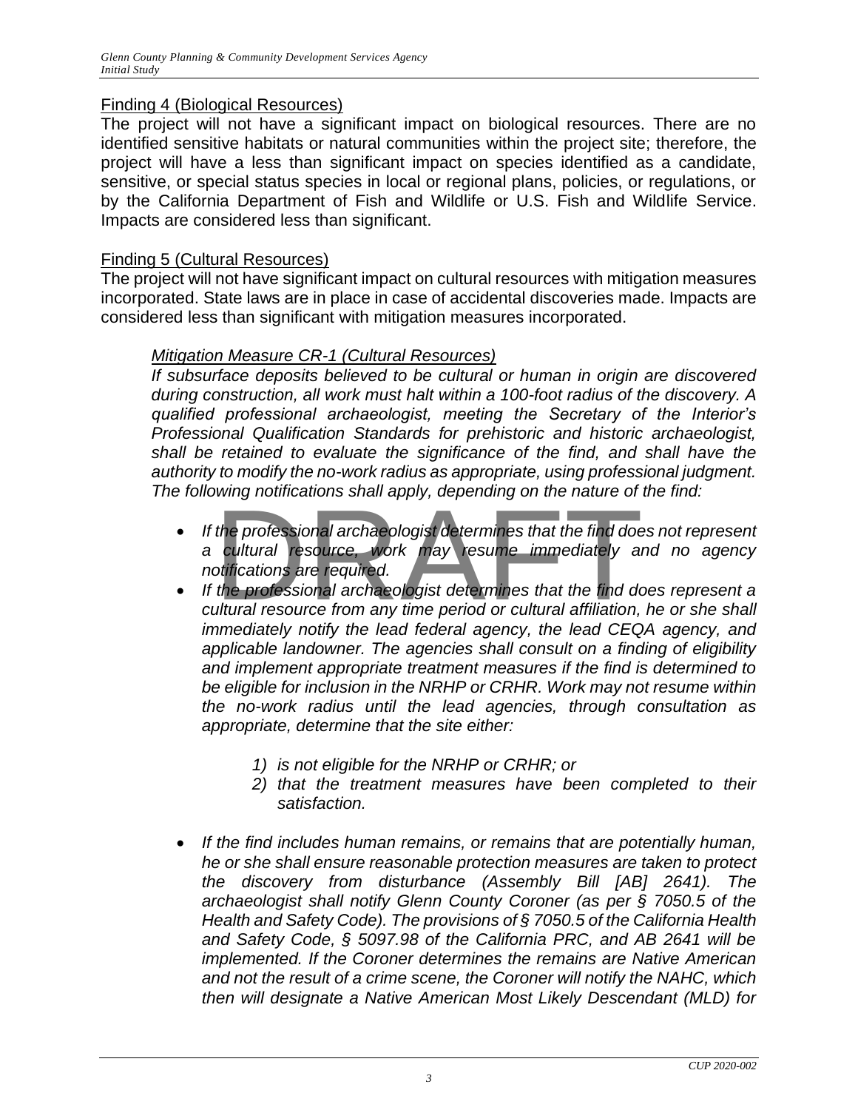### Finding 4 (Biological Resources)

The project will not have a significant impact on biological resources. There are no identified sensitive habitats or natural communities within the project site; therefore, the project will have a less than significant impact on species identified as a candidate, sensitive, or special status species in local or regional plans, policies, or regulations, or by the California Department of Fish and Wildlife or U.S. Fish and Wildlife Service. Impacts are considered less than significant.

### Finding 5 (Cultural Resources)

The project will not have significant impact on cultural resources with mitigation measures incorporated. State laws are in place in case of accidental discoveries made. Impacts are considered less than significant with mitigation measures incorporated.

### *Mitigation Measure CR-1 (Cultural Resources)*

*If subsurface deposits believed to be cultural or human in origin are discovered during construction, all work must halt within a 100-foot radius of the discovery. A qualified professional archaeologist, meeting the Secretary of the Interior's Professional Qualification Standards for prehistoric and historic archaeologist, shall be retained to evaluate the significance of the find, and shall have the authority to modify the no-work radius as appropriate, using professional judgment. The following notifications shall apply, depending on the nature of the find:* 

- *If the professional archaeologist determines that the find does not represent a cultural resource, work may resume immediately and no agency notifications are required.* the professional archaeologist determines that the find does<br>cultural resource, work may resume immediately and<br>otifications are required.<br>the professional archaeologist determines that the find do<br>ultural resource from an
- *If the professional archaeologist determines that the find does represent a cultural resource from any time period or cultural affiliation, he or she shall immediately notify the lead federal agency, the lead CEQA agency, and applicable landowner. The agencies shall consult on a finding of eligibility and implement appropriate treatment measures if the find is determined to be eligible for inclusion in the NRHP or CRHR. Work may not resume within the no-work radius until the lead agencies, through consultation as appropriate, determine that the site either:* 
	- *1) is not eligible for the NRHP or CRHR; or*
	- *2) that the treatment measures have been completed to their satisfaction.*
- *If the find includes human remains, or remains that are potentially human, he or she shall ensure reasonable protection measures are taken to protect the discovery from disturbance (Assembly Bill [AB] 2641). The archaeologist shall notify Glenn County Coroner (as per § 7050.5 of the Health and Safety Code). The provisions of § 7050.5 of the California Health and Safety Code, § 5097.98 of the California PRC, and AB 2641 will be implemented. If the Coroner determines the remains are Native American and not the result of a crime scene, the Coroner will notify the NAHC, which then will designate a Native American Most Likely Descendant (MLD) for*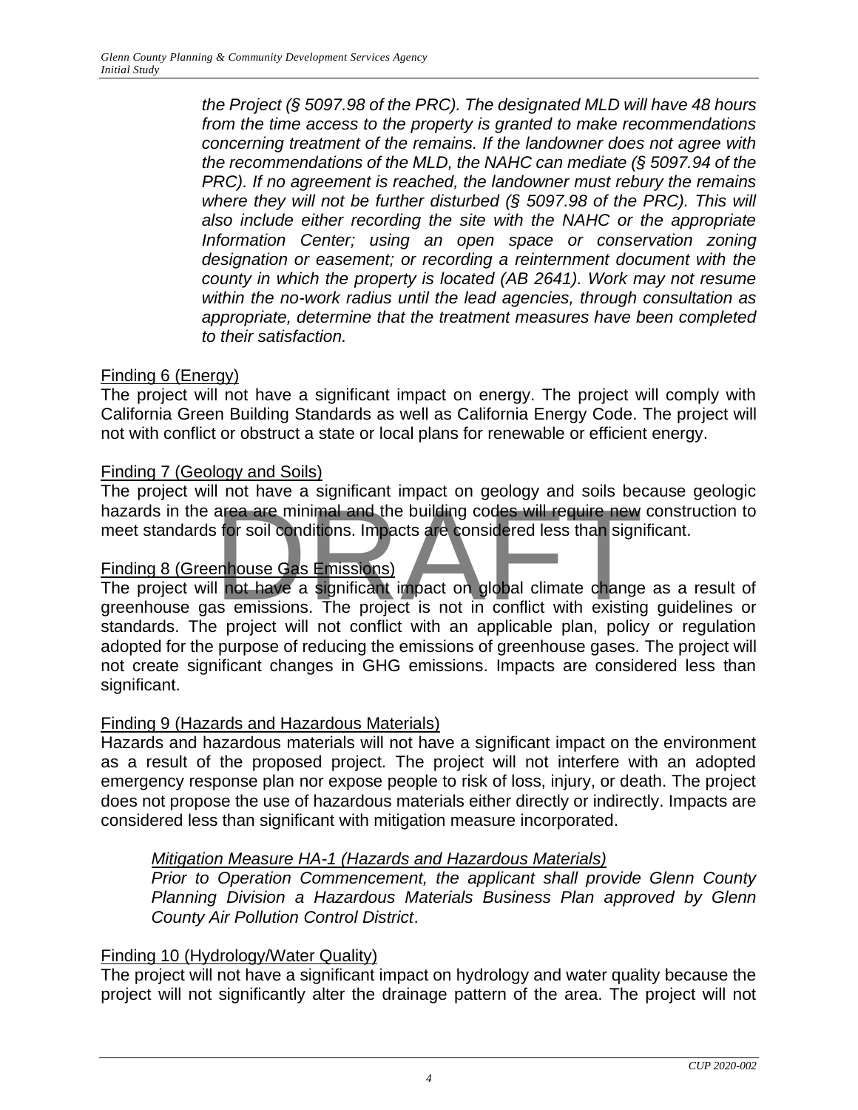*the Project (§ 5097.98 of the PRC). The designated MLD will have 48 hours from the time access to the property is granted to make recommendations concerning treatment of the remains. If the landowner does not agree with the recommendations of the MLD, the NAHC can mediate (§ 5097.94 of the PRC). If no agreement is reached, the landowner must rebury the remains where they will not be further disturbed (§ 5097.98 of the PRC). This will also include either recording the site with the NAHC or the appropriate Information Center; using an open space or conservation zoning designation or easement; or recording a reinternment document with the county in which the property is located (AB 2641). Work may not resume within the no-work radius until the lead agencies, through consultation as appropriate, determine that the treatment measures have been completed to their satisfaction.*

# Finding 6 (Energy)

The project will not have a significant impact on energy. The project will comply with California Green Building Standards as well as California Energy Code. The project will not with conflict or obstruct a state or local plans for renewable or efficient energy.

# Finding 7 (Geology and Soils)

The project will not have a significant impact on geology and soils because geologic hazards in the area are minimal and the building codes will require new construction to meet standards for soil conditions. Impacts are considered less than significant.

# Finding 8 (Greenhouse Gas Emissions)

The project will not have a significant impact on global climate change as a result of greenhouse gas emissions. The project is not in conflict with existing guidelines or standards. The project will not conflict with an applicable plan, policy or regulation adopted for the purpose of reducing the emissions of greenhouse gases. The project will not create significant changes in GHG emissions. Impacts are considered less than significant. The that a significant impact on goodgy and ocle books<br>area are minimal and the building codes will require new<br>of the solid conditions. Impacts are considered less than sign<br>enhouse Gas Emissions.<br>I not have a significant

# Finding 9 (Hazards and Hazardous Materials)

Hazards and hazardous materials will not have a significant impact on the environment as a result of the proposed project. The project will not interfere with an adopted emergency response plan nor expose people to risk of loss, injury, or death. The project does not propose the use of hazardous materials either directly or indirectly. Impacts are considered less than significant with mitigation measure incorporated.

# *Mitigation Measure HA-1 (Hazards and Hazardous Materials)*

*Prior to Operation Commencement, the applicant shall provide Glenn County Planning Division a Hazardous Materials Business Plan approved by Glenn County Air Pollution Control District*.

# Finding 10 (Hydrology/Water Quality)

The project will not have a significant impact on hydrology and water quality because the project will not significantly alter the drainage pattern of the area. The project will not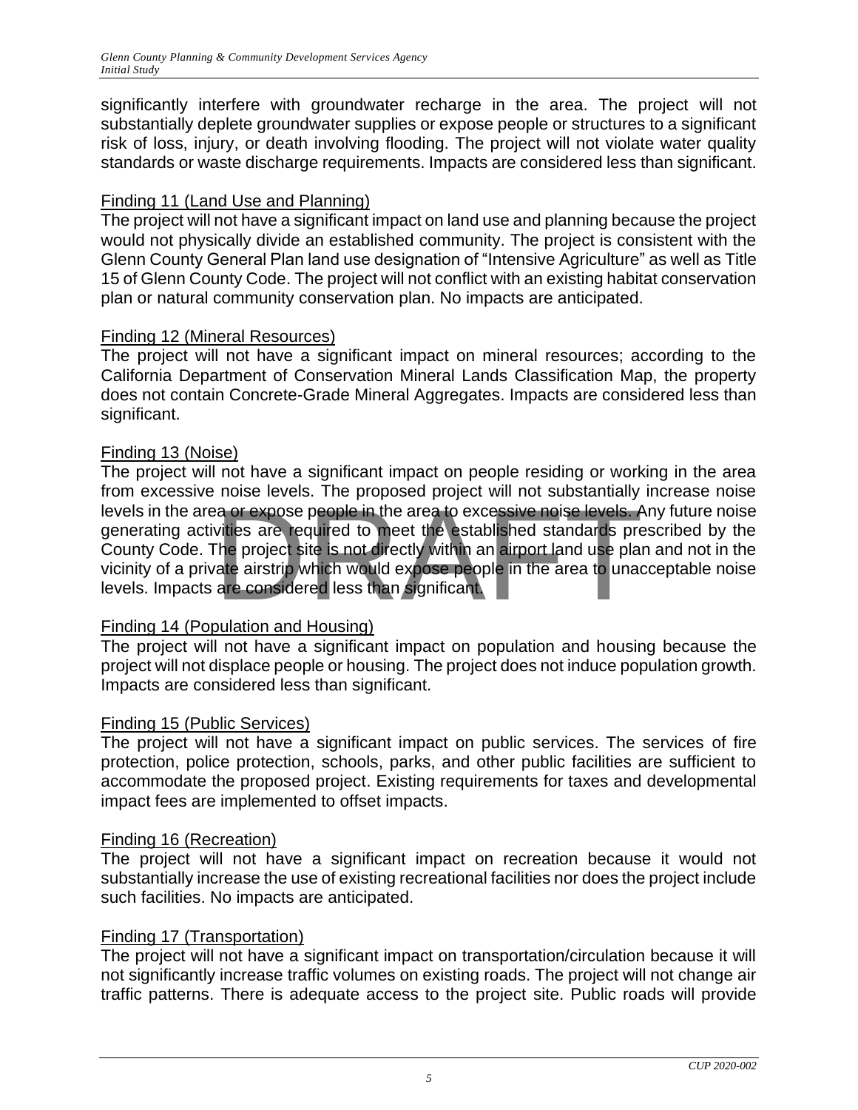significantly interfere with groundwater recharge in the area. The project will not substantially deplete groundwater supplies or expose people or structures to a significant risk of loss, injury, or death involving flooding. The project will not violate water quality standards or waste discharge requirements. Impacts are considered less than significant.

# Finding 11 (Land Use and Planning)

The project will not have a significant impact on land use and planning because the project would not physically divide an established community. The project is consistent with the Glenn County General Plan land use designation of "Intensive Agriculture" as well as Title 15 of Glenn County Code. The project will not conflict with an existing habitat conservation plan or natural community conservation plan. No impacts are anticipated.

# Finding 12 (Mineral Resources)

The project will not have a significant impact on mineral resources; according to the California Department of Conservation Mineral Lands Classification Map, the property does not contain Concrete-Grade Mineral Aggregates. Impacts are considered less than significant.

# Finding 13 (Noise)

The project will not have a significant impact on people residing or working in the area from excessive noise levels. The proposed project will not substantially increase noise levels in the area or expose people in the area to excessive noise levels. Any future noise generating activities are required to meet the established standards prescribed by the County Code. The project site is not directly within an airport land use plan and not in the vicinity of a private airstrip which would expose people in the area to unacceptable noise levels. Impacts are considered less than significant. ration of expose people in the area to excessive noise levels. A<br>vities are required to meet the established standards pre<br>The project site is not directly within an airport land use plat<br>ate airstrip which would expose pe

# Finding 14 (Population and Housing)

The project will not have a significant impact on population and housing because the project will not displace people or housing. The project does not induce population growth. Impacts are considered less than significant.

# Finding 15 (Public Services)

The project will not have a significant impact on public services. The services of fire protection, police protection, schools, parks, and other public facilities are sufficient to accommodate the proposed project. Existing requirements for taxes and developmental impact fees are implemented to offset impacts.

# Finding 16 (Recreation)

The project will not have a significant impact on recreation because it would not substantially increase the use of existing recreational facilities nor does the project include such facilities. No impacts are anticipated.

# Finding 17 (Transportation)

The project will not have a significant impact on transportation/circulation because it will not significantly increase traffic volumes on existing roads. The project will not change air traffic patterns. There is adequate access to the project site. Public roads will provide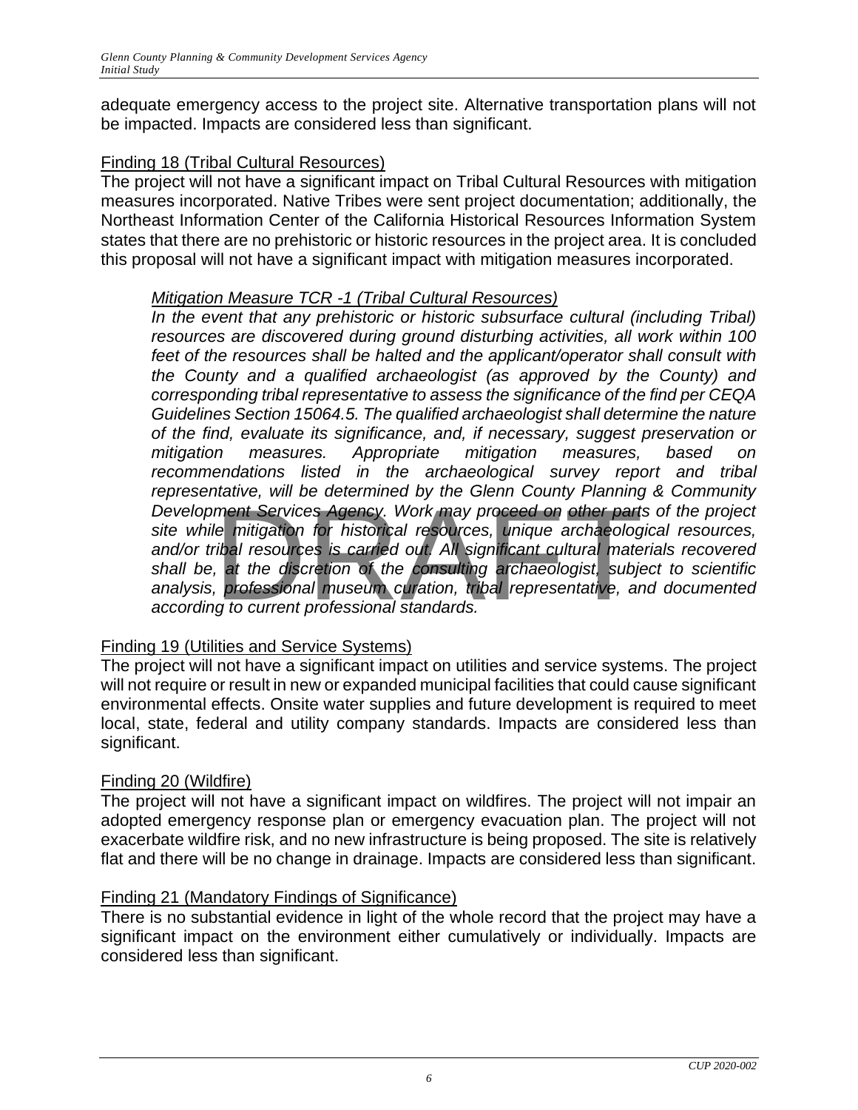adequate emergency access to the project site. Alternative transportation plans will not be impacted. Impacts are considered less than significant.

# Finding 18 (Tribal Cultural Resources)

The project will not have a significant impact on Tribal Cultural Resources with mitigation measures incorporated. Native Tribes were sent project documentation; additionally, the Northeast Information Center of the California Historical Resources Information System states that there are no prehistoric or historic resources in the project area. It is concluded this proposal will not have a significant impact with mitigation measures incorporated.

### *Mitigation Measure TCR -1 (Tribal Cultural Resources)*

*In the event that any prehistoric or historic subsurface cultural (including Tribal) resources are discovered during ground disturbing activities, all work within 100 feet of the resources shall be halted and the applicant/operator shall consult with the County and a qualified archaeologist (as approved by the County) and corresponding tribal representative to assess the significance of the find per CEQA Guidelines Section 15064.5. The qualified archaeologist shall determine the nature of the find, evaluate its significance, and, if necessary, suggest preservation or mitigation measures. Appropriate mitigation measures, based on recommendations listed in the archaeological survey report and tribal representative, will be determined by the Glenn County Planning & Community Development Services Agency. Work may proceed on other parts of the project site while mitigation for historical resources, unique archaeological resources, and/or tribal resources is carried out. All significant cultural materials recovered shall be, at the discretion of the consulting archaeologist, subject to scientific analysis, professional museum curation, tribal representative, and documented according to current professional standards.* nent Services Agency. Work may proceed on other part<br>ment Services Agency. Work may proceed on other part<br>le mitigation for historical resources, unique archaeolog<br>ibal resources is carried out. All significant cultural ma

# Finding 19 (Utilities and Service Systems)

The project will not have a significant impact on utilities and service systems. The project will not require or result in new or expanded municipal facilities that could cause significant environmental effects. Onsite water supplies and future development is required to meet local, state, federal and utility company standards. Impacts are considered less than significant.

# Finding 20 (Wildfire)

The project will not have a significant impact on wildfires. The project will not impair an adopted emergency response plan or emergency evacuation plan. The project will not exacerbate wildfire risk, and no new infrastructure is being proposed. The site is relatively flat and there will be no change in drainage. Impacts are considered less than significant.

# Finding 21 (Mandatory Findings of Significance)

There is no substantial evidence in light of the whole record that the project may have a significant impact on the environment either cumulatively or individually. Impacts are considered less than significant.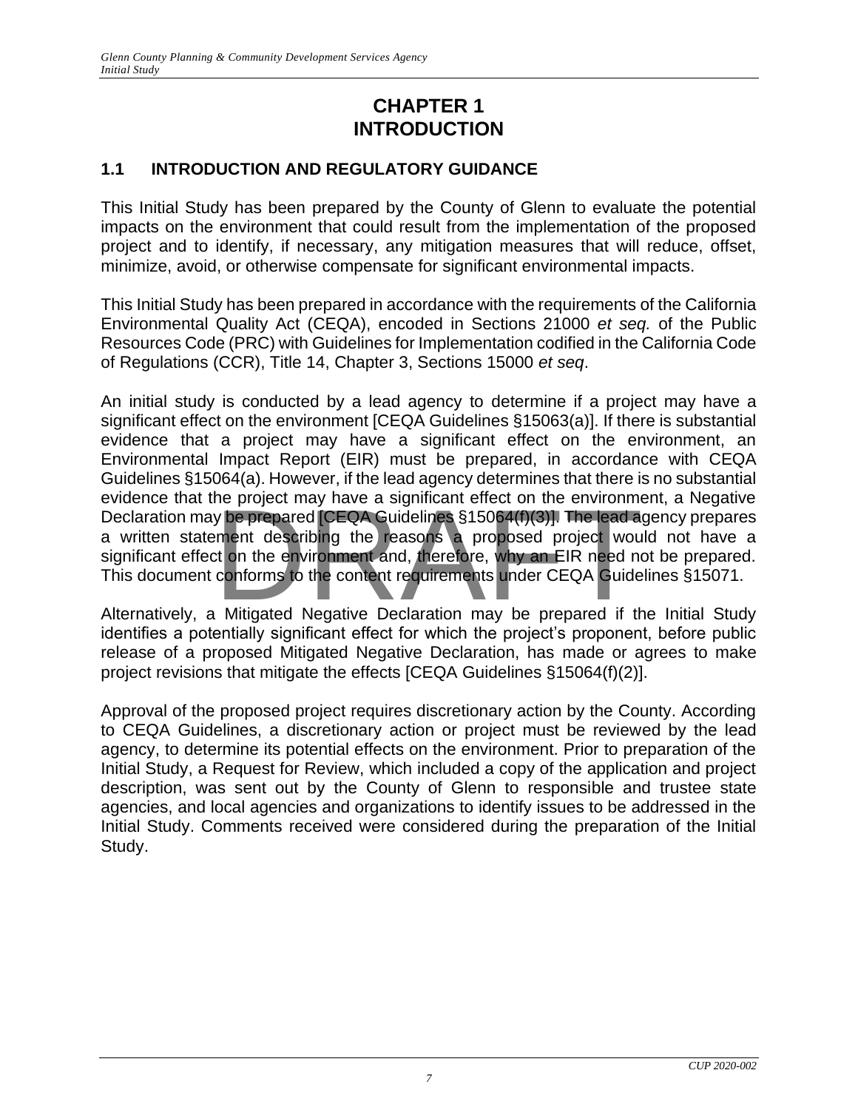# **CHAPTER 1 INTRODUCTION**

# <span id="page-7-2"></span><span id="page-7-1"></span><span id="page-7-0"></span>**1.1 INTRODUCTION AND REGULATORY GUIDANCE**

This Initial Study has been prepared by the County of Glenn to evaluate the potential impacts on the environment that could result from the implementation of the proposed project and to identify, if necessary, any mitigation measures that will reduce, offset, minimize, avoid, or otherwise compensate for significant environmental impacts.

This Initial Study has been prepared in accordance with the requirements of the California Environmental Quality Act (CEQA), encoded in Sections 21000 *et seq.* of the Public Resources Code (PRC) with Guidelines for Implementation codified in the California Code of Regulations (CCR), Title 14, Chapter 3, Sections 15000 *et seq*.

An initial study is conducted by a lead agency to determine if a project may have a significant effect on the environment [CEQA Guidelines §15063(a)]. If there is substantial evidence that a project may have a significant effect on the environment, an Environmental Impact Report (EIR) must be prepared, in accordance with CEQA Guidelines §15064(a). However, if the lead agency determines that there is no substantial evidence that the project may have a significant effect on the environment, a Negative Declaration may be prepared [CEQA Guidelines §15064(f)(3)]. The lead agency prepares a written statement describing the reasons a proposed project would not have a significant effect on the environment and, therefore, why an EIR need not be prepared. This document conforms to the content requirements under CEQA Guidelines §15071. ne project may have a significant effect on the environment<br>y be prepared [CEQA Guidelines §15064(f)(3)]. The lead a<br>ment describing the reasons a proposed project would<br>ament describing the reasons a proposed project woul

Alternatively, a Mitigated Negative Declaration may be prepared if the Initial Study identifies a potentially significant effect for which the project's proponent, before public release of a proposed Mitigated Negative Declaration, has made or agrees to make project revisions that mitigate the effects [CEQA Guidelines §15064(f)(2)].

Approval of the proposed project requires discretionary action by the County. According to CEQA Guidelines, a discretionary action or project must be reviewed by the lead agency, to determine its potential effects on the environment. Prior to preparation of the Initial Study, a Request for Review, which included a copy of the application and project description, was sent out by the County of Glenn to responsible and trustee state agencies, and local agencies and organizations to identify issues to be addressed in the Initial Study. Comments received were considered during the preparation of the Initial Study.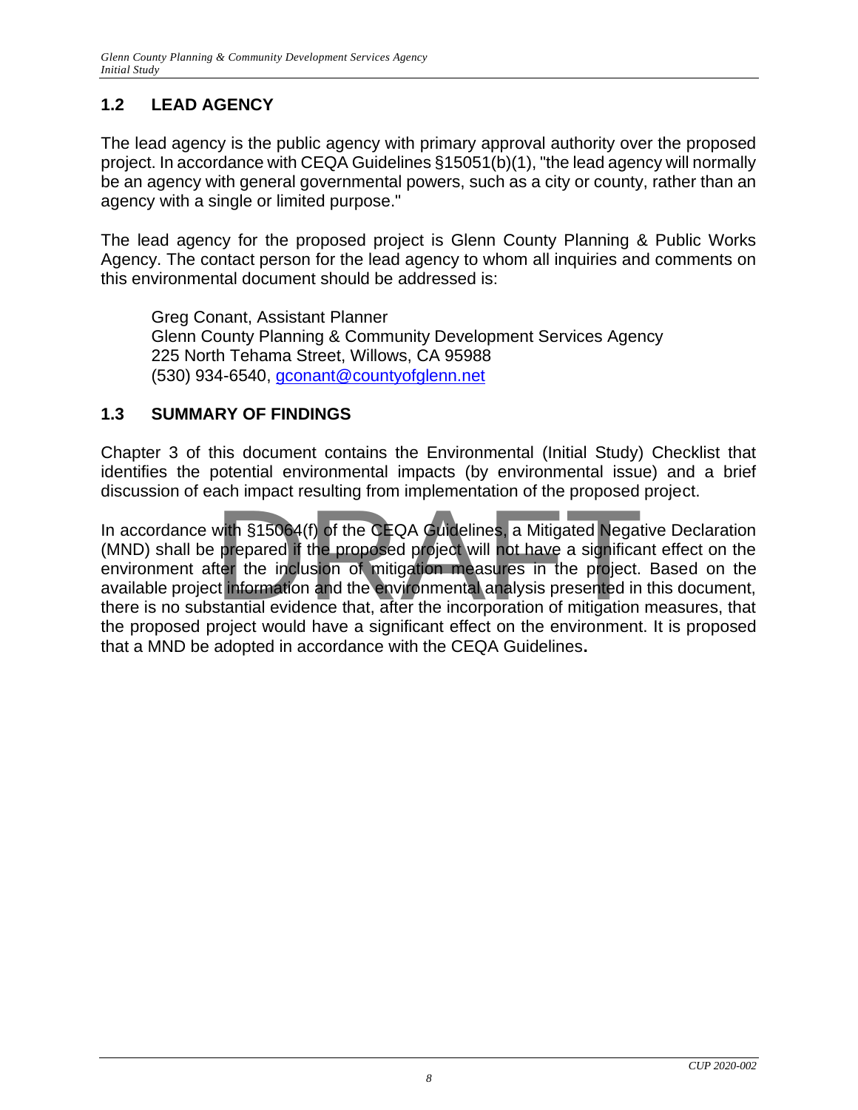# <span id="page-8-0"></span>**1.2 LEAD AGENCY**

The lead agency is the public agency with primary approval authority over the proposed project. In accordance with CEQA Guidelines §15051(b)(1), "the lead agency will normally be an agency with general governmental powers, such as a city or county, rather than an agency with a single or limited purpose."

The lead agency for the proposed project is Glenn County Planning & Public Works Agency. The contact person for the lead agency to whom all inquiries and comments on this environmental document should be addressed is:

Greg Conant, Assistant Planner Glenn County Planning & Community Development Services Agency 225 North Tehama Street, Willows, CA 95988 (530) 934-6540, [gconant@countyofglenn.net](mailto:gconant@countyofglenn.net)

# <span id="page-8-1"></span>**1.3 SUMMARY OF FINDINGS**

Chapter 3 of this document contains the Environmental (Initial Study) Checklist that identifies the potential environmental impacts (by environmental issue) and a brief discussion of each impact resulting from implementation of the proposed project.

In accordance with §15064(f) of the CEQA Guidelines, a Mitigated Negative Declaration (MND) shall be prepared if the proposed project will not have a significant effect on the environment after the inclusion of mitigation measures in the project. Based on the available project information and the environmental analysis presented in this document, there is no substantial evidence that, after the incorporation of mitigation measures, that the proposed project would have a significant effect on the environment. It is proposed that a MND be adopted in accordance with the CEQA Guidelines**.** with §15064(f) of the CEQA Guidelines, a Mitigated Negative prepared if the proposed project will not have a significate the inclusion of mitigation measures in the project.<br>The inclusion of mitigation measures in the proj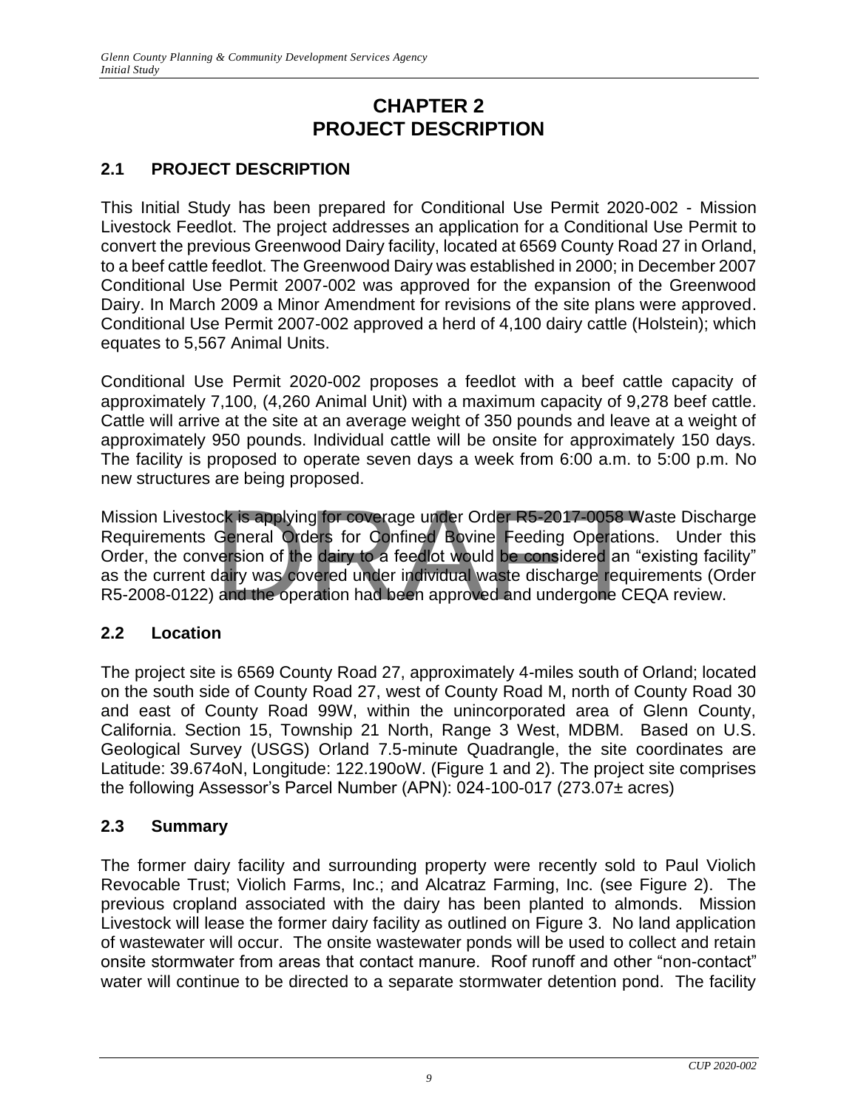# **CHAPTER 2 PROJECT DESCRIPTION**

# <span id="page-9-2"></span><span id="page-9-1"></span><span id="page-9-0"></span>**2.1 PROJECT DESCRIPTION**

This Initial Study has been prepared for Conditional Use Permit 2020-002 - Mission Livestock Feedlot. The project addresses an application for a Conditional Use Permit to convert the previous Greenwood Dairy facility, located at 6569 County Road 27 in Orland, to a beef cattle feedlot. The Greenwood Dairy was established in 2000; in December 2007 Conditional Use Permit 2007-002 was approved for the expansion of the Greenwood Dairy. In March 2009 a Minor Amendment for revisions of the site plans were approved. Conditional Use Permit 2007-002 approved a herd of 4,100 dairy cattle (Holstein); which equates to 5,567 Animal Units.

Conditional Use Permit 2020-002 proposes a feedlot with a beef cattle capacity of approximately 7,100, (4,260 Animal Unit) with a maximum capacity of 9,278 beef cattle. Cattle will arrive at the site at an average weight of 350 pounds and leave at a weight of approximately 950 pounds. Individual cattle will be onsite for approximately 150 days. The facility is proposed to operate seven days a week from 6:00 a.m. to 5:00 p.m. No new structures are being proposed.

Mission Livestock is applying for coverage under Order R5-2017-0058 Waste Discharge Requirements General Orders for Confined Bovine Feeding Operations. Under this Order, the conversion of the dairy to a feedlot would be considered an "existing facility" as the current dairy was covered under individual waste discharge requirements (Order R5-2008-0122) and the operation had been approved and undergone CEQA review. ck is applying for coverage under Order R5-2017-0058 W<br>General Orders for Confined Bovine Feeding Operation<br>version of the dairy to a feedlot would be considered an "<br>dairy was covered under individual waste discharge requ

# <span id="page-9-3"></span>**2.2 Location**

The project site is 6569 County Road 27, approximately 4-miles south of Orland; located on the south side of County Road 27, west of County Road M, north of County Road 30 and east of County Road 99W, within the unincorporated area of Glenn County, California. Section 15, Township 21 North, Range 3 West, MDBM. Based on U.S. Geological Survey (USGS) Orland 7.5-minute Quadrangle, the site coordinates are Latitude: 39.674oN, Longitude: 122.190oW. (Figure 1 and 2). The project site comprises the following Assessor's Parcel Number (APN): 024-100-017 (273.07± acres)

# **2.3 Summary**

The former dairy facility and surrounding property were recently sold to Paul Violich Revocable Trust; Violich Farms, Inc.; and Alcatraz Farming, Inc. (see Figure 2). The previous cropland associated with the dairy has been planted to almonds. Mission Livestock will lease the former dairy facility as outlined on Figure 3. No land application of wastewater will occur. The onsite wastewater ponds will be used to collect and retain onsite stormwater from areas that contact manure. Roof runoff and other "non-contact" water will continue to be directed to a separate stormwater detention pond. The facility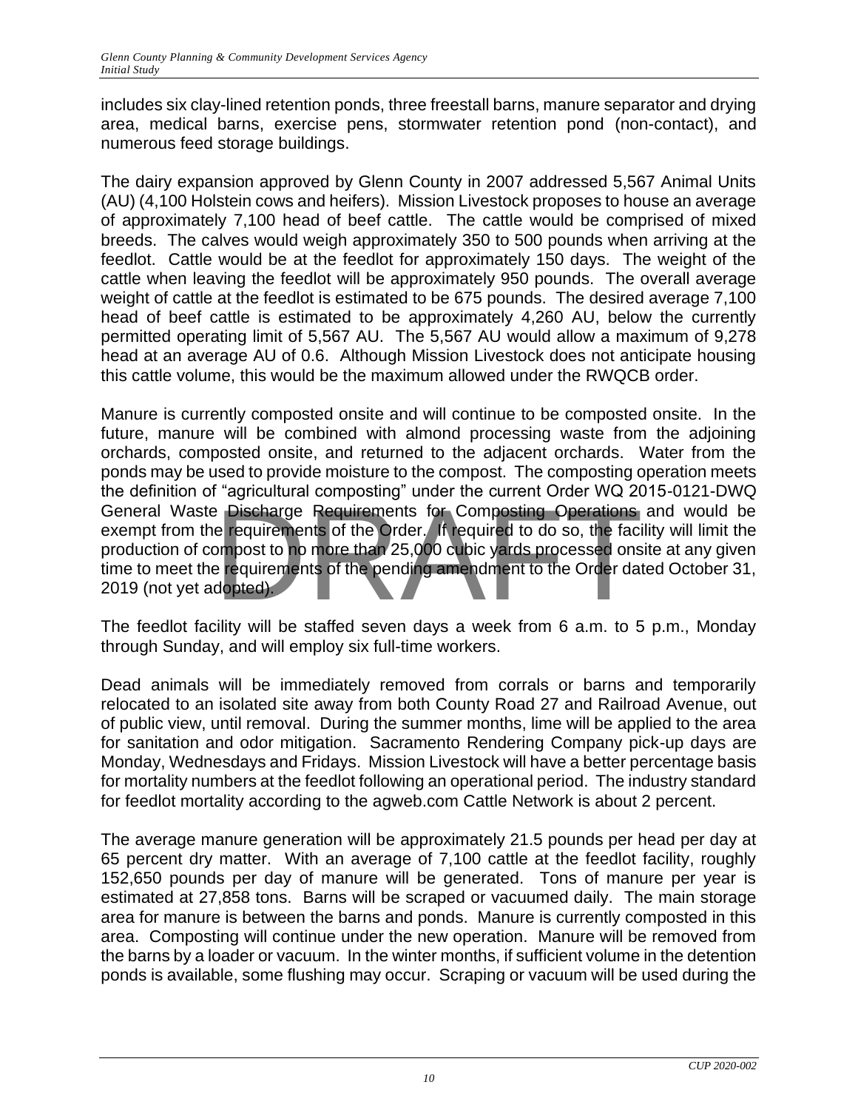includes six clay-lined retention ponds, three freestall barns, manure separator and drying area, medical barns, exercise pens, stormwater retention pond (non-contact), and numerous feed storage buildings.

The dairy expansion approved by Glenn County in 2007 addressed 5,567 Animal Units (AU) (4,100 Holstein cows and heifers). Mission Livestock proposes to house an average of approximately 7,100 head of beef cattle. The cattle would be comprised of mixed breeds. The calves would weigh approximately 350 to 500 pounds when arriving at the feedlot. Cattle would be at the feedlot for approximately 150 days. The weight of the cattle when leaving the feedlot will be approximately 950 pounds. The overall average weight of cattle at the feedlot is estimated to be 675 pounds. The desired average 7,100 head of beef cattle is estimated to be approximately 4,260 AU, below the currently permitted operating limit of 5,567 AU. The 5,567 AU would allow a maximum of 9,278 head at an average AU of 0.6. Although Mission Livestock does not anticipate housing this cattle volume, this would be the maximum allowed under the RWQCB order.

Manure is currently composted onsite and will continue to be composted onsite. In the future, manure will be combined with almond processing waste from the adjoining orchards, composted onsite, and returned to the adjacent orchards. Water from the ponds may be used to provide moisture to the compost. The composting operation meets the definition of "agricultural composting" under the current Order WQ 2015-0121-DWQ General Waste Discharge Requirements for Composting Operations and would be exempt from the requirements of the Order. If required to do so, the facility will limit the production of compost to no more than 25,000 cubic yards processed onsite at any given time to meet the requirements of the pending amendment to the Order dated October 31, 2019 (not yet adopted). Provided to the Order of the Order of the Order of the Order of the Order of the Order of the Order of the Prequired to do so, the fact of the pending amendment to the Order date of the pending amendment to the Order date

The feedlot facility will be staffed seven days a week from 6 a.m. to 5 p.m., Monday through Sunday, and will employ six full-time workers.

Dead animals will be immediately removed from corrals or barns and temporarily relocated to an isolated site away from both County Road 27 and Railroad Avenue, out of public view, until removal. During the summer months, lime will be applied to the area for sanitation and odor mitigation. Sacramento Rendering Company pick-up days are Monday, Wednesdays and Fridays. Mission Livestock will have a better percentage basis for mortality numbers at the feedlot following an operational period. The industry standard for feedlot mortality according to the agweb.com Cattle Network is about 2 percent.

The average manure generation will be approximately 21.5 pounds per head per day at 65 percent dry matter. With an average of 7,100 cattle at the feedlot facility, roughly 152,650 pounds per day of manure will be generated. Tons of manure per year is estimated at 27,858 tons. Barns will be scraped or vacuumed daily. The main storage area for manure is between the barns and ponds. Manure is currently composted in this area. Composting will continue under the new operation. Manure will be removed from the barns by a loader or vacuum. In the winter months, if sufficient volume in the detention ponds is available, some flushing may occur. Scraping or vacuum will be used during the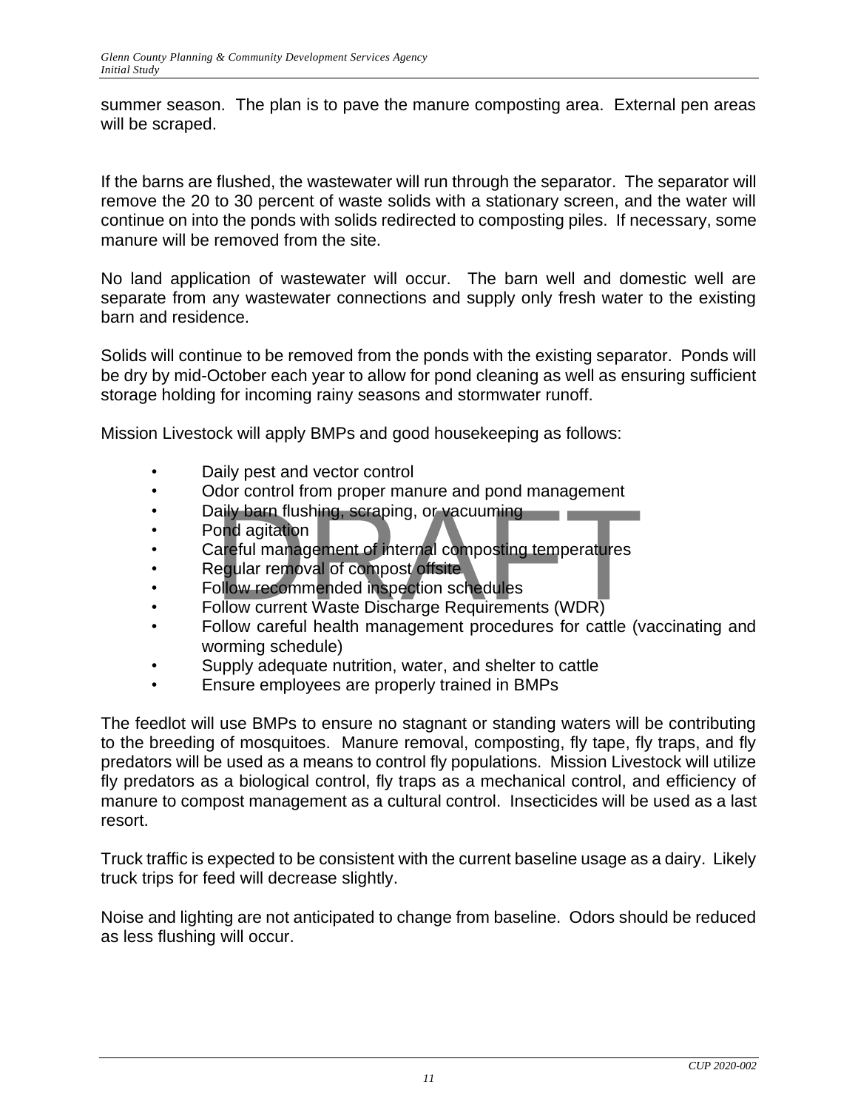summer season. The plan is to pave the manure composting area. External pen areas will be scraped.

If the barns are flushed, the wastewater will run through the separator. The separator will remove the 20 to 30 percent of waste solids with a stationary screen, and the water will continue on into the ponds with solids redirected to composting piles. If necessary, some manure will be removed from the site.

No land application of wastewater will occur. The barn well and domestic well are separate from any wastewater connections and supply only fresh water to the existing barn and residence.

Solids will continue to be removed from the ponds with the existing separator. Ponds will be dry by mid-October each year to allow for pond cleaning as well as ensuring sufficient storage holding for incoming rainy seasons and stormwater runoff.

Mission Livestock will apply BMPs and good housekeeping as follows:

- Daily pest and vector control
- Odor control from proper manure and pond management
- Daily barn flushing, scraping, or vacuuming
- Pond agitation
- Careful management of internal composting temperatures • Daily barn flushing, scraping, or vacuuming<br>• Pond agitation<br>• Careful management of internal composting temperatures<br>• Regular removal of compost offsite<br>• Follow recommended inspection schedules<br>• Follow current Waste
- Regular removal of compost offsite
- Follow recommended inspection schedules
- 
- Follow careful health management procedures for cattle (vaccinating and worming schedule)
- Supply adequate nutrition, water, and shelter to cattle
- Ensure employees are properly trained in BMPs

The feedlot will use BMPs to ensure no stagnant or standing waters will be contributing to the breeding of mosquitoes. Manure removal, composting, fly tape, fly traps, and fly predators will be used as a means to control fly populations. Mission Livestock will utilize fly predators as a biological control, fly traps as a mechanical control, and efficiency of manure to compost management as a cultural control. Insecticides will be used as a last resort.

Truck traffic is expected to be consistent with the current baseline usage as a dairy. Likely truck trips for feed will decrease slightly.

Noise and lighting are not anticipated to change from baseline. Odors should be reduced as less flushing will occur.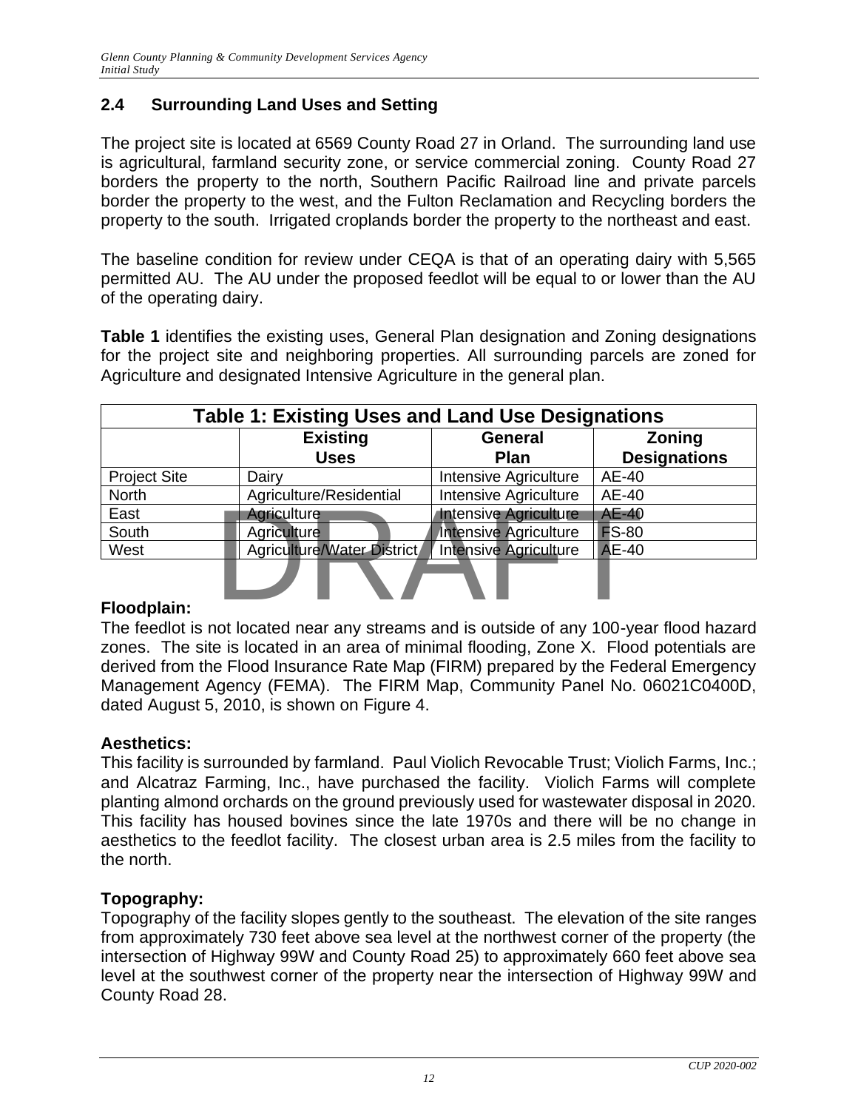# **2.4 Surrounding Land Uses and Setting**

The project site is located at 6569 County Road 27 in Orland. The surrounding land use is agricultural, farmland security zone, or service commercial zoning. County Road 27 borders the property to the north, Southern Pacific Railroad line and private parcels border the property to the west, and the Fulton Reclamation and Recycling borders the property to the south. Irrigated croplands border the property to the northeast and east.

The baseline condition for review under CEQA is that of an operating dairy with 5,565 permitted AU. The AU under the proposed feedlot will be equal to or lower than the AU of the operating dairy.

**Table 1** identifies the existing uses, General Plan designation and Zoning designations for the project site and neighboring properties. All surrounding parcels are zoned for Agriculture and designated Intensive Agriculture in the general plan.

| <b>Table 1: Existing Uses and Land Use Designations</b> |                            |                              |                     |  |  |  |  |
|---------------------------------------------------------|----------------------------|------------------------------|---------------------|--|--|--|--|
|                                                         | <b>Existing</b>            | <b>General</b>               | <b>Zoning</b>       |  |  |  |  |
|                                                         | <b>Uses</b>                | <b>Plan</b>                  | <b>Designations</b> |  |  |  |  |
| <b>Project Site</b>                                     | Dairy                      | Intensive Agriculture        | AE-40               |  |  |  |  |
| <b>North</b>                                            | Agriculture/Residential    | Intensive Agriculture        | AE-40               |  |  |  |  |
| East                                                    | Agriculture                | <b>Intensive Agriculture</b> | <b>AE-40</b>        |  |  |  |  |
| South                                                   | Agriculture                | Intensive Agriculture        | <b>FS-80</b>        |  |  |  |  |
| West                                                    | Agriculture/Water District | <b>Intensive Agriculture</b> | <b>AE-40</b>        |  |  |  |  |
| Floodplain:                                             |                            |                              |                     |  |  |  |  |

# **Floodplain:**

The feedlot is not located near any streams and is outside of any 100-year flood hazard zones. The site is located in an area of minimal flooding, Zone X. Flood potentials are derived from the Flood Insurance Rate Map (FIRM) prepared by the Federal Emergency Management Agency (FEMA). The FIRM Map, Community Panel No. 06021C0400D, dated August 5, 2010, is shown on Figure 4.

#### **Aesthetics:**

This facility is surrounded by farmland. Paul Violich Revocable Trust; Violich Farms, Inc.; and Alcatraz Farming, Inc., have purchased the facility. Violich Farms will complete planting almond orchards on the ground previously used for wastewater disposal in 2020. This facility has housed bovines since the late 1970s and there will be no change in aesthetics to the feedlot facility. The closest urban area is 2.5 miles from the facility to the north.

#### **Topography:**

Topography of the facility slopes gently to the southeast. The elevation of the site ranges from approximately 730 feet above sea level at the northwest corner of the property (the intersection of Highway 99W and County Road 25) to approximately 660 feet above sea level at the southwest corner of the property near the intersection of Highway 99W and County Road 28.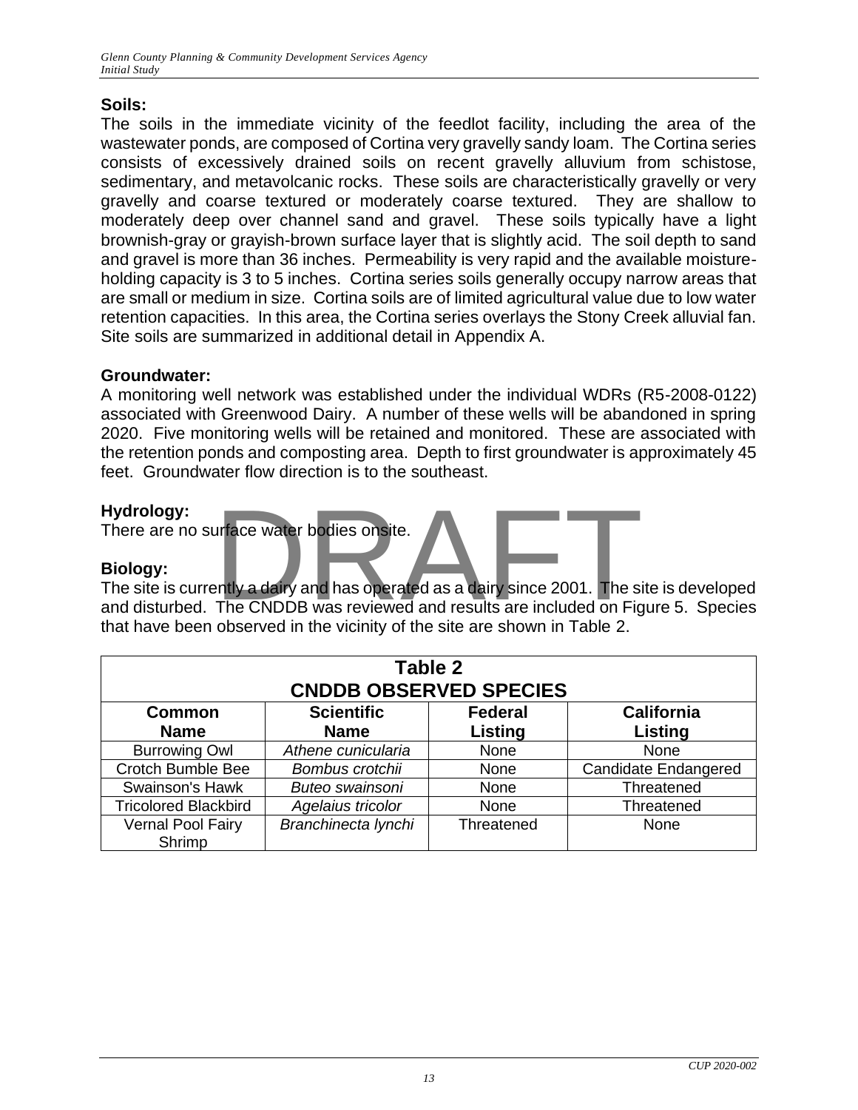# **Soils:**

The soils in the immediate vicinity of the feedlot facility, including the area of the wastewater ponds, are composed of Cortina very gravelly sandy loam. The Cortina series consists of excessively drained soils on recent gravelly alluvium from schistose, sedimentary, and metavolcanic rocks. These soils are characteristically gravelly or very gravelly and coarse textured or moderately coarse textured. They are shallow to moderately deep over channel sand and gravel. These soils typically have a light brownish-gray or grayish-brown surface layer that is slightly acid. The soil depth to sand and gravel is more than 36 inches. Permeability is very rapid and the available moistureholding capacity is 3 to 5 inches. Cortina series soils generally occupy narrow areas that are small or medium in size. Cortina soils are of limited agricultural value due to low water retention capacities. In this area, the Cortina series overlays the Stony Creek alluvial fan. Site soils are summarized in additional detail in Appendix A.

# **Groundwater:**

A monitoring well network was established under the individual WDRs (R5-2008-0122) associated with Greenwood Dairy. A number of these wells will be abandoned in spring 2020. Five monitoring wells will be retained and monitored. These are associated with the retention ponds and composting area. Depth to first groundwater is approximately 45 feet. Groundwater flow direction is to the southeast.

### **Hydrology:**

There are no surface water bodies onsite.

#### **Biology:**

The site is currently a dairy and has operated as a dairy since 2001. The site is developed and disturbed. The CNDDB was reviewed and results are included on Figure 5. Species that have been observed in the vicinity of the site are shown in Table 2. urface water bodies onsite.<br>Pritly a dairy and has operated as a dairy since 2001. The since CNDDB was reviewed and results are included on Fig.

| Table 2<br><b>CNDDB OBSERVED SPECIES</b> |                                                          |            |                             |  |  |  |  |
|------------------------------------------|----------------------------------------------------------|------------|-----------------------------|--|--|--|--|
| <b>Common</b>                            | <b>Scientific</b><br><b>California</b><br><b>Federal</b> |            |                             |  |  |  |  |
| <b>Name</b>                              | <b>Name</b>                                              | Listing    | Listing                     |  |  |  |  |
| <b>Burrowing Owl</b>                     | Athene cunicularia                                       | None       | None                        |  |  |  |  |
| <b>Crotch Bumble Bee</b>                 | Bombus crotchii                                          | None       | <b>Candidate Endangered</b> |  |  |  |  |
| Swainson's Hawk                          | Buteo swainsoni                                          | None       | Threatened                  |  |  |  |  |
| <b>Tricolored Blackbird</b>              | Agelaius tricolor                                        | None       | Threatened                  |  |  |  |  |
| Vernal Pool Fairy<br>Shrimp              | Branchinecta lynchi                                      | Threatened | None                        |  |  |  |  |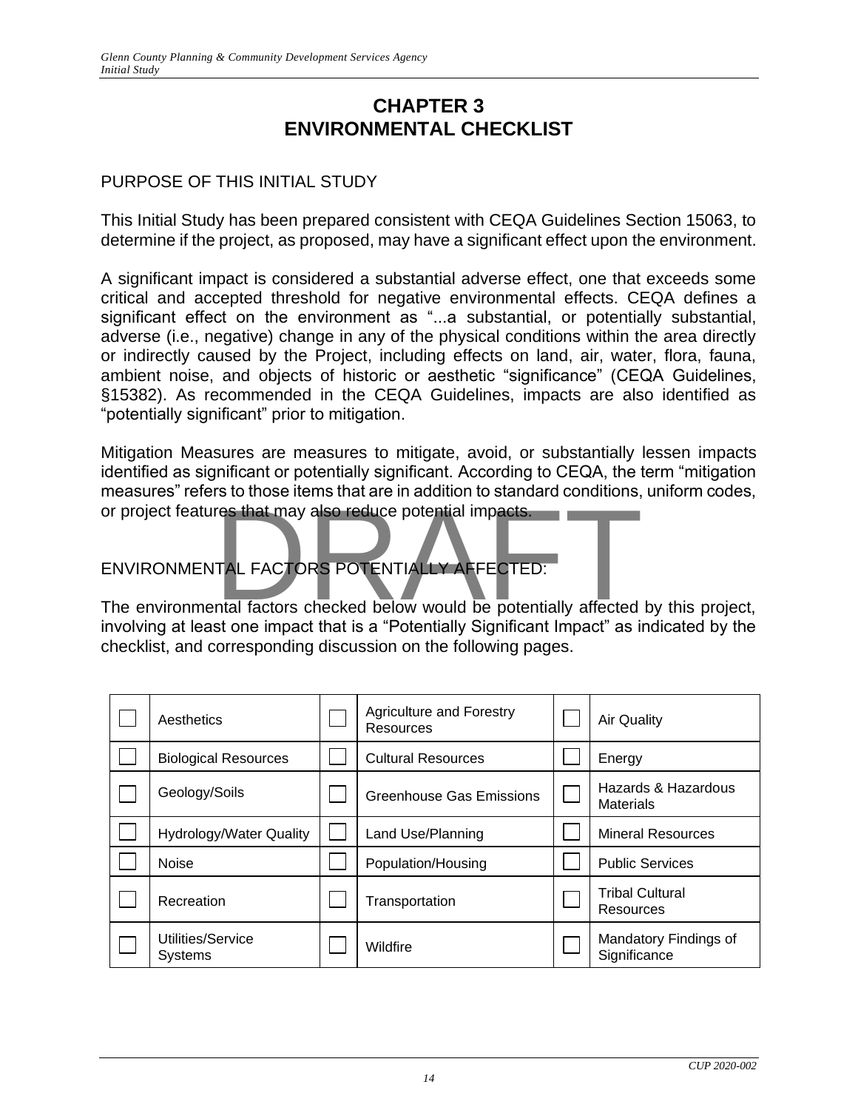# **CHAPTER 3 ENVIRONMENTAL CHECKLIST**

### <span id="page-14-1"></span><span id="page-14-0"></span>PURPOSE OF THIS INITIAL STUDY

This Initial Study has been prepared consistent with CEQA Guidelines Section 15063, to determine if the project, as proposed, may have a significant effect upon the environment.

A significant impact is considered a substantial adverse effect, one that exceeds some critical and accepted threshold for negative environmental effects. CEQA defines a significant effect on the environment as "...a substantial, or potentially substantial, adverse (i.e., negative) change in any of the physical conditions within the area directly or indirectly caused by the Project, including effects on land, air, water, flora, fauna, ambient noise, and objects of historic or aesthetic "significance" (CEQA Guidelines, §15382). As recommended in the CEQA Guidelines, impacts are also identified as "potentially significant" prior to mitigation.

Mitigation Measures are measures to mitigate, avoid, or substantially lessen impacts identified as significant or potentially significant. According to CEQA, the term "mitigation measures" refers to those items that are in addition to standard conditions, uniform codes, or project features that may also reduce potential impacts.

ENVIRONMENTAL FACTORS POTENTIALLY AFFECTED:

The environmental factors checked below would be potentially affected by this project, involving at least one impact that is a "Potentially Significant Impact" as indicated by the checklist, and corresponding discussion on the following pages.

| Aesthetics                     | <b>Agriculture and Forestry</b><br>Resources | <b>Air Quality</b>                      |
|--------------------------------|----------------------------------------------|-----------------------------------------|
| <b>Biological Resources</b>    | <b>Cultural Resources</b>                    | Energy                                  |
| Geology/Soils                  | Greenhouse Gas Emissions                     | Hazards & Hazardous<br><b>Materials</b> |
| <b>Hydrology/Water Quality</b> | Land Use/Planning                            | <b>Mineral Resources</b>                |
| <b>Noise</b>                   | Population/Housing                           | <b>Public Services</b>                  |
| Recreation                     | Transportation                               | <b>Tribal Cultural</b><br>Resources     |
| Utilities/Service<br>Systems   | Wildfire                                     | Mandatory Findings of<br>Significance   |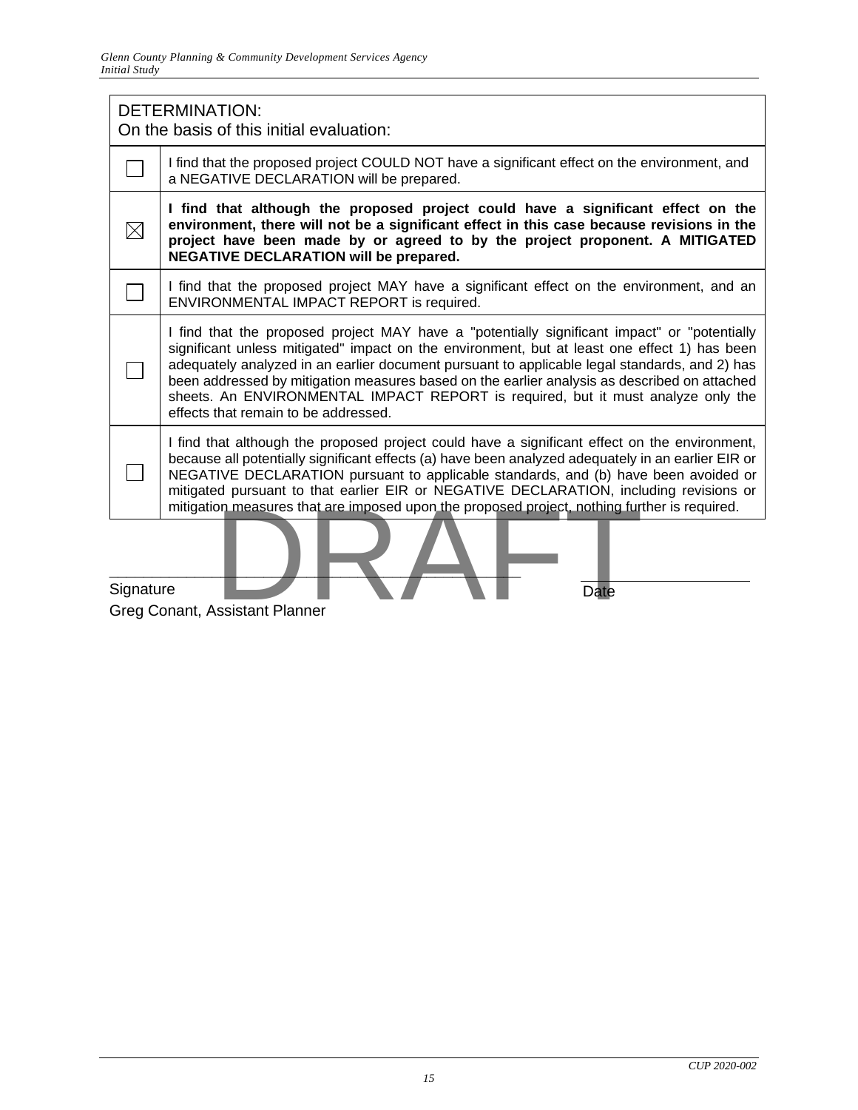|           | <b>DETERMINATION:</b><br>On the basis of this initial evaluation:                                                                                                                                                                                                                                                                                                                                                                                                                                                         |  |  |  |  |  |
|-----------|---------------------------------------------------------------------------------------------------------------------------------------------------------------------------------------------------------------------------------------------------------------------------------------------------------------------------------------------------------------------------------------------------------------------------------------------------------------------------------------------------------------------------|--|--|--|--|--|
|           | I find that the proposed project COULD NOT have a significant effect on the environment, and<br>a NEGATIVE DECLARATION will be prepared.                                                                                                                                                                                                                                                                                                                                                                                  |  |  |  |  |  |
| $\times$  | I find that although the proposed project could have a significant effect on the<br>environment, there will not be a significant effect in this case because revisions in the<br>project have been made by or agreed to by the project proponent. A MITIGATED<br><b>NEGATIVE DECLARATION will be prepared.</b>                                                                                                                                                                                                            |  |  |  |  |  |
|           | I find that the proposed project MAY have a significant effect on the environment, and an<br>ENVIRONMENTAL IMPACT REPORT is required.                                                                                                                                                                                                                                                                                                                                                                                     |  |  |  |  |  |
|           | I find that the proposed project MAY have a "potentially significant impact" or "potentially<br>significant unless mitigated" impact on the environment, but at least one effect 1) has been<br>adequately analyzed in an earlier document pursuant to applicable legal standards, and 2) has<br>been addressed by mitigation measures based on the earlier analysis as described on attached<br>sheets. An ENVIRONMENTAL IMPACT REPORT is required, but it must analyze only the<br>effects that remain to be addressed. |  |  |  |  |  |
|           | I find that although the proposed project could have a significant effect on the environment,<br>because all potentially significant effects (a) have been analyzed adequately in an earlier EIR or<br>NEGATIVE DECLARATION pursuant to applicable standards, and (b) have been avoided or<br>mitigated pursuant to that earlier EIR or NEGATIVE DECLARATION, including revisions or<br>mitigation measures that are imposed upon the proposed project, nothing further is required.                                      |  |  |  |  |  |
| Signature | Date<br>Greg Conant, Assistant Planner                                                                                                                                                                                                                                                                                                                                                                                                                                                                                    |  |  |  |  |  |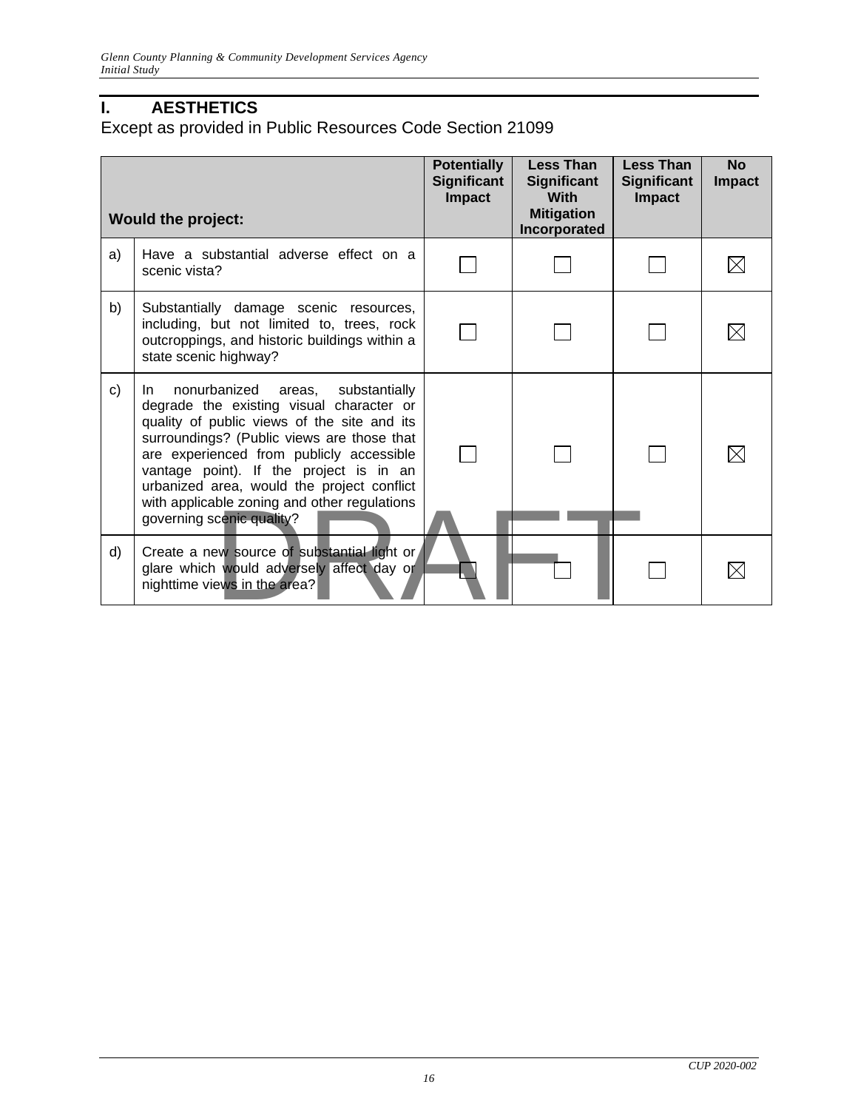# <span id="page-16-0"></span>**I. AESTHETICS**

<span id="page-16-1"></span>Except as provided in Public Resources Code Section 21099

|    | <b>Would the project:</b>                                                                                                                                                                                                                                                                                                                                                                           | <b>Potentially</b><br><b>Significant</b><br><b>Impact</b> | <b>Less Than</b><br><b>Significant</b><br><b>With</b><br><b>Mitigation</b><br>Incorporated | <b>Less Than</b><br><b>Significant</b><br><b>Impact</b> | <b>No</b><br><b>Impact</b> |
|----|-----------------------------------------------------------------------------------------------------------------------------------------------------------------------------------------------------------------------------------------------------------------------------------------------------------------------------------------------------------------------------------------------------|-----------------------------------------------------------|--------------------------------------------------------------------------------------------|---------------------------------------------------------|----------------------------|
| a) | Have a substantial adverse effect on a<br>scenic vista?                                                                                                                                                                                                                                                                                                                                             |                                                           |                                                                                            |                                                         |                            |
| b) | Substantially damage scenic resources,<br>including, but not limited to, trees, rock<br>outcroppings, and historic buildings within a<br>state scenic highway?                                                                                                                                                                                                                                      |                                                           |                                                                                            |                                                         |                            |
| C) | nonurbanized areas, substantially<br>In.<br>degrade the existing visual character or<br>quality of public views of the site and its<br>surroundings? (Public views are those that<br>are experienced from publicly accessible<br>vantage point). If the project is in an<br>urbanized area, would the project conflict<br>with applicable zoning and other regulations<br>governing scenic quality? |                                                           |                                                                                            |                                                         |                            |
| d) | Create a new source of substantial light or<br>glare which would adversely affect day or<br>nighttime views in the area?                                                                                                                                                                                                                                                                            |                                                           |                                                                                            |                                                         |                            |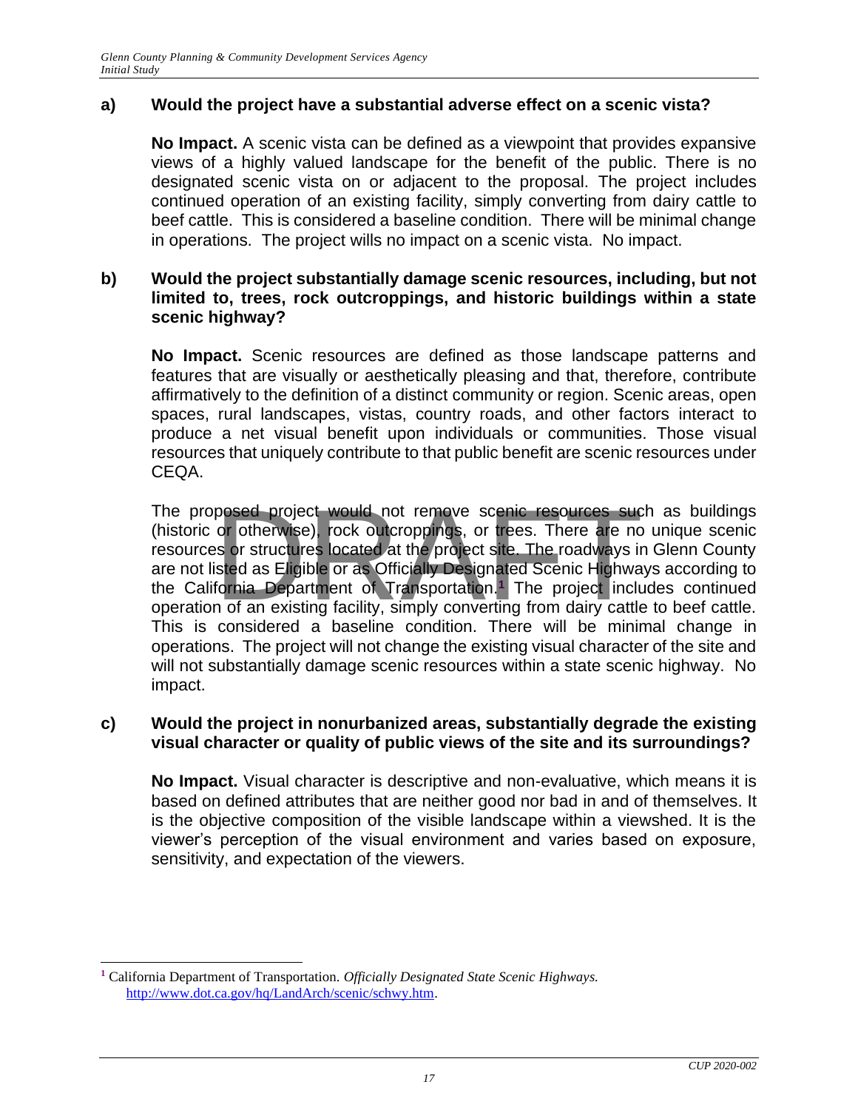# **a) Would the project have a substantial adverse effect on a scenic vista?**

**No Impact.** A scenic vista can be defined as a viewpoint that provides expansive views of a highly valued landscape for the benefit of the public. There is no designated scenic vista on or adjacent to the proposal. The project includes continued operation of an existing facility, simply converting from dairy cattle to beef cattle. This is considered a baseline condition. There will be minimal change in operations. The project wills no impact on a scenic vista. No impact.

#### **b) Would the project substantially damage scenic resources, including, but not limited to, trees, rock outcroppings, and historic buildings within a state scenic highway?**

**No Impact.** Scenic resources are defined as those landscape patterns and features that are visually or aesthetically pleasing and that, therefore, contribute affirmatively to the definition of a distinct community or region. Scenic areas, open spaces, rural landscapes, vistas, country roads, and other factors interact to produce a net visual benefit upon individuals or communities. Those visual resources that uniquely contribute to that public benefit are scenic resources under CEQA.

The proposed project would not remove scenic resources such as buildings (historic or otherwise), rock outcroppings, or trees. There are no unique scenic resources or structures located at the project site. The roadways in Glenn County are not listed as Eligible or as Officially Designated Scenic Highways according to the California Department of Transportation.**<sup>1</sup>** The project includes continued operation of an existing facility, simply converting from dairy cattle to beef cattle. This is considered a baseline condition. There will be minimal change in operations. The project will not change the existing visual character of the site and will not substantially damage scenic resources within a state scenic highway. No impact. posed project would not remove scenic resources suce<br>or otherwise), rock outcroppings, or trees. There are no<br>is or structures located at the project site. The roadways in<br>sted as Eligible or as Officially Designated Sceni

#### **c) Would the project in nonurbanized areas, substantially degrade the existing visual character or quality of public views of the site and its surroundings?**

**No Impact.** Visual character is descriptive and non-evaluative, which means it is based on defined attributes that are neither good nor bad in and of themselves. It is the objective composition of the visible landscape within a viewshed. It is the viewer's perception of the visual environment and varies based on exposure, sensitivity, and expectation of the viewers.

**<sup>1</sup>** California Department of Transportation. *Officially Designated State Scenic Highways.* [http://www.dot.ca.gov/hq/LandArch/scenic/schwy.htm.](http://www.dot.ca.gov/hq/LandArch/scenic/schwy.htm)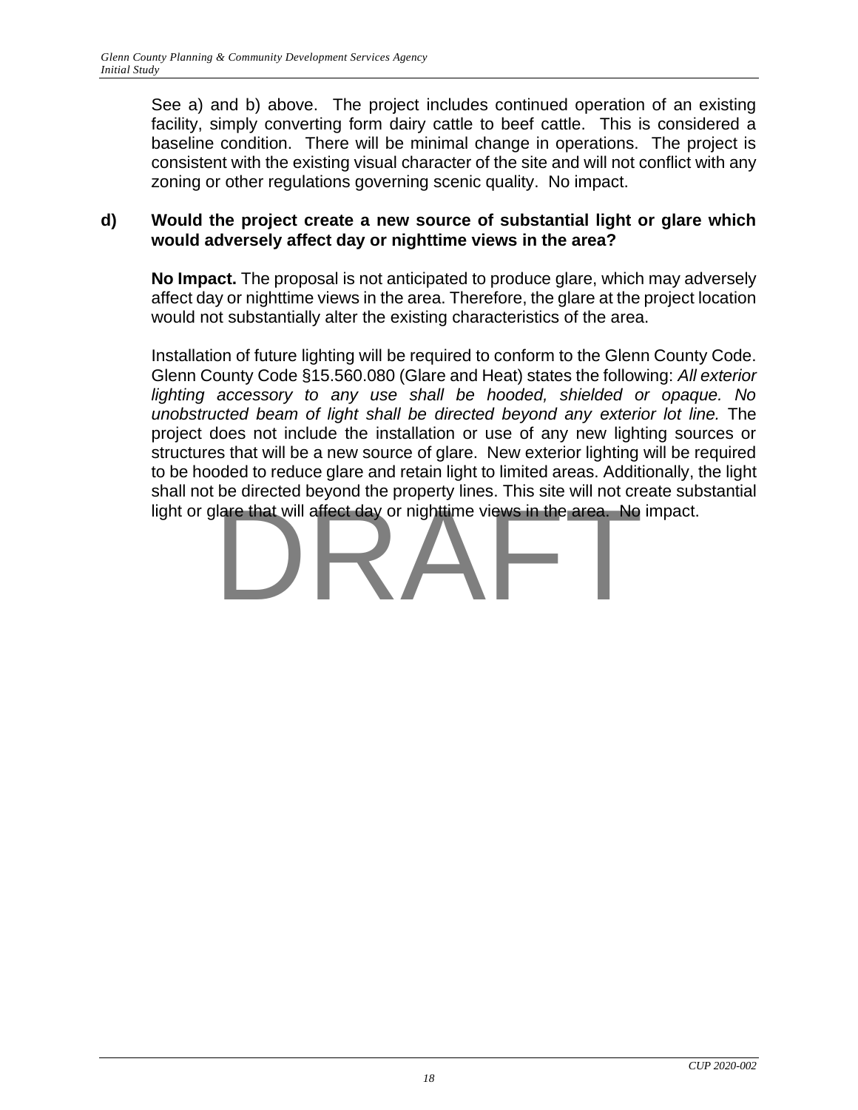See a) and b) above. The project includes continued operation of an existing facility, simply converting form dairy cattle to beef cattle. This is considered a baseline condition. There will be minimal change in operations. The project is consistent with the existing visual character of the site and will not conflict with any zoning or other regulations governing scenic quality. No impact.

### **d) Would the project create a new source of substantial light or glare which would adversely affect day or nighttime views in the area?**

**No Impact.** The proposal is not anticipated to produce glare, which may adversely affect day or nighttime views in the area. Therefore, the glare at the project location would not substantially alter the existing characteristics of the area.

Installation of future lighting will be required to conform to the Glenn County Code. Glenn County Code §15.560.080 (Glare and Heat) states the following: *All exterior lighting accessory to any use shall be hooded, shielded or opaque. No unobstructed beam of light shall be directed beyond any exterior lot line.* The project does not include the installation or use of any new lighting sources or structures that will be a new source of glare. New exterior lighting will be required to be hooded to reduce glare and retain light to limited areas. Additionally, the light shall not be directed beyond the property lines. This site will not create substantial

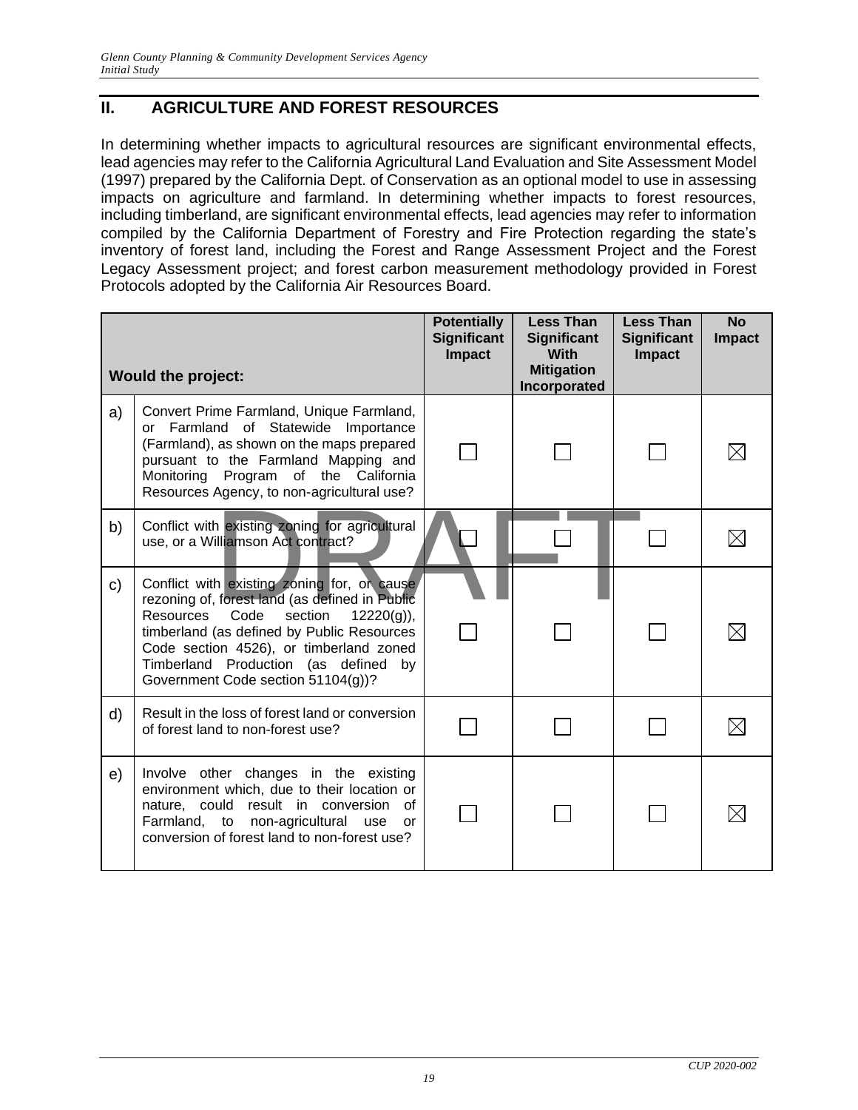# <span id="page-19-0"></span>**II. AGRICULTURE AND FOREST RESOURCES**

In determining whether impacts to agricultural resources are significant environmental effects, lead agencies may refer to the California Agricultural Land Evaluation and Site Assessment Model (1997) prepared by the California Dept. of Conservation as an optional model to use in assessing impacts on agriculture and farmland. In determining whether impacts to forest resources, including timberland, are significant environmental effects, lead agencies may refer to information compiled by the California Department of Forestry and Fire Protection regarding the state's inventory of forest land, including the Forest and Range Assessment Project and the Forest Legacy Assessment project; and forest carbon measurement methodology provided in Forest Protocols adopted by the California Air Resources Board.

|    | <b>Would the project:</b>                                                                                                                                                                                                                                                                                                   | <b>Potentially</b><br><b>Significant</b><br><b>Impact</b> | <b>Less Than</b><br><b>Significant</b><br><b>With</b><br><b>Mitigation</b><br>Incorporated | <b>Less Than</b><br><b>Significant</b><br><b>Impact</b> | <b>No</b><br><b>Impact</b> |
|----|-----------------------------------------------------------------------------------------------------------------------------------------------------------------------------------------------------------------------------------------------------------------------------------------------------------------------------|-----------------------------------------------------------|--------------------------------------------------------------------------------------------|---------------------------------------------------------|----------------------------|
| a) | Convert Prime Farmland, Unique Farmland,<br>Farmland of Statewide Importance<br>$\alpha$<br>(Farmland), as shown on the maps prepared<br>pursuant to the Farmland Mapping and<br>Monitoring Program of the California<br>Resources Agency, to non-agricultural use?                                                         |                                                           |                                                                                            |                                                         |                            |
| b) | Conflict with existing zoning for agricultural<br>use, or a Williamson Act contract?                                                                                                                                                                                                                                        |                                                           |                                                                                            |                                                         |                            |
| C) | Conflict with existing zoning for, or cause<br>rezoning of, forest land (as defined in Public<br><b>Resources</b><br>Code<br>section<br>$12220(g)$ ,<br>timberland (as defined by Public Resources<br>Code section 4526), or timberland zoned<br>Timberland Production (as defined by<br>Government Code section 51104(g))? |                                                           |                                                                                            |                                                         |                            |
| d) | Result in the loss of forest land or conversion<br>of forest land to non-forest use?                                                                                                                                                                                                                                        |                                                           |                                                                                            |                                                         |                            |
| e) | Involve other changes in the existing<br>environment which, due to their location or<br>nature, could result in conversion<br>0f<br>Farmland, to non-agricultural use<br>or<br>conversion of forest land to non-forest use?                                                                                                 |                                                           |                                                                                            |                                                         |                            |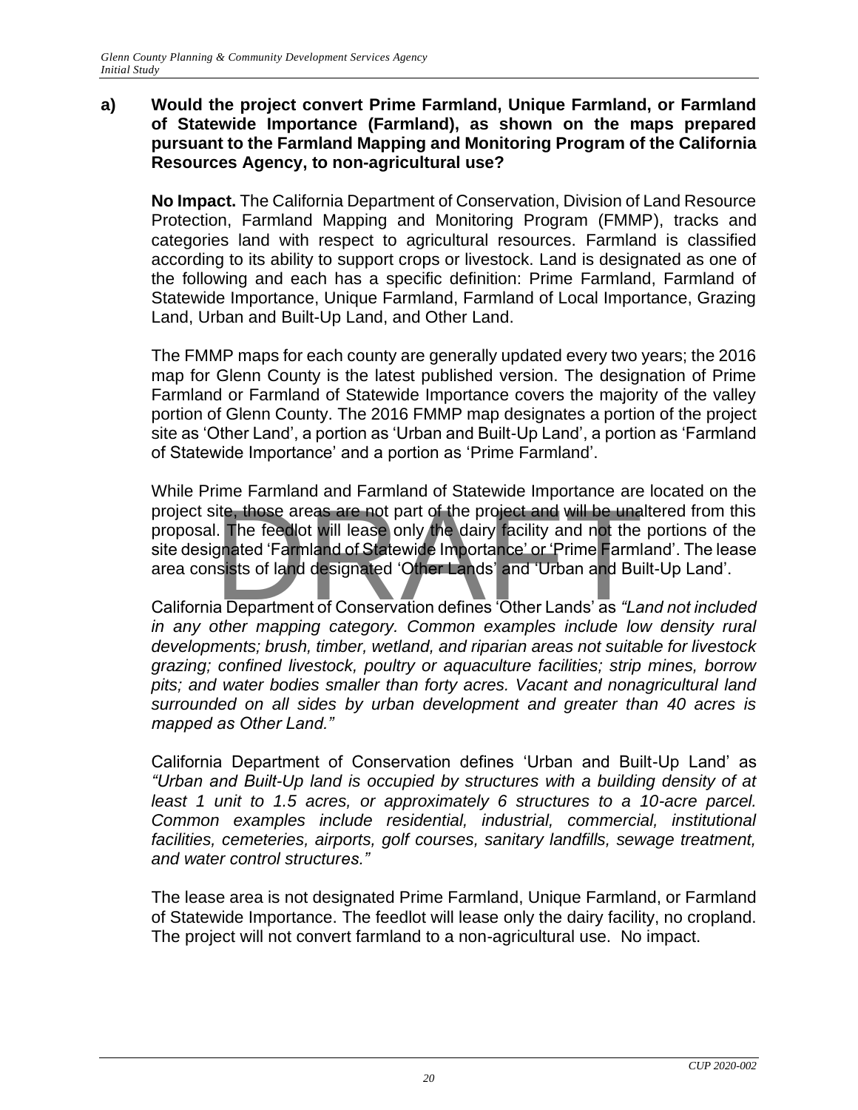#### **a) Would the project convert Prime Farmland, Unique Farmland, or Farmland of Statewide Importance (Farmland), as shown on the maps prepared pursuant to the Farmland Mapping and Monitoring Program of the California Resources Agency, to non-agricultural use?**

**No Impact.** The California Department of Conservation, Division of Land Resource Protection, Farmland Mapping and Monitoring Program (FMMP), tracks and categories land with respect to agricultural resources. Farmland is classified according to its ability to support crops or livestock. Land is designated as one of the following and each has a specific definition: Prime Farmland, Farmland of Statewide Importance, Unique Farmland, Farmland of Local Importance, Grazing Land, Urban and Built-Up Land, and Other Land.

The FMMP maps for each county are generally updated every two years; the 2016 map for Glenn County is the latest published version. The designation of Prime Farmland or Farmland of Statewide Importance covers the majority of the valley portion of Glenn County. The 2016 FMMP map designates a portion of the project site as 'Other Land', a portion as 'Urban and Built-Up Land', a portion as 'Farmland of Statewide Importance' and a portion as 'Prime Farmland'.

While Prime Farmland and Farmland of Statewide Importance are located on the project site, those areas are not part of the project and will be unaltered from this proposal. The feedlot will lease only the dairy facility and not the portions of the site designated 'Farmland of Statewide Importance' proposal. The feedlot will lease only the dairy facility and not the portions of the site designated 'Farmland of Statewide Importance' or 'Prime Farmland'. The lease area consists of land designated 'Other Lands' and 'Urban and Built-Up Land'.

California Department of Conservation defines 'Other Lands' as *"Land not included in any other mapping category. Common examples include low density rural developments; brush, timber, wetland, and riparian areas not suitable for livestock grazing; confined livestock, poultry or aquaculture facilities; strip mines, borrow pits; and water bodies smaller than forty acres. Vacant and nonagricultural land surrounded on all sides by urban development and greater than 40 acres is mapped as Other Land."*

California Department of Conservation defines 'Urban and Built-Up Land' as *"Urban and Built-Up land is occupied by structures with a building density of at least 1 unit to 1.5 acres, or approximately 6 structures to a 10-acre parcel. Common examples include residential, industrial, commercial, institutional facilities, cemeteries, airports, golf courses, sanitary landfills, sewage treatment, and water control structures."*

The lease area is not designated Prime Farmland, Unique Farmland, or Farmland of Statewide Importance. The feedlot will lease only the dairy facility, no cropland. The project will not convert farmland to a non-agricultural use. No impact.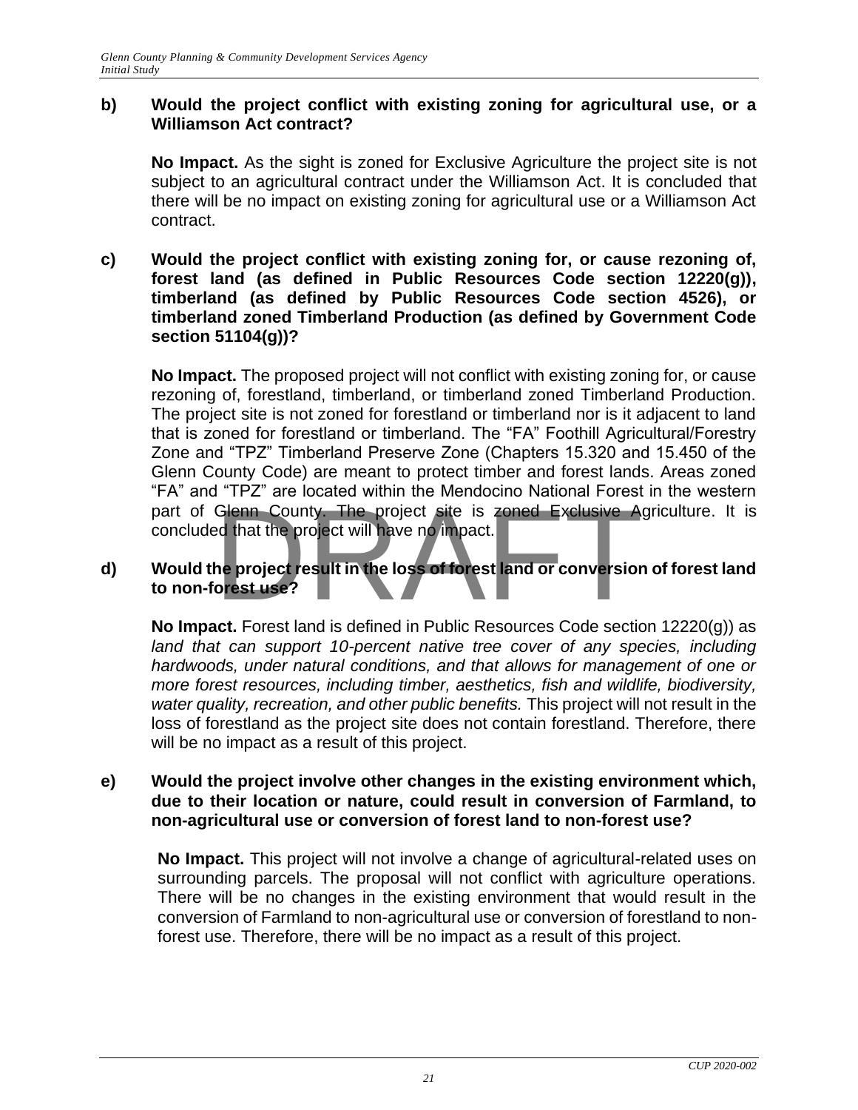### **b) Would the project conflict with existing zoning for agricultural use, or a Williamson Act contract?**

**No Impact.** As the sight is zoned for Exclusive Agriculture the project site is not subject to an agricultural contract under the Williamson Act. It is concluded that there will be no impact on existing zoning for agricultural use or a Williamson Act contract.

**c) Would the project conflict with existing zoning for, or cause rezoning of, forest land (as defined in Public Resources Code section 12220(g)), timberland (as defined by Public Resources Code section 4526), or timberland zoned Timberland Production (as defined by Government Code section 51104(g))?**

**No Impact.** The proposed project will not conflict with existing zoning for, or cause rezoning of, forestland, timberland, or timberland zoned Timberland Production. The project site is not zoned for forestland or timberland nor is it adjacent to land that is zoned for forestland or timberland. The "FA" Foothill Agricultural/Forestry Zone and "TPZ" Timberland Preserve Zone (Chapters 15.320 and 15.450 of the Glenn County Code) are meant to protect timber and forest lands. Areas zoned "FA" and "TPZ" are located within the Mendocino National Forest in the western part of Glenn County. The project site is zoned Exclusive Agriculture. It is concluded that the project will have no impact. Glenn County. The project site is zoned Exclusive Area that the project will have no impact.<br>The project result in the loss of forest land or conversion<br>orest use?

### **d) Would the project result in the loss of forest land or conversion of forest land to non-forest use?**

**No Impact.** Forest land is defined in Public Resources Code section 12220(g)) as land that can support 10-percent native tree cover of any species, including *hardwoods, under natural conditions, and that allows for management of one or more forest resources, including timber, aesthetics, fish and wildlife, biodiversity, water quality, recreation, and other public benefits.* This project will not result in the loss of forestland as the project site does not contain forestland. Therefore, there will be no impact as a result of this project.

#### **e) Would the project involve other changes in the existing environment which, due to their location or nature, could result in conversion of Farmland, to non-agricultural use or conversion of forest land to non-forest use?**

**No Impact.** This project will not involve a change of agricultural-related uses on surrounding parcels. The proposal will not conflict with agriculture operations. There will be no changes in the existing environment that would result in the conversion of Farmland to non-agricultural use or conversion of forestland to nonforest use. Therefore, there will be no impact as a result of this project.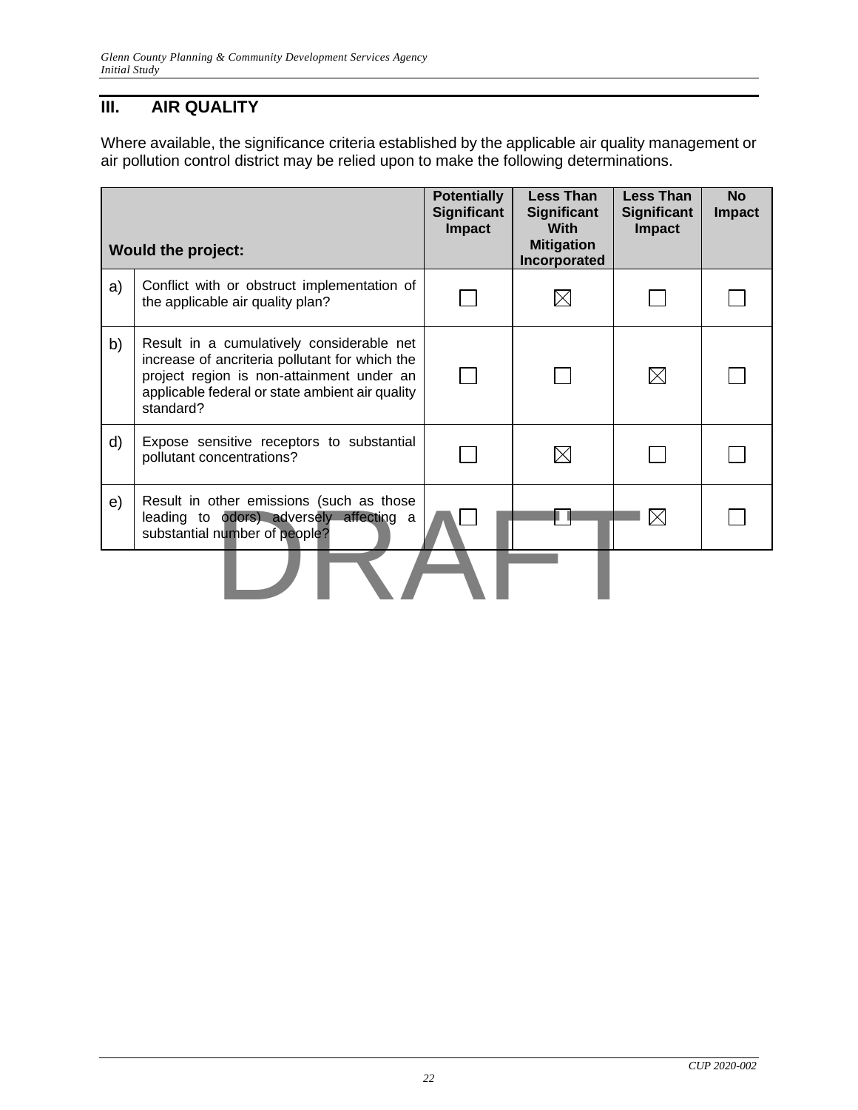# <span id="page-22-0"></span>**III. AIR QUALITY**

Where available, the significance criteria established by the applicable air quality management or air pollution control district may be relied upon to make the following determinations.

|    | <b>Would the project:</b>                                                                                                                                                                                | <b>Potentially</b><br><b>Significant</b><br><b>Impact</b> | <b>Less Than</b><br><b>Significant</b><br><b>With</b><br><b>Mitigation</b><br>Incorporated | <b>Less Than</b><br><b>Significant</b><br><b>Impact</b> | <b>No</b><br><b>Impact</b> |
|----|----------------------------------------------------------------------------------------------------------------------------------------------------------------------------------------------------------|-----------------------------------------------------------|--------------------------------------------------------------------------------------------|---------------------------------------------------------|----------------------------|
| a) | Conflict with or obstruct implementation of<br>the applicable air quality plan?                                                                                                                          |                                                           |                                                                                            |                                                         |                            |
| b) | Result in a cumulatively considerable net<br>increase of ancriteria pollutant for which the<br>project region is non-attainment under an<br>applicable federal or state ambient air quality<br>standard? |                                                           |                                                                                            | $\boxtimes$                                             |                            |
| d) | Expose sensitive receptors to substantial<br>pollutant concentrations?                                                                                                                                   |                                                           |                                                                                            |                                                         |                            |
| e) | Result in other emissions (such as those<br>leading to odors) adversely affecting a<br>substantial number of people?                                                                                     |                                                           |                                                                                            | $\boxtimes$                                             |                            |
|    |                                                                                                                                                                                                          |                                                           |                                                                                            |                                                         |                            |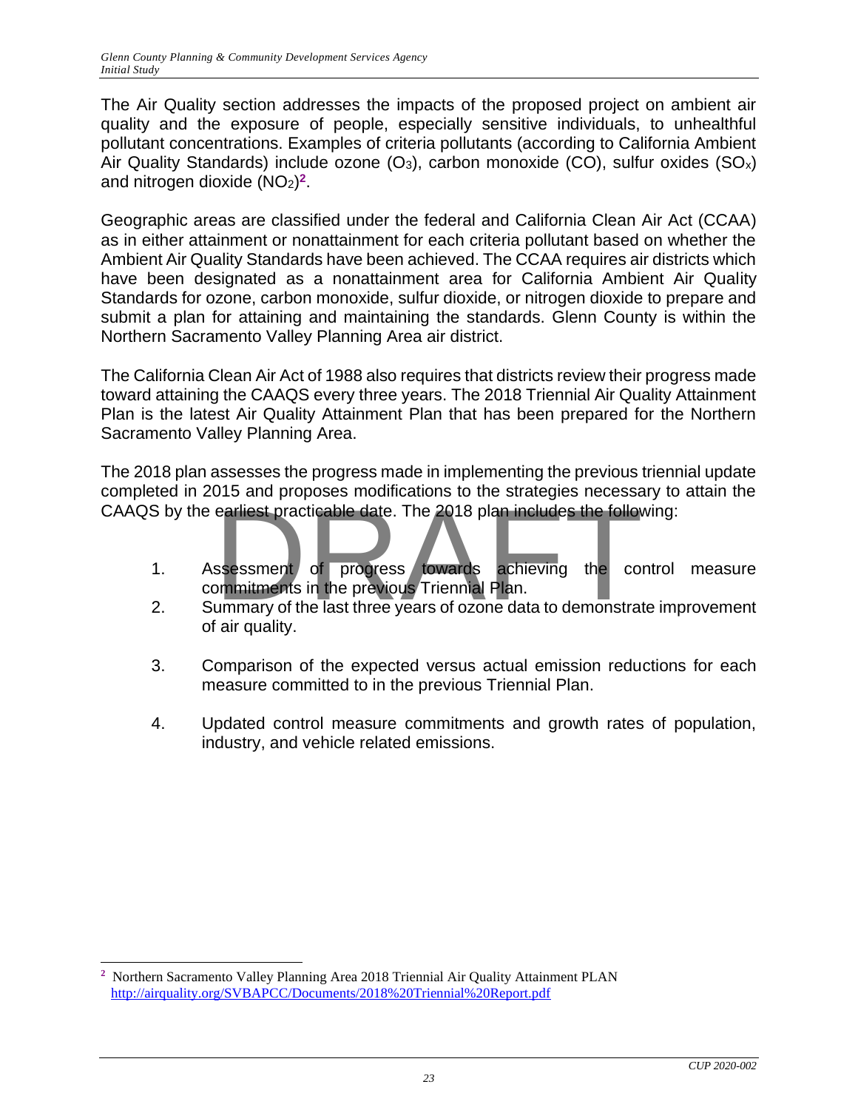The Air Quality section addresses the impacts of the proposed project on ambient air quality and the exposure of people, especially sensitive individuals, to unhealthful pollutant concentrations. Examples of criteria pollutants (according to California Ambient Air Quality Standards) include ozone  $(O_3)$ , carbon monoxide  $(CO)$ , sulfur oxides  $(SO_x)$ and nitrogen dioxide (NO<sub>2</sub>)<sup>2</sup>.

Geographic areas are classified under the federal and California Clean Air Act (CCAA) as in either attainment or nonattainment for each criteria pollutant based on whether the Ambient Air Quality Standards have been achieved. The CCAA requires air districts which have been designated as a nonattainment area for California Ambient Air Quality Standards for ozone, carbon monoxide, sulfur dioxide, or nitrogen dioxide to prepare and submit a plan for attaining and maintaining the standards. Glenn County is within the Northern Sacramento Valley Planning Area air district.

The California Clean Air Act of 1988 also requires that districts review their progress made toward attaining the CAAQS every three years. The 2018 Triennial Air Quality Attainment Plan is the latest Air Quality Attainment Plan that has been prepared for the Northern Sacramento Valley Planning Area.

The 2018 plan assesses the progress made in implementing the previous triennial update completed in 2015 and proposes modifications to the strategies necessary to attain the

- CAAQS by the earliest practicable date. The 2018 plan includes the following:<br>
1. Assessment of progress towards achieving the control<br>
2. Summary of the last three years of ozone data to demonstrate im 1. Assessment of progress towards achieving the control measure commitments in the previous Triennial Plan.
	- 2. Summary of the last three years of ozone data to demonstrate improvement of air quality.
	- 3. Comparison of the expected versus actual emission reductions for each measure committed to in the previous Triennial Plan.
	- 4. Updated control measure commitments and growth rates of population, industry, and vehicle related emissions.

**<sup>2</sup>** Northern Sacramento Valley Planning Area 2018 Triennial Air Quality Attainment PLAN <http://airquality.org/SVBAPCC/Documents/2018%20Triennial%20Report.pdf>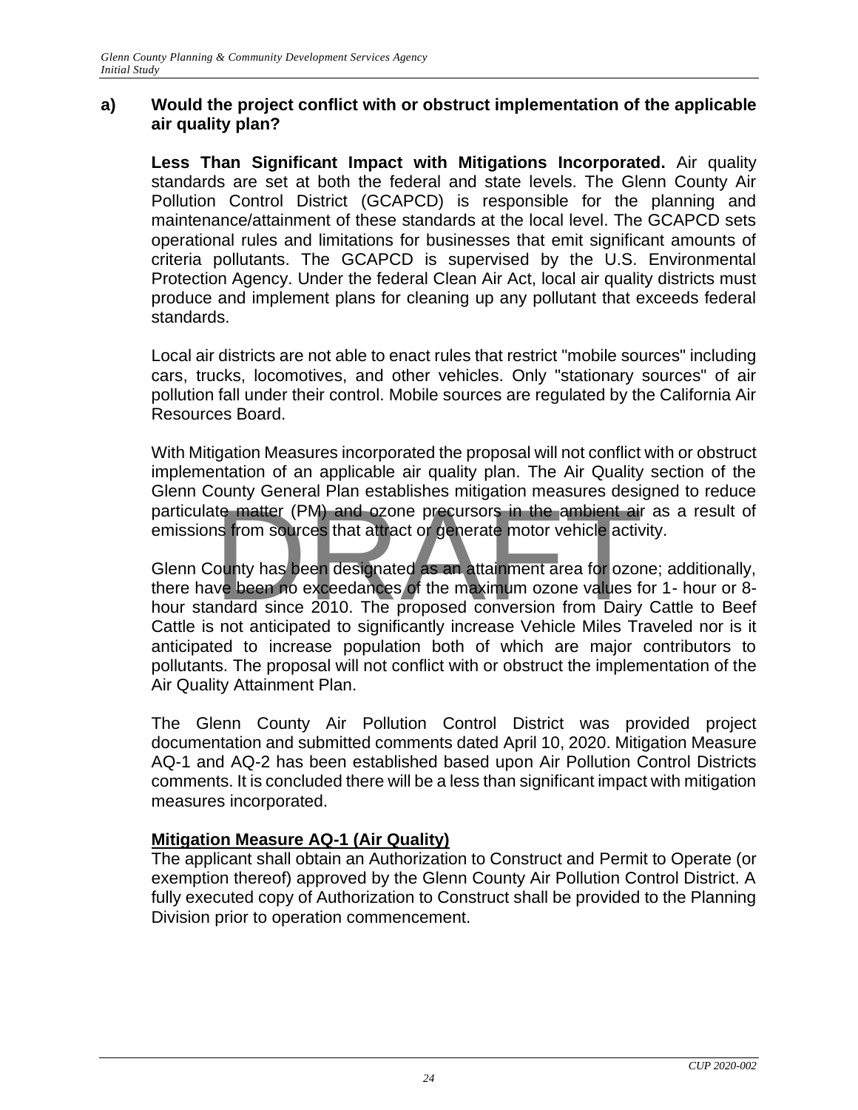#### **a) Would the project conflict with or obstruct implementation of the applicable air quality plan?**

**Less Than Significant Impact with Mitigations Incorporated.** Air quality standards are set at both the federal and state levels. The Glenn County Air Pollution Control District (GCAPCD) is responsible for the planning and maintenance/attainment of these standards at the local level. The GCAPCD sets operational rules and limitations for businesses that emit significant amounts of criteria pollutants. The GCAPCD is supervised by the U.S. Environmental Protection Agency. Under the federal Clean Air Act, local air quality districts must produce and implement plans for cleaning up any pollutant that exceeds federal standards.

Local air districts are not able to enact rules that restrict "mobile sources" including cars, trucks, locomotives, and other vehicles. Only "stationary sources" of air pollution fall under their control. Mobile sources are regulated by the California Air Resources Board.

With Mitigation Measures incorporated the proposal will not conflict with or obstruct implementation of an applicable air quality plan. The Air Quality section of the Glenn County General Plan establishes mitigation measures designed to reduce emissions from sources that attract or generate motor vehicle activity.

particulate matter (PM) and ozone precursors in the ambient air as a result of emissions from sources that attract or generate motor vehicle activity.<br>Glenn County has been designated as an attainment area for ozone; addit Glenn County has been designated as an attainment area for ozone; additionally, there have been no exceedances of the maximum ozone values for 1- hour or 8 hour standard since 2010. The proposed conversion from Dairy Cattle to Beef Cattle is not anticipated to significantly increase Vehicle Miles Traveled nor is it anticipated to increase population both of which are major contributors to pollutants. The proposal will not conflict with or obstruct the implementation of the Air Quality Attainment Plan.

The Glenn County Air Pollution Control District was provided project documentation and submitted comments dated April 10, 2020. Mitigation Measure AQ-1 and AQ-2 has been established based upon Air Pollution Control Districts comments. It is concluded there will be a less than significant impact with mitigation measures incorporated.

# **Mitigation Measure AQ-1 (Air Quality)**

The applicant shall obtain an Authorization to Construct and Permit to Operate (or exemption thereof) approved by the Glenn County Air Pollution Control District. A fully executed copy of Authorization to Construct shall be provided to the Planning Division prior to operation commencement.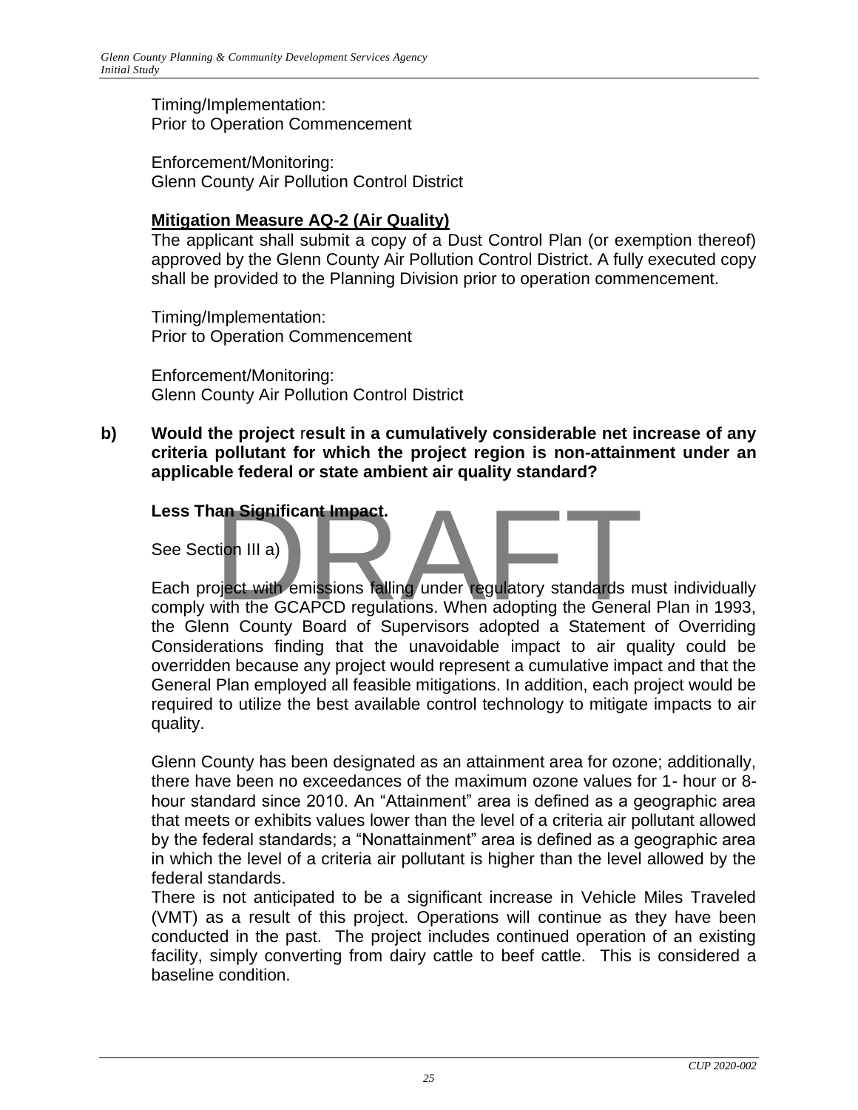Timing/Implementation: Prior to Operation Commencement

Enforcement/Monitoring: Glenn County Air Pollution Control District

# **Mitigation Measure AQ-2 (Air Quality)**

The applicant shall submit a copy of a Dust Control Plan (or exemption thereof) approved by the Glenn County Air Pollution Control District. A fully executed copy shall be provided to the Planning Division prior to operation commencement.

Timing/Implementation: Prior to Operation Commencement

Enforcement/Monitoring: Glenn County Air Pollution Control District

**b) Would the project** r**esult in a cumulatively considerable net increase of any criteria pollutant for which the project region is non-attainment under an applicable federal or state ambient air quality standard?**

### **Less Than Significant Impact.**

See Section III a)

Each project with emissions falling under regulatory standards must individually comply with the GCAPCD regulations. When adopting the General Plan in 1993, the Glenn County Board of Supervisors adopted a Statement of Overriding Considerations finding that the unavoidable impact to air quality could be overridden because any project would represent a cumulative impact and that the General Plan employed all feasible mitigations. In addition, each project would be required to utilize the best available control technology to mitigate impacts to air quality. an Significant Impact.<br>
tion III a)<br>
Diect with emissions falling under regulatory standards m<br>
with the GCAPCD regulations. When adopting the General

Glenn County has been designated as an attainment area for ozone; additionally, there have been no exceedances of the maximum ozone values for 1- hour or 8 hour standard since 2010. An "Attainment" area is defined as a geographic area that meets or exhibits values lower than the level of a criteria air pollutant allowed by the federal standards; a "Nonattainment" area is defined as a geographic area in which the level of a criteria air pollutant is higher than the level allowed by the federal standards.

There is not anticipated to be a significant increase in Vehicle Miles Traveled (VMT) as a result of this project. Operations will continue as they have been conducted in the past. The project includes continued operation of an existing facility, simply converting from dairy cattle to beef cattle. This is considered a baseline condition.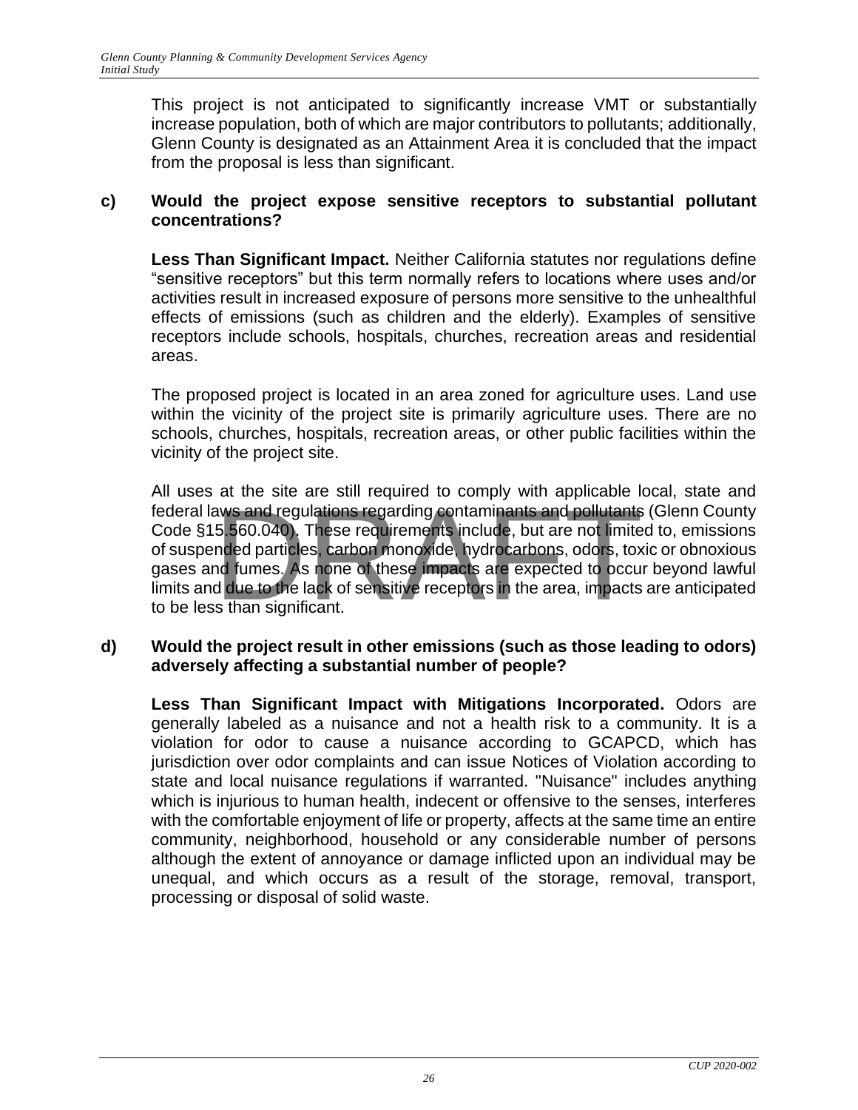This project is not anticipated to significantly increase VMT or substantially increase population, both of which are major contributors to pollutants; additionally, Glenn County is designated as an Attainment Area it is concluded that the impact from the proposal is less than significant.

### **c) Would the project expose sensitive receptors to substantial pollutant concentrations?**

**Less Than Significant Impact.** Neither California statutes nor regulations define "sensitive receptors" but this term normally refers to locations where uses and/or activities result in increased exposure of persons more sensitive to the unhealthful effects of emissions (such as children and the elderly). Examples of sensitive receptors include schools, hospitals, churches, recreation areas and residential areas.

The proposed project is located in an area zoned for agriculture uses. Land use within the vicinity of the project site is primarily agriculture uses. There are no schools, churches, hospitals, recreation areas, or other public facilities within the vicinity of the project site.

All uses at the site are still required to comply with applicable local, state and federal laws and regulations regarding contaminants and pollutants (Glenn County Code §15.560.040). These requirements include, but are not limited to, emissions of suspended particles, carbon monoxide, hydrocarbons, odors, toxic or obnoxious gases and fumes. As none of these impacts are expected to occur beyond lawful limits and due to the lack of sensitive receptors in the area, impacts are anticipated to be less than significant. at the site of sum required to somply that approaches the<br>aws and regulations regarding contaminants and pollutants<br>5.560.040). These requirements include, but are not limite<br>nded particles, carbon monoxide, hydrocarbons,

# **d) Would the project result in other emissions (such as those leading to odors) adversely affecting a substantial number of people?**

**Less Than Significant Impact with Mitigations Incorporated.** Odors are generally labeled as a nuisance and not a health risk to a community. It is a violation for odor to cause a nuisance according to GCAPCD, which has jurisdiction over odor complaints and can issue Notices of Violation according to state and local nuisance regulations if warranted. "Nuisance" includes anything which is injurious to human health, indecent or offensive to the senses, interferes with the comfortable enjoyment of life or property, affects at the same time an entire community, neighborhood, household or any considerable number of persons although the extent of annoyance or damage inflicted upon an individual may be unequal, and which occurs as a result of the storage, removal, transport, processing or disposal of solid waste.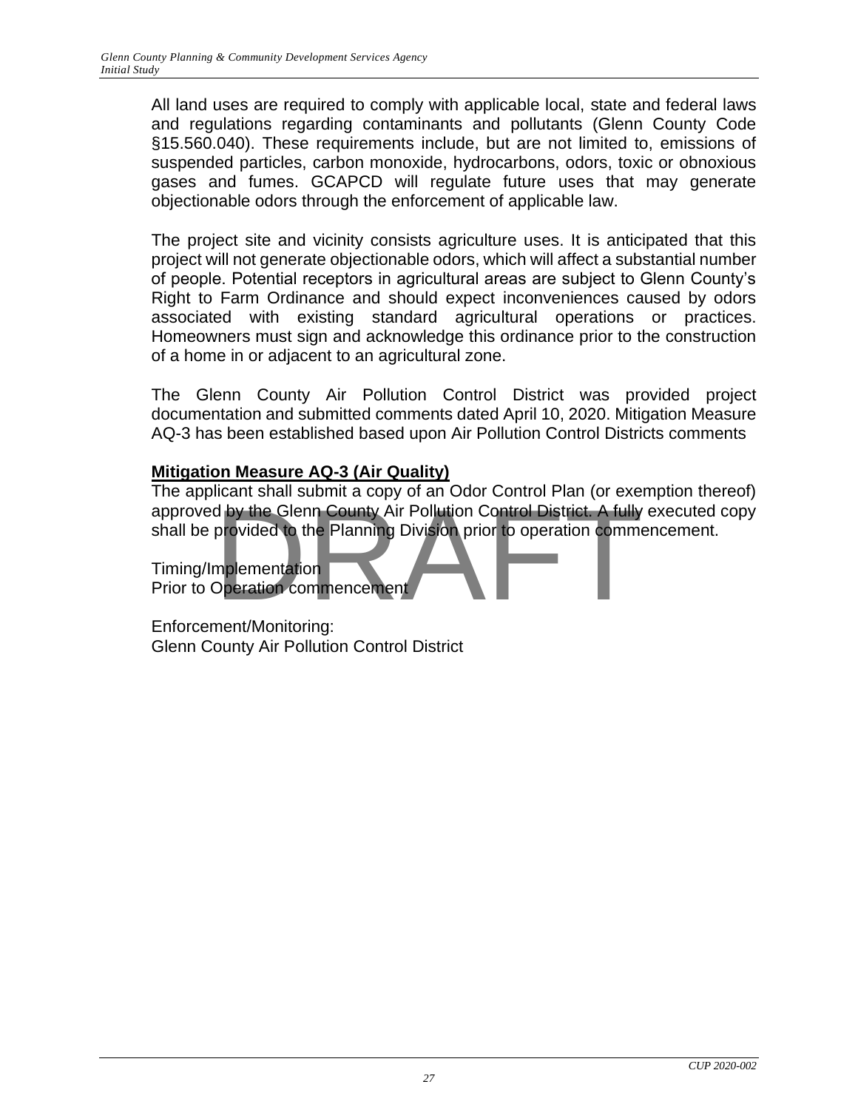All land uses are required to comply with applicable local, state and federal laws and regulations regarding contaminants and pollutants (Glenn County Code §15.560.040). These requirements include, but are not limited to, emissions of suspended particles, carbon monoxide, hydrocarbons, odors, toxic or obnoxious gases and fumes. GCAPCD will regulate future uses that may generate objectionable odors through the enforcement of applicable law.

The project site and vicinity consists agriculture uses. It is anticipated that this project will not generate objectionable odors, which will affect a substantial number of people. Potential receptors in agricultural areas are subject to Glenn County's Right to Farm Ordinance and should expect inconveniences caused by odors associated with existing standard agricultural operations or practices. Homeowners must sign and acknowledge this ordinance prior to the construction of a home in or adjacent to an agricultural zone.

The Glenn County Air Pollution Control District was provided project documentation and submitted comments dated April 10, 2020. Mitigation Measure AQ-3 has been established based upon Air Pollution Control Districts comments

# **Mitigation Measure AQ-3 (Air Quality)**

The applicant shall submit a copy of an Odor Control Plan (or exemption thereof) approved by the Glenn County Air Pollution Control District. A fully executed copy shall be provided to the Planning Division prior to operation commencement. d by the Glenn County Air Pollution Control District. A fully<br>provided to the Planning Division prior to operation common<br>plementation<br>Dperation commencement

Timing/Implementation Prior to Operation commencement

Enforcement/Monitoring: Glenn County Air Pollution Control District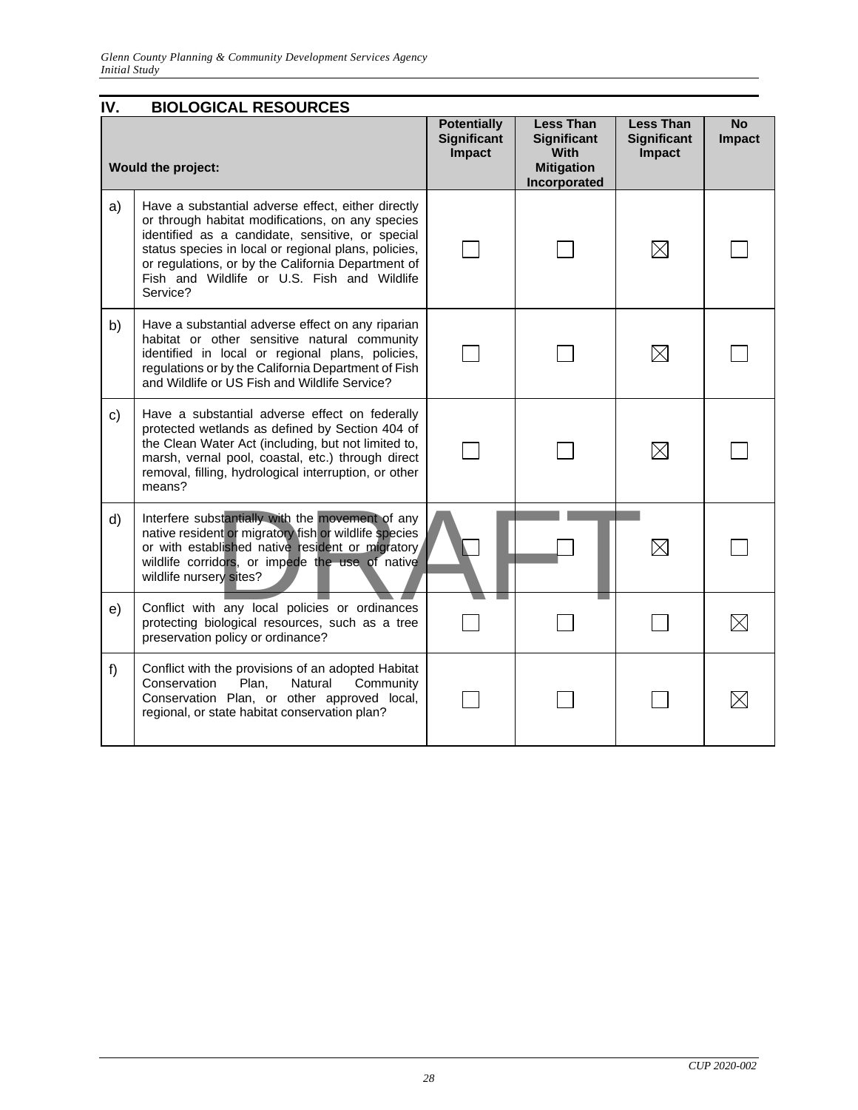<span id="page-28-0"></span>

| IV. | <b>BIOLOGICAL RESOURCES</b>                                                                                                                                                                                                                                                                                                         |                                                    |                                                                                            |                                                  |              |
|-----|-------------------------------------------------------------------------------------------------------------------------------------------------------------------------------------------------------------------------------------------------------------------------------------------------------------------------------------|----------------------------------------------------|--------------------------------------------------------------------------------------------|--------------------------------------------------|--------------|
|     | <b>Would the project:</b>                                                                                                                                                                                                                                                                                                           | <b>Potentially</b><br><b>Significant</b><br>Impact | <b>Less Than</b><br><b>Significant</b><br><b>With</b><br><b>Mitigation</b><br>Incorporated | <b>Less Than</b><br><b>Significant</b><br>Impact | No<br>Impact |
| a)  | Have a substantial adverse effect, either directly<br>or through habitat modifications, on any species<br>identified as a candidate, sensitive, or special<br>status species in local or regional plans, policies,<br>or regulations, or by the California Department of<br>Fish and Wildlife or U.S. Fish and Wildlife<br>Service? |                                                    |                                                                                            | $\boxtimes$                                      |              |
| b)  | Have a substantial adverse effect on any riparian<br>habitat or other sensitive natural community<br>identified in local or regional plans, policies,<br>regulations or by the California Department of Fish<br>and Wildlife or US Fish and Wildlife Service?                                                                       |                                                    |                                                                                            | $\boxtimes$                                      |              |
| C)  | Have a substantial adverse effect on federally<br>protected wetlands as defined by Section 404 of<br>the Clean Water Act (including, but not limited to,<br>marsh, vernal pool, coastal, etc.) through direct<br>removal, filling, hydrological interruption, or other<br>means?                                                    |                                                    |                                                                                            | $\boxtimes$                                      |              |
| d)  | Interfere substantially with the movement of any<br>native resident or migratory fish or wildlife species<br>or with established native resident or migratory<br>wildlife corridors, or impede the use of native<br>wildlife nursery sites?                                                                                         |                                                    |                                                                                            | $\boxtimes$                                      |              |
| e)  | Conflict with any local policies or ordinances<br>protecting biological resources, such as a tree<br>preservation policy or ordinance?                                                                                                                                                                                              |                                                    |                                                                                            |                                                  |              |
| f)  | Conflict with the provisions of an adopted Habitat<br>Plan,<br>Natural<br>Community<br>Conservation<br>Conservation Plan, or other approved local,<br>regional, or state habitat conservation plan?                                                                                                                                 |                                                    |                                                                                            |                                                  |              |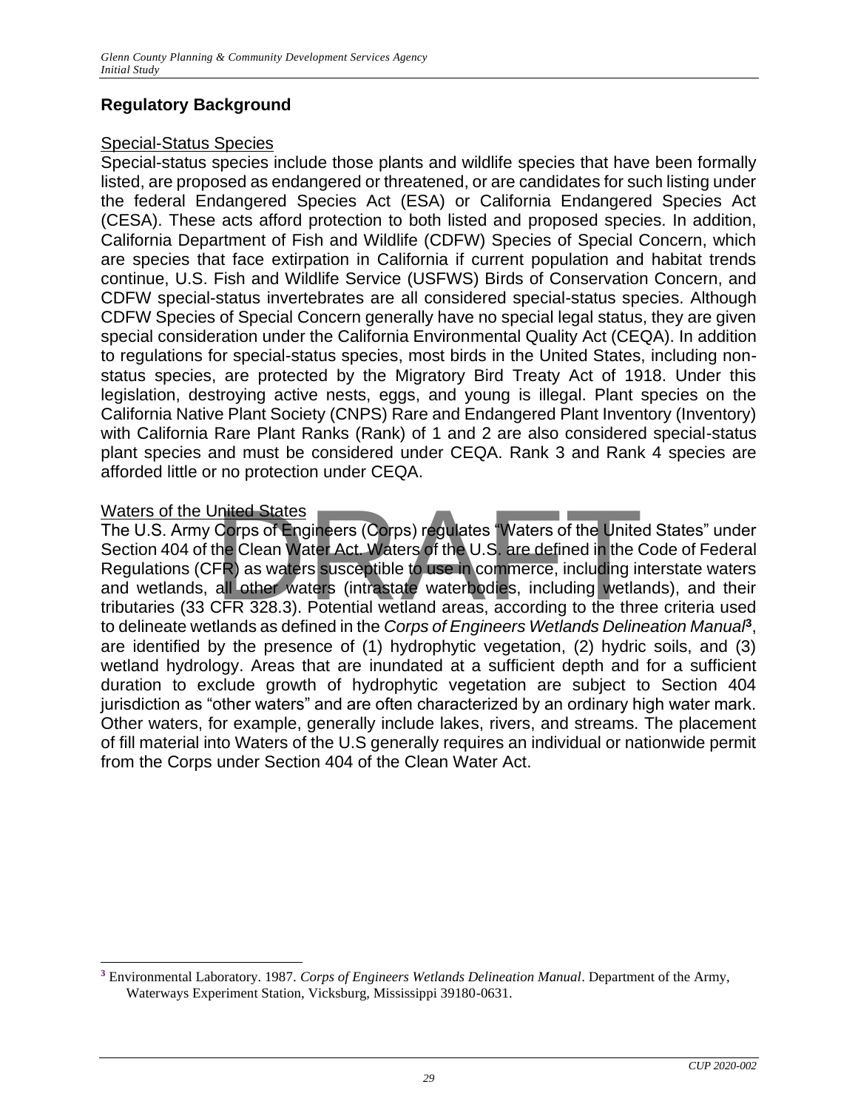# **Regulatory Background**

# Special-Status Species

Special-status species include those plants and wildlife species that have been formally listed, are proposed as endangered or threatened, or are candidates for such listing under the federal Endangered Species Act (ESA) or California Endangered Species Act (CESA). These acts afford protection to both listed and proposed species. In addition, California Department of Fish and Wildlife (CDFW) Species of Special Concern, which are species that face extirpation in California if current population and habitat trends continue, U.S. Fish and Wildlife Service (USFWS) Birds of Conservation Concern, and CDFW special-status invertebrates are all considered special-status species. Although CDFW Species of Special Concern generally have no special legal status, they are given special consideration under the California Environmental Quality Act (CEQA). In addition to regulations for special-status species, most birds in the United States, including nonstatus species, are protected by the Migratory Bird Treaty Act of 1918. Under this legislation, destroying active nests, eggs, and young is illegal. Plant species on the California Native Plant Society (CNPS) Rare and Endangered Plant Inventory (Inventory) with California Rare Plant Ranks (Rank) of 1 and 2 are also considered special-status plant species and must be considered under CEQA. Rank 3 and Rank 4 species are afforded little or no protection under CEQA.

### Waters of the United States

The U.S. Army Corps of Engineers (Corps) regulates "Waters of the United States" under Section 404 of the Clean Water Act. Waters of the U.S. are defined in the Code of Federal Regulations (CFR) as waters susceptible to use in commerce, including interstate waters and wetlands, all other waters (intrastate waterbodies, including wetlands), and their tributaries (33 CFR 328.3). Potential wetland areas, according to the three criteria used to delineate wetlands as defined in the *Corps of Engineers Wetlands Delineation Manual***<sup>3</sup>** , are identified by the presence of (1) hydrophytic vegetation, (2) hydric soils, and (3) wetland hydrology. Areas that are inundated at a sufficient depth and for a sufficient duration to exclude growth of hydrophytic vegetation are subject to Section 404 jurisdiction as "other waters" and are often characterized by an ordinary high water mark. Other waters, for example, generally include lakes, rivers, and streams. The placement of fill material into Waters of the U.S generally requires an individual or nationwide permit from the Corps under Section 404 of the Clean Water Act. Inited States<br>Corps of Engineers (Corps) regulates "Waters of the Unite<br>he Clean Water Act. Waters of the U.S. are defined in the C<br>FR) as waters susceptible to use in commerce, including ir<br>all other waters (intrastate wa

**<sup>3</sup>** Environmental Laboratory. 1987. *Corps of Engineers Wetlands Delineation Manual*. Department of the Army, Waterways Experiment Station, Vicksburg, Mississippi 39180-0631.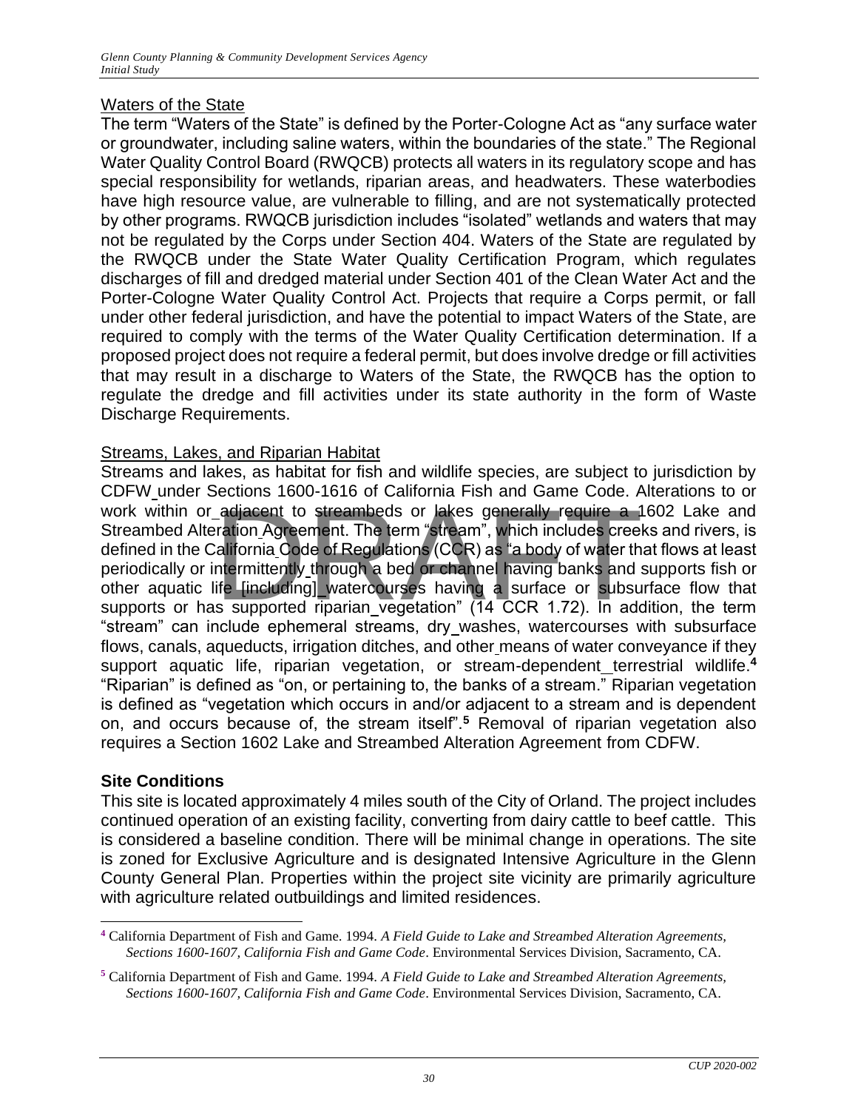# Waters of the State

The term "Waters of the State" is defined by the Porter-Cologne Act as "any surface water or groundwater, including saline waters, within the boundaries of the state." The Regional Water Quality Control Board (RWQCB) protects all waters in its regulatory scope and has special responsibility for wetlands, riparian areas, and headwaters. These waterbodies have high resource value, are vulnerable to filling, and are not systematically protected by other programs. RWQCB jurisdiction includes "isolated" wetlands and waters that may not be regulated by the Corps under Section 404. Waters of the State are regulated by the RWQCB under the State Water Quality Certification Program, which regulates discharges of fill and dredged material under Section 401 of the Clean Water Act and the Porter-Cologne Water Quality Control Act. Projects that require a Corps permit, or fall under other federal jurisdiction, and have the potential to impact Waters of the State, are required to comply with the terms of the Water Quality Certification determination. If a proposed project does not require a federal permit, but does involve dredge or fill activities that may result in a discharge to Waters of the State, the RWQCB has the option to regulate the dredge and fill activities under its state authority in the form of Waste Discharge Requirements.

# Streams, Lakes, and Riparian Habitat

Streams and lakes, as habitat for fish and wildlife species, are subject to jurisdiction by CDFW under Sections 1600-1616 of California Fish and Game Code. Alterations to or book within or adjacent to streambeds or lakes generally require a 1602 Lake and Streambed Alteration Agreement. The term "stream", which includes creeks and rivers, is defined in the California Code of Regulations (CCR) a Streambed Alteration Agreement. The term "stream", which includes creeks and rivers, is defined in the California Code of Regulations (CCR) as "a body of water that flows at least periodically or intermittently through a bed or channel having banks and supports fish or other aquatic life [including] watercourses having a surface or subsurface flow that supports or has supported riparian vegetation" (14 CCR 1.72). In addition, the term "stream" can include ephemeral streams, dry washes, watercourses with subsurface flows, canals, aqueducts, irrigation ditches, and other means of water conveyance if they support aquatic life, riparian vegetation, or stream-dependent terrestrial wildlife.<sup>4</sup> "Riparian" is defined as "on, or pertaining to, the banks of a stream." Riparian vegetation is defined as "vegetation which occurs in and/or adjacent to a stream and is dependent on, and occurs because of, the stream itself".**<sup>5</sup>** Removal of riparian vegetation also requires a Section 1602 Lake and Streambed Alteration Agreement from CDFW.

# **Site Conditions**

This site is located approximately 4 miles south of the City of Orland. The project includes continued operation of an existing facility, converting from dairy cattle to beef cattle. This is considered a baseline condition. There will be minimal change in operations. The site is zoned for Exclusive Agriculture and is designated Intensive Agriculture in the Glenn County General Plan. Properties within the project site vicinity are primarily agriculture with agriculture related outbuildings and limited residences.

**<sup>4</sup>** California Department of Fish and Game. 1994. *A Field Guide to Lake and Streambed Alteration Agreements, Sections 1600-1607, California Fish and Game Code*. Environmental Services Division, Sacramento, CA.

**<sup>5</sup>** California Department of Fish and Game. 1994. *A Field Guide to Lake and Streambed Alteration Agreements, Sections 1600-1607, California Fish and Game Code*. Environmental Services Division, Sacramento, CA.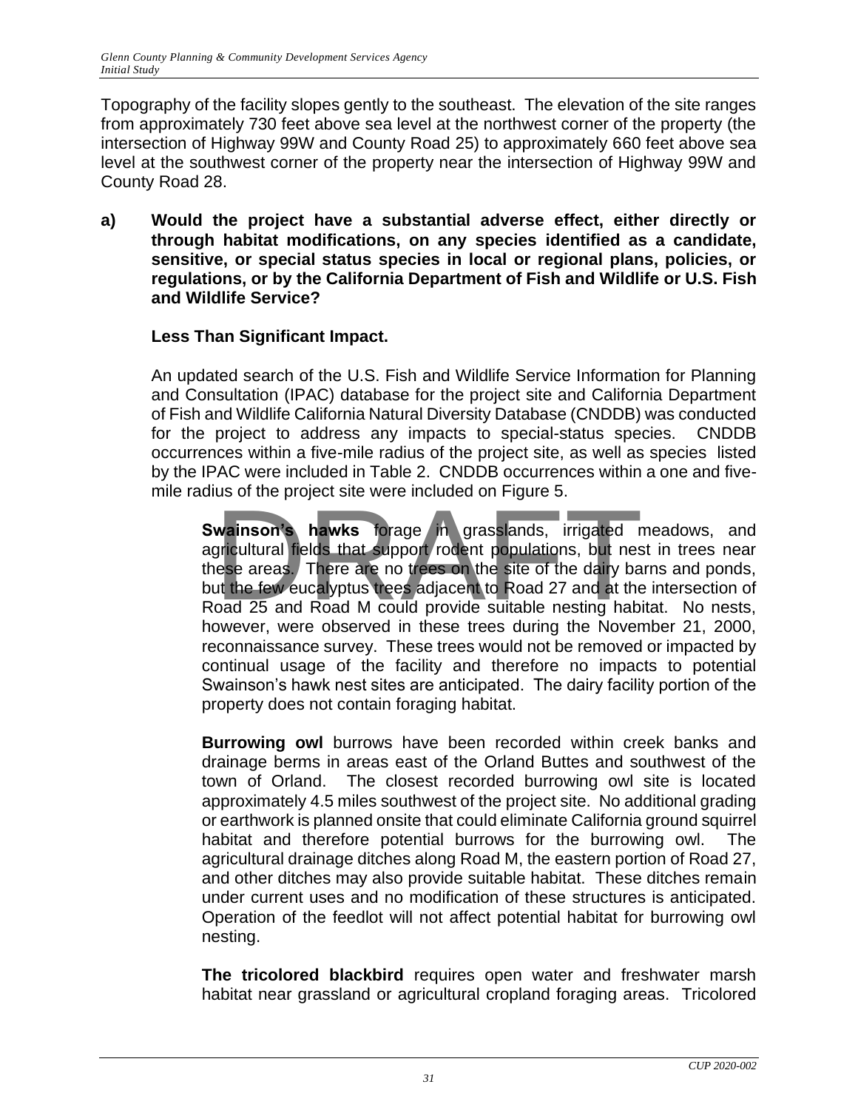Topography of the facility slopes gently to the southeast. The elevation of the site ranges from approximately 730 feet above sea level at the northwest corner of the property (the intersection of Highway 99W and County Road 25) to approximately 660 feet above sea level at the southwest corner of the property near the intersection of Highway 99W and County Road 28.

**a) Would the project have a substantial adverse effect, either directly or through habitat modifications, on any species identified as a candidate, sensitive, or special status species in local or regional plans, policies, or regulations, or by the California Department of Fish and Wildlife or U.S. Fish and Wildlife Service?**

# **Less Than Significant Impact.**

An updated search of the U.S. Fish and Wildlife Service Information for Planning and Consultation (IPAC) database for the project site and California Department of Fish and Wildlife California Natural Diversity Database (CNDDB) was conducted for the project to address any impacts to special-status species. CNDDB occurrences within a five-mile radius of the project site, as well as species listed by the IPAC were included in Table 2. CNDDB occurrences within a one and fivemile radius of the project site were included on Figure 5.

Swainson's hawks forage in grasslands, irrigated meadows, and agricultural fields that support rodent populations, but nest in trees near these areas. There are no trees on the site of the dairy barns and ponds, but the few eucalyptus trees adjacent to Road 27 and at the intersection of Road 25 and Road M could provide suitable nesting habitat. No nests, however, were observed in these trees during the November 21, 2000, reconnaissance survey. These trees would not be removed or impacted by continual usage of the facility and therefore no impacts to potential Swainson's hawk nest sites are anticipated. The dairy facility portion of the property does not contain foraging habitat. wainson's hawks forage in grasslands, irrigated responsive that support rodent populations, but nesses areas. There are no trees on the site of the dairy band 25 and Road M could provide suitable nesting habitation

**Burrowing owl** burrows have been recorded within creek banks and drainage berms in areas east of the Orland Buttes and southwest of the town of Orland. The closest recorded burrowing owl site is located approximately 4.5 miles southwest of the project site. No additional grading or earthwork is planned onsite that could eliminate California ground squirrel habitat and therefore potential burrows for the burrowing owl. The agricultural drainage ditches along Road M, the eastern portion of Road 27, and other ditches may also provide suitable habitat. These ditches remain under current uses and no modification of these structures is anticipated. Operation of the feedlot will not affect potential habitat for burrowing owl nesting.

**The tricolored blackbird** requires open water and freshwater marsh habitat near grassland or agricultural cropland foraging areas. Tricolored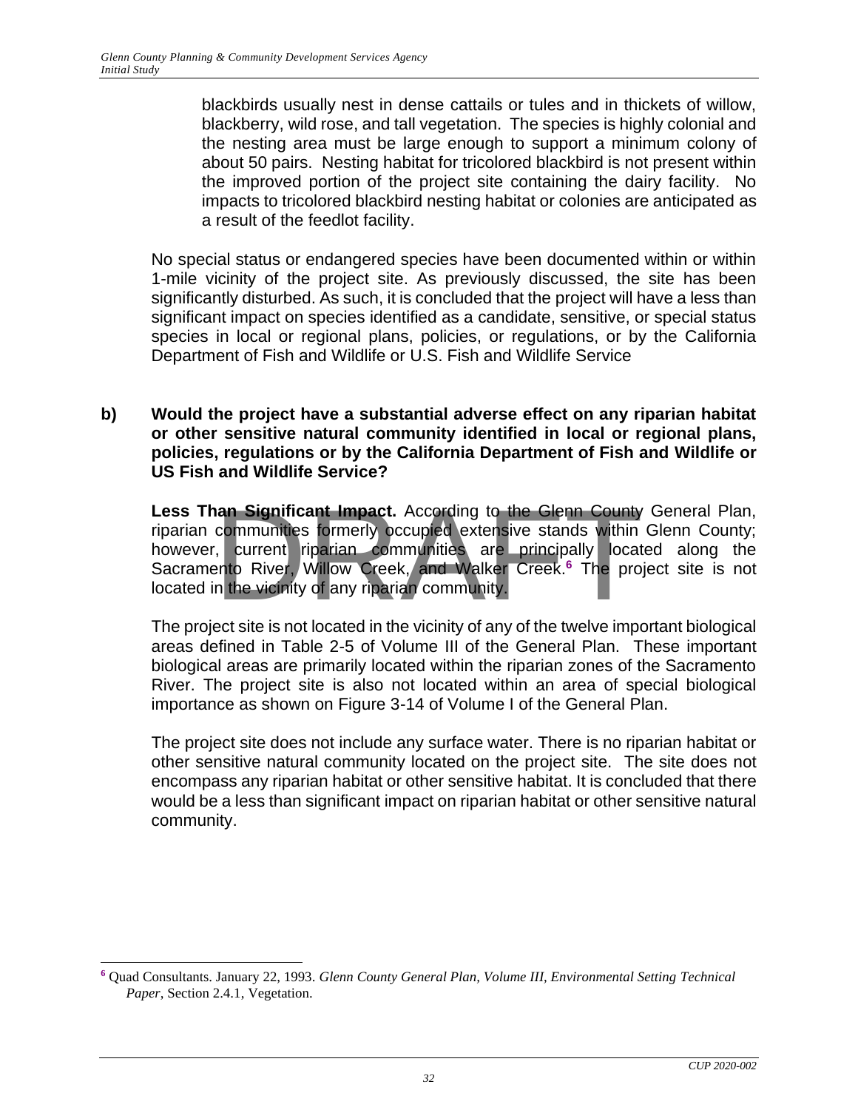blackbirds usually nest in dense cattails or tules and in thickets of willow, blackberry, wild rose, and tall vegetation. The species is highly colonial and the nesting area must be large enough to support a minimum colony of about 50 pairs. Nesting habitat for tricolored blackbird is not present within the improved portion of the project site containing the dairy facility. No impacts to tricolored blackbird nesting habitat or colonies are anticipated as a result of the feedlot facility.

No special status or endangered species have been documented within or within 1-mile vicinity of the project site. As previously discussed, the site has been significantly disturbed. As such, it is concluded that the project will have a less than significant impact on species identified as a candidate, sensitive, or special status species in local or regional plans, policies, or regulations, or by the California Department of Fish and Wildlife or U.S. Fish and Wildlife Service

**b) Would the project have a substantial adverse effect on any riparian habitat or other sensitive natural community identified in local or regional plans, policies, regulations or by the California Department of Fish and Wildlife or US Fish and Wildlife Service?**

**Less Than Significant Impact.** According to the Glenn County General Plan, riparian communities formerly occupied extensive stands within Glenn County; however, current riparian communities are principally located along the Sacramento River, Willow Creek, and Walker Creek.**<sup>6</sup>** The project site is not located in the vicinity of any riparian community. an Significant Impact. According to the Glenn County<br>communities formerly pccupied extensive stands within<br>, current riparian communities are principally locat<br>ento River, Willow Creek, and Walker Creek.<sup>6</sup> The pro

The project site is not located in the vicinity of any of the twelve important biological areas defined in Table 2-5 of Volume III of the General Plan. These important biological areas are primarily located within the riparian zones of the Sacramento River. The project site is also not located within an area of special biological importance as shown on Figure 3-14 of Volume I of the General Plan.

The project site does not include any surface water. There is no riparian habitat or other sensitive natural community located on the project site. The site does not encompass any riparian habitat or other sensitive habitat. It is concluded that there would be a less than significant impact on riparian habitat or other sensitive natural community.

**<sup>6</sup>** Quad Consultants. January 22, 1993. *Glenn County General Plan, Volume III, Environmental Setting Technical Paper*, Section 2.4.1, Vegetation.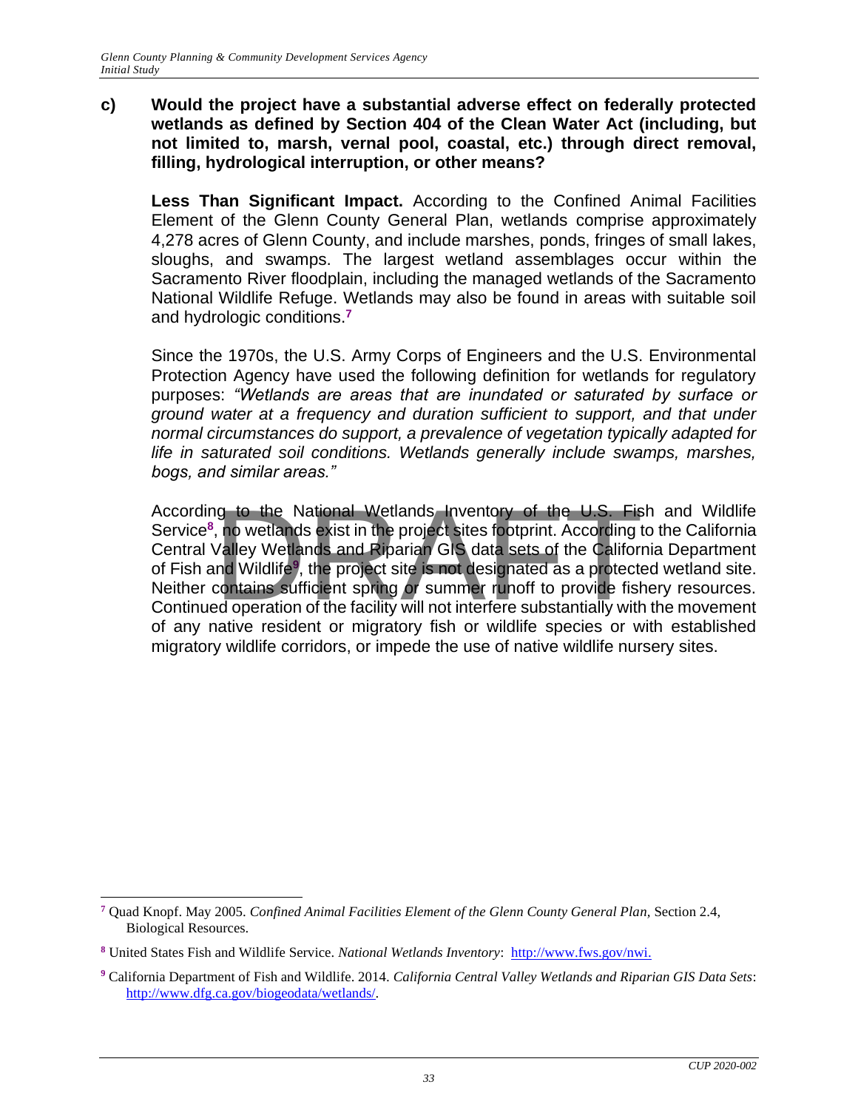#### **c) Would the project have a substantial adverse effect on federally protected wetlands as defined by Section 404 of the Clean Water Act (including, but not limited to, marsh, vernal pool, coastal, etc.) through direct removal, filling, hydrological interruption, or other means?**

**Less Than Significant Impact.** According to the Confined Animal Facilities Element of the Glenn County General Plan, wetlands comprise approximately 4,278 acres of Glenn County, and include marshes, ponds, fringes of small lakes, sloughs, and swamps. The largest wetland assemblages occur within the Sacramento River floodplain, including the managed wetlands of the Sacramento National Wildlife Refuge. Wetlands may also be found in areas with suitable soil and hydrologic conditions.**<sup>7</sup>**

Since the 1970s, the U.S. Army Corps of Engineers and the U.S. Environmental Protection Agency have used the following definition for wetlands for regulatory purposes: *"Wetlands are areas that are inundated or saturated by surface or ground water at a frequency and duration sufficient to support, and that under normal circumstances do support, a prevalence of vegetation typically adapted for life in saturated soil conditions. Wetlands generally include swamps, marshes, bogs, and similar areas."*

According to the National Wetlands Inventory of the U.S. Fish and Wildlife Service<sup>8</sup>, no wetlands exist in the project sites footprint. According to the California Central Valley Wetlands and Riparian GIS data sets of the Service<sup>8</sup>, no wetlands exist in the project sites footprint. According to the California Central Valley Wetlands and Riparian GIS data sets of the California Department of Fish and Wildlife**<sup>9</sup>** , the project site is not designated as a protected wetland site. Neither contains sufficient spring or summer runoff to provide fishery resources. Continued operation of the facility will not interfere substantially with the movement of any native resident or migratory fish or wildlife species or with established migratory wildlife corridors, or impede the use of native wildlife nursery sites.

**<sup>7</sup>** Quad Knopf. May 2005. *Confined Animal Facilities Element of the Glenn County General Plan,* Section 2.4, Biological Resources.

**<sup>8</sup>** United States Fish and Wildlife Service. *National Wetlands Inventory*: [http://www.fws.gov/nwi.](http://www.fws.gov/nwi)

**<sup>9</sup>** California Department of Fish and Wildlife. 2014*. California Central Valley Wetlands and Riparian GIS Data Sets*: [http://www.dfg.ca.gov/biogeodata/wetlands/.](http://www.dfg.ca.gov/biogeodata/wetlands/)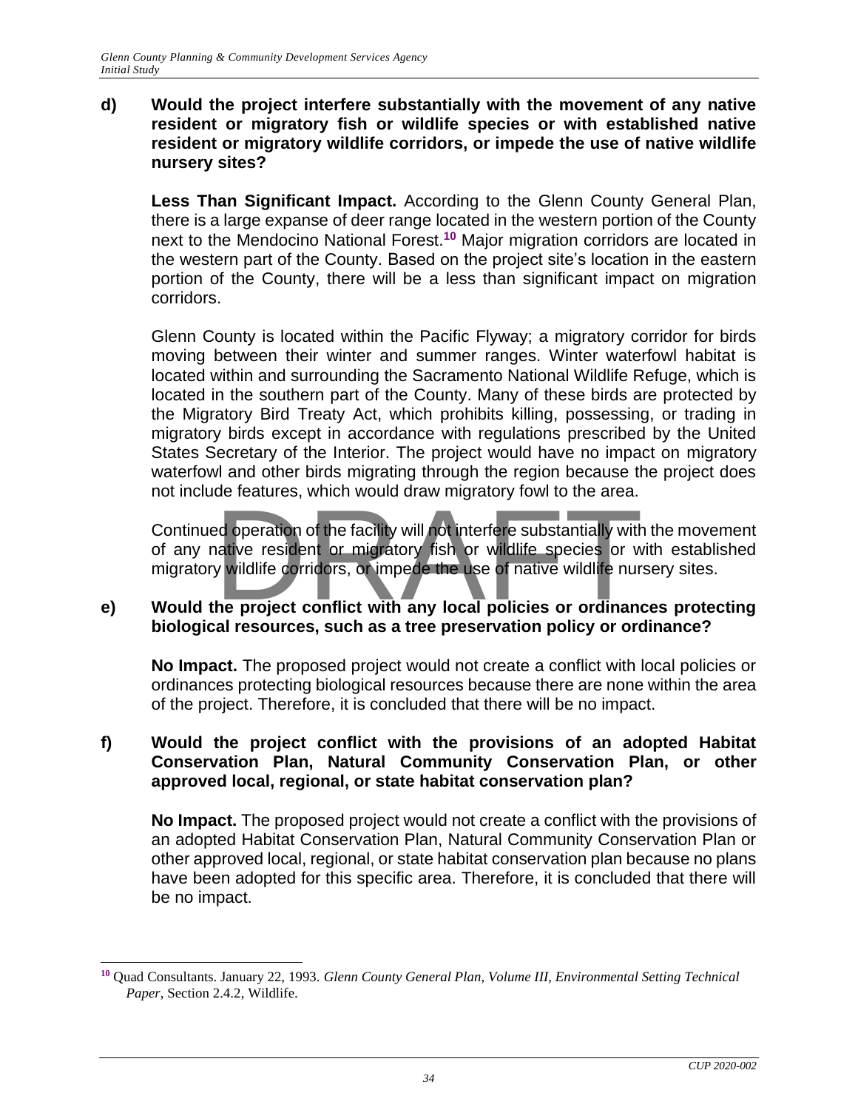#### **d) Would the project interfere substantially with the movement of any native resident or migratory fish or wildlife species or with established native resident or migratory wildlife corridors, or impede the use of native wildlife nursery sites?**

**Less Than Significant Impact.** According to the Glenn County General Plan, there is a large expanse of deer range located in the western portion of the County next to the Mendocino National Forest.**<sup>10</sup>** Major migration corridors are located in the western part of the County. Based on the project site's location in the eastern portion of the County, there will be a less than significant impact on migration corridors.

Glenn County is located within the Pacific Flyway; a migratory corridor for birds moving between their winter and summer ranges. Winter waterfowl habitat is located within and surrounding the Sacramento National Wildlife Refuge, which is located in the southern part of the County. Many of these birds are protected by the Migratory Bird Treaty Act, which prohibits killing, possessing, or trading in migratory birds except in accordance with regulations prescribed by the United States Secretary of the Interior. The project would have no impact on migratory waterfowl and other birds migrating through the region because the project does not include features, which would draw migratory fowl to the area.

Continued operation of the facility will not interfere substantially with the movement of any native resident or migratory fish or wildlife species or with established migratory wildlife corridors, or impede the use of native wildlife nursery sites. added contained the facility will not interfere substantially with<br>a dependient of the facility will not interfere substantially with<br>a diversident or migratory fish or wildlife species or w<br>wildlife corridors, or impede t

# **e) Would the project conflict with any local policies or ordinances protecting biological resources, such as a tree preservation policy or ordinance?**

**No Impact.** The proposed project would not create a conflict with local policies or ordinances protecting biological resources because there are none within the area of the project. Therefore, it is concluded that there will be no impact.

### **f) Would the project conflict with the provisions of an adopted Habitat Conservation Plan, Natural Community Conservation Plan, or other approved local, regional, or state habitat conservation plan?**

**No Impact.** The proposed project would not create a conflict with the provisions of an adopted Habitat Conservation Plan, Natural Community Conservation Plan or other approved local, regional, or state habitat conservation plan because no plans have been adopted for this specific area. Therefore, it is concluded that there will be no impact.

**<sup>10</sup>** Quad Consultants. January 22, 1993. *Glenn County General Plan, Volume III, Environmental Setting Technical Paper*, Section 2.4.2, Wildlife.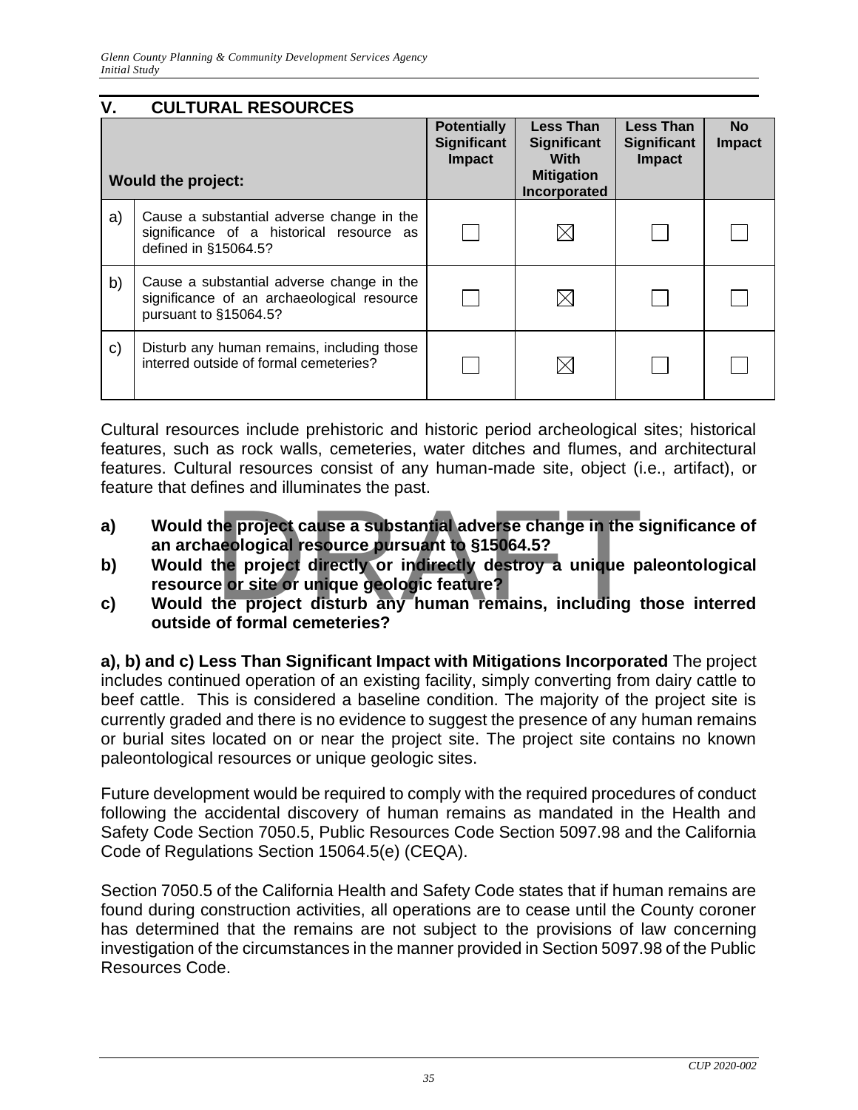<span id="page-35-0"></span>

| ٧. | <b>CULTURAL RESOURCES</b>                                                                                        |                                                    |                                                                                     |                                                  |                            |
|----|------------------------------------------------------------------------------------------------------------------|----------------------------------------------------|-------------------------------------------------------------------------------------|--------------------------------------------------|----------------------------|
|    | <b>Would the project:</b>                                                                                        | <b>Potentially</b><br><b>Significant</b><br>Impact | <b>Less Than</b><br><b>Significant</b><br>With<br><b>Mitigation</b><br>Incorporated | <b>Less Than</b><br>Significant<br><b>Impact</b> | <b>No</b><br><b>Impact</b> |
| a) | Cause a substantial adverse change in the<br>significance of a historical resource as<br>defined in §15064.5?    |                                                    |                                                                                     |                                                  |                            |
| b) | Cause a substantial adverse change in the<br>significance of an archaeological resource<br>pursuant to §15064.5? |                                                    |                                                                                     |                                                  |                            |
| C) | Disturb any human remains, including those<br>interred outside of formal cemeteries?                             |                                                    |                                                                                     |                                                  |                            |

Cultural resources include prehistoric and historic period archeological sites; historical features, such as rock walls, cemeteries, water ditches and flumes, and architectural features. Cultural resources consist of any human-made site, object (i.e., artifact), or feature that defines and illuminates the past.

- **a) Would the project cause a substantial adverse change in the significance of an archaeological resource pursuant to §15064.5?** he project cause a substantial adverse change in the s<br>aeological resource pursuant to §15064.5?<br>the project directly or indirectly destroy a unique p<br>e or site or unique geologic feature?<br>the project disturb any human rem
- **b) Would the project directly or indirectly destroy a unique paleontological resource or site or unique geologic feature?**
- **c) Would the project disturb any human remains, including those interred outside of formal cemeteries?**

**a), b) and c) Less Than Significant Impact with Mitigations Incorporated** The project includes continued operation of an existing facility, simply converting from dairy cattle to beef cattle. This is considered a baseline condition. The majority of the project site is currently graded and there is no evidence to suggest the presence of any human remains or burial sites located on or near the project site. The project site contains no known paleontological resources or unique geologic sites.

Future development would be required to comply with the required procedures of conduct following the accidental discovery of human remains as mandated in the Health and Safety Code Section 7050.5, Public Resources Code Section 5097.98 and the California Code of Regulations Section 15064.5(e) (CEQA).

Section 7050.5 of the California Health and Safety Code states that if human remains are found during construction activities, all operations are to cease until the County coroner has determined that the remains are not subject to the provisions of law concerning investigation of the circumstances in the manner provided in Section 5097.98 of the Public Resources Code.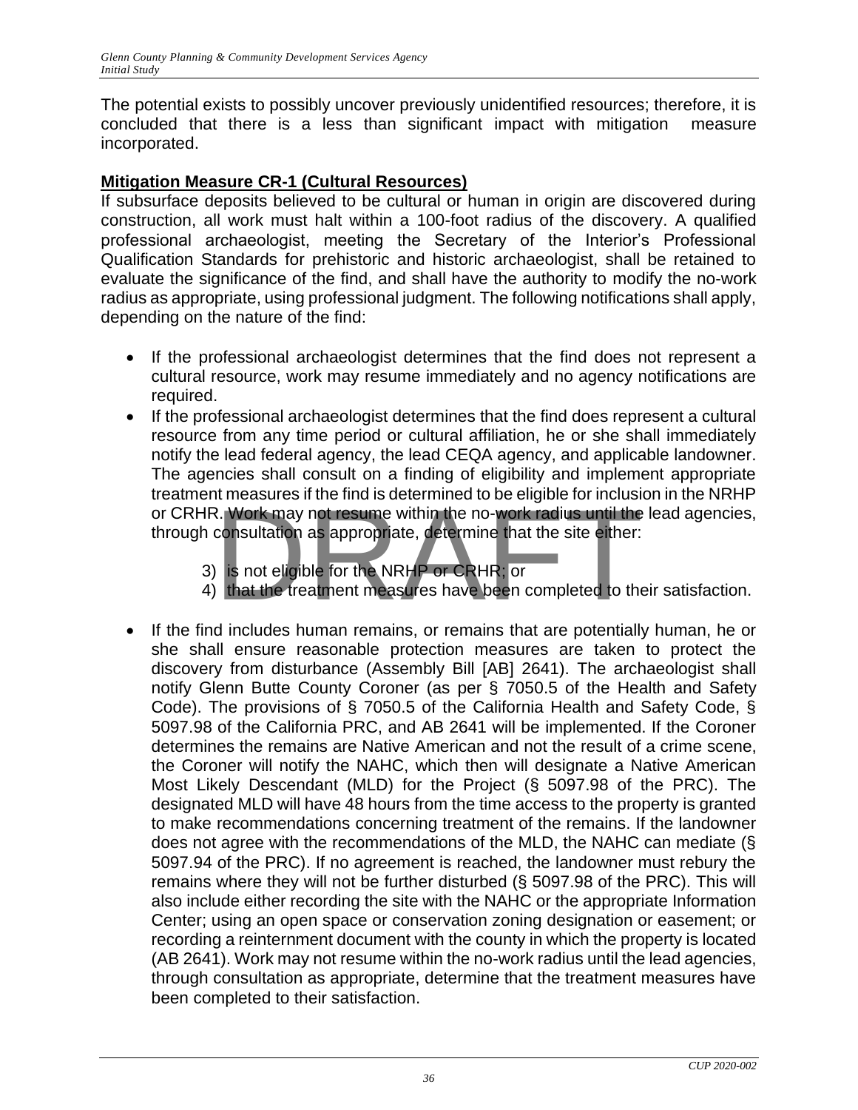The potential exists to possibly uncover previously unidentified resources; therefore, it is concluded that there is a less than significant impact with mitigation measure incorporated.

#### **Mitigation Measure CR-1 (Cultural Resources)**

If subsurface deposits believed to be cultural or human in origin are discovered during construction, all work must halt within a 100-foot radius of the discovery. A qualified professional archaeologist, meeting the Secretary of the Interior's Professional Qualification Standards for prehistoric and historic archaeologist, shall be retained to evaluate the significance of the find, and shall have the authority to modify the no-work radius as appropriate, using professional judgment. The following notifications shall apply, depending on the nature of the find:

- If the professional archaeologist determines that the find does not represent a cultural resource, work may resume immediately and no agency notifications are required.
- If the professional archaeologist determines that the find does represent a cultural resource from any time period or cultural affiliation, he or she shall immediately notify the lead federal agency, the lead CEQA agency, and applicable landowner. The agencies shall consult on a finding of eligibility and implement appropriate treatment measures if the find is determined to be eligible for inclusion in the NRHP or CRHR. Work may not resume within the no-work radius until the lead agencies, through consultation as appropriate, determine that the site either: References if the find is determined to be engible for inclusion.<br>
R. Work may not resume within the no-work radius until the<br>
consultation as appropriate, determine that the site either:<br>
is not eligible for the NRHP or G
	- 3) is not eligible for the NRHP or CRHR; or
	- 4) that the treatment measures have been completed to their satisfaction.
- If the find includes human remains, or remains that are potentially human, he or she shall ensure reasonable protection measures are taken to protect the discovery from disturbance (Assembly Bill [AB] 2641). The archaeologist shall notify Glenn Butte County Coroner (as per § 7050.5 of the Health and Safety Code). The provisions of § 7050.5 of the California Health and Safety Code, § 5097.98 of the California PRC, and AB 2641 will be implemented. If the Coroner determines the remains are Native American and not the result of a crime scene, the Coroner will notify the NAHC, which then will designate a Native American Most Likely Descendant (MLD) for the Project (§ 5097.98 of the PRC). The designated MLD will have 48 hours from the time access to the property is granted to make recommendations concerning treatment of the remains. If the landowner does not agree with the recommendations of the MLD, the NAHC can mediate (§ 5097.94 of the PRC). If no agreement is reached, the landowner must rebury the remains where they will not be further disturbed (§ 5097.98 of the PRC). This will also include either recording the site with the NAHC or the appropriate Information Center; using an open space or conservation zoning designation or easement; or recording a reinternment document with the county in which the property is located (AB 2641). Work may not resume within the no-work radius until the lead agencies, through consultation as appropriate, determine that the treatment measures have been completed to their satisfaction.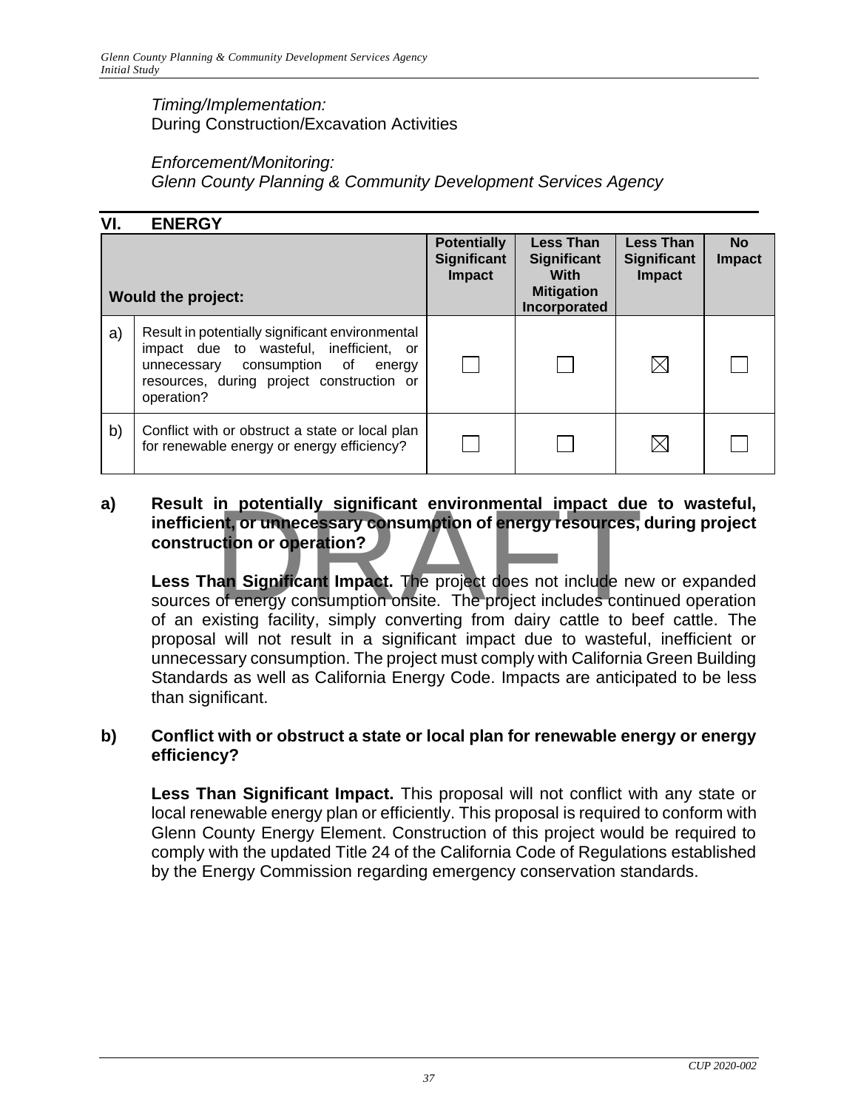#### *Timing/Implementation:*  During Construction/Excavation Activities

#### *Enforcement/Monitoring:*

*Glenn County Planning & Community Development Services Agency*

| VI. | <b>ENERGY</b>                                                                                                                                                                                 |                                                           |                                                                                     |                                                  |                            |
|-----|-----------------------------------------------------------------------------------------------------------------------------------------------------------------------------------------------|-----------------------------------------------------------|-------------------------------------------------------------------------------------|--------------------------------------------------|----------------------------|
|     | <b>Would the project:</b>                                                                                                                                                                     | <b>Potentially</b><br><b>Significant</b><br><b>Impact</b> | <b>Less Than</b><br><b>Significant</b><br>With<br><b>Mitigation</b><br>Incorporated | <b>Less Than</b><br><b>Significant</b><br>Impact | <b>No</b><br><b>Impact</b> |
| a)  | Result in potentially significant environmental<br>impact due to wasteful, inefficient, or<br>unnecessary consumption of<br>energy<br>resources, during project construction or<br>operation? |                                                           |                                                                                     | $\boxtimes$                                      |                            |
| b)  | Conflict with or obstruct a state or local plan<br>for renewable energy or energy efficiency?                                                                                                 |                                                           |                                                                                     | $\boxtimes$                                      |                            |

### **a) Result in potentially significant environmental impact due to wasteful, inefficient, or unnecessary consumption of energy resources, during project construction or operation?** in potentially significant environmental impact due<br>
int, or unnecessary consumption of energy resources,<br>
ction or operation?<br>
interval impact. The project does not include ne<br>
of energy consumption onsite. The project in

**Less Than Significant Impact.** The project does not include new or expanded sources of energy consumption onsite. The project includes continued operation of an existing facility, simply converting from dairy cattle to beef cattle. The proposal will not result in a significant impact due to wasteful, inefficient or unnecessary consumption. The project must comply with California Green Building Standards as well as California Energy Code. Impacts are anticipated to be less than significant.

#### **b) Conflict with or obstruct a state or local plan for renewable energy or energy efficiency?**

**Less Than Significant Impact.** This proposal will not conflict with any state or local renewable energy plan or efficiently. This proposal is required to conform with Glenn County Energy Element. Construction of this project would be required to comply with the updated Title 24 of the California Code of Regulations established by the Energy Commission regarding emergency conservation standards.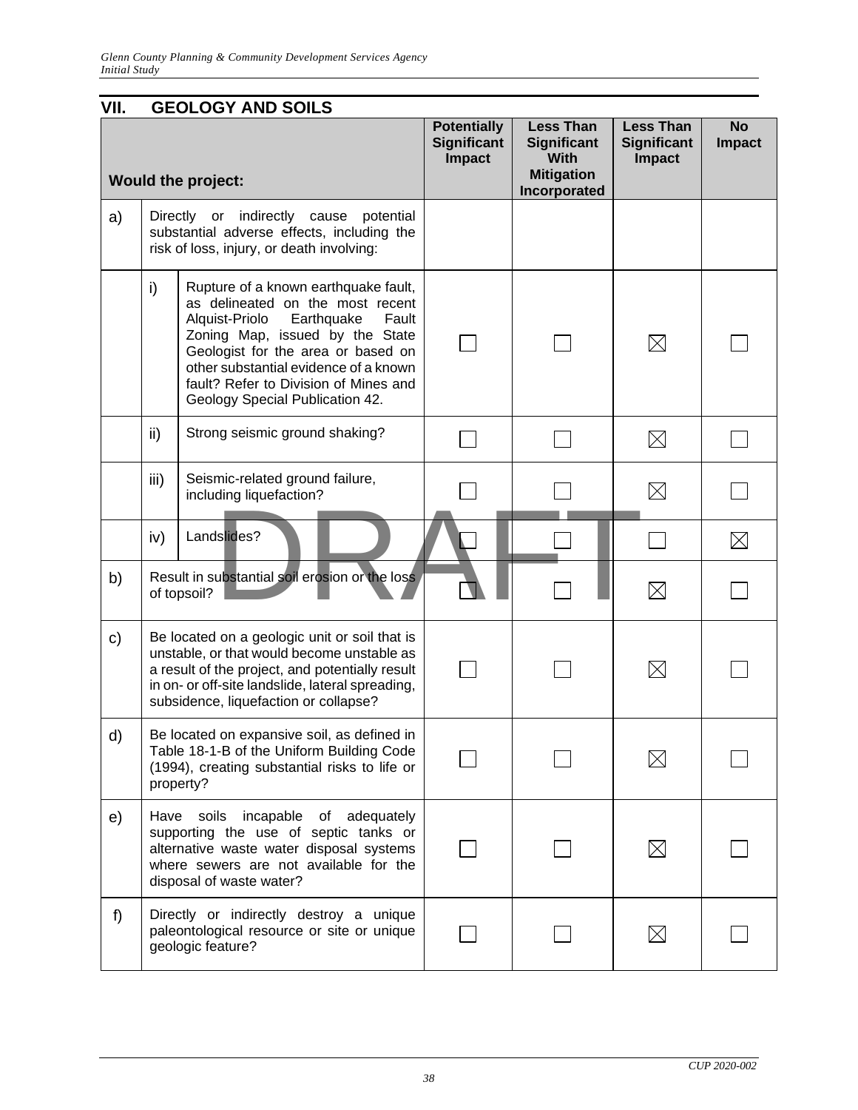| VII. |      | <b>GEOLOGY AND SOILS</b>                                                                                                                                                                                                                                                                                        |                                                           |                                                                                     |                                                  |                            |
|------|------|-----------------------------------------------------------------------------------------------------------------------------------------------------------------------------------------------------------------------------------------------------------------------------------------------------------------|-----------------------------------------------------------|-------------------------------------------------------------------------------------|--------------------------------------------------|----------------------------|
|      |      | <b>Would the project:</b>                                                                                                                                                                                                                                                                                       | <b>Potentially</b><br><b>Significant</b><br><b>Impact</b> | <b>Less Than</b><br>Significant<br><b>With</b><br><b>Mitigation</b><br>Incorporated | <b>Less Than</b><br><b>Significant</b><br>Impact | <b>No</b><br><b>Impact</b> |
| a)   |      | Directly or indirectly<br>cause<br>potential<br>substantial adverse effects, including the<br>risk of loss, injury, or death involving:                                                                                                                                                                         |                                                           |                                                                                     |                                                  |                            |
|      | i)   | Rupture of a known earthquake fault,<br>as delineated on the most recent<br>Alquist-Priolo<br>Earthquake<br>Fault<br>Zoning Map, issued by the State<br>Geologist for the area or based on<br>other substantial evidence of a known<br>fault? Refer to Division of Mines and<br>Geology Special Publication 42. |                                                           |                                                                                     | $\boxtimes$                                      |                            |
|      | ii)  | Strong seismic ground shaking?                                                                                                                                                                                                                                                                                  |                                                           |                                                                                     | $\boxtimes$                                      |                            |
|      | iii) | Seismic-related ground failure,<br>including liquefaction?                                                                                                                                                                                                                                                      |                                                           |                                                                                     | $\boxtimes$                                      |                            |
|      | iv)  | Landslides?                                                                                                                                                                                                                                                                                                     |                                                           |                                                                                     |                                                  | $\boxtimes$                |
| b)   |      | Result in substantial soil erosion or the loss<br>of topsoil?                                                                                                                                                                                                                                                   |                                                           |                                                                                     | $\boxtimes$                                      |                            |
| c)   |      | Be located on a geologic unit or soil that is<br>unstable, or that would become unstable as<br>a result of the project, and potentially result<br>in on- or off-site landslide, lateral spreading,<br>subsidence, liquefaction or collapse?                                                                     |                                                           |                                                                                     | $\times$                                         |                            |
| d)   |      | Be located on expansive soil, as defined in<br>Table 18-1-B of the Uniform Building Code<br>(1994), creating substantial risks to life or<br>property?                                                                                                                                                          |                                                           |                                                                                     | $\boxtimes$                                      |                            |
| e)   | Have | soils<br>incapable<br>adequately<br>of<br>supporting the use of septic tanks or<br>alternative waste water disposal systems<br>where sewers are not available for the<br>disposal of waste water?                                                                                                               |                                                           |                                                                                     | $\boxtimes$                                      |                            |
| f)   |      | Directly or indirectly destroy a unique<br>paleontological resource or site or unique<br>geologic feature?                                                                                                                                                                                                      |                                                           |                                                                                     | $\boxtimes$                                      |                            |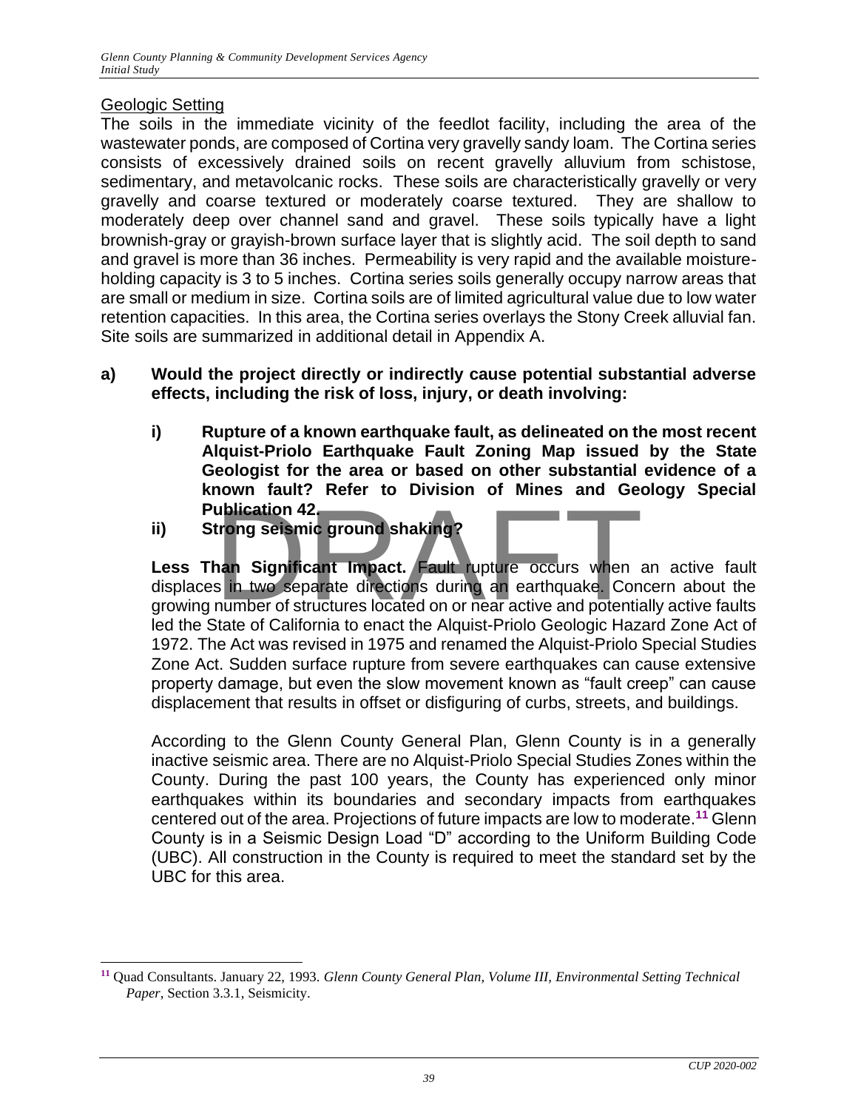#### Geologic Setting

The soils in the immediate vicinity of the feedlot facility, including the area of the wastewater ponds, are composed of Cortina very gravelly sandy loam. The Cortina series consists of excessively drained soils on recent gravelly alluvium from schistose, sedimentary, and metavolcanic rocks. These soils are characteristically gravelly or very gravelly and coarse textured or moderately coarse textured. They are shallow to moderately deep over channel sand and gravel. These soils typically have a light brownish-gray or grayish-brown surface layer that is slightly acid. The soil depth to sand and gravel is more than 36 inches. Permeability is very rapid and the available moistureholding capacity is 3 to 5 inches. Cortina series soils generally occupy narrow areas that are small or medium in size. Cortina soils are of limited agricultural value due to low water retention capacities. In this area, the Cortina series overlays the Stony Creek alluvial fan. Site soils are summarized in additional detail in Appendix A.

- **a) Would the project directly or indirectly cause potential substantial adverse effects, including the risk of loss, injury, or death involving:**
	- **i) Rupture of a known earthquake fault, as delineated on the most recent Alquist-Priolo Earthquake Fault Zoning Map issued by the State Geologist for the area or based on other substantial evidence of a known fault? Refer to Division of Mines and Geology Special Publication 42.**
	- **ii) Strong seismic ground shaking?**

**Less Than Significant Impact.** Fault rupture occurs when an active fault displaces in two separate directions during an earthquake. Concern about the growing number of structures located on or near active and potentially active faults led the State of California to enact the Alquist-Priolo Geologic Hazard Zone Act of 1972. The Act was revised in 1975 and renamed the Alquist-Priolo Special Studies Zone Act. Sudden surface rupture from severe earthquakes can cause extensive property damage, but even the slow movement known as "fault creep" can cause displacement that results in offset or disfiguring of curbs, streets, and buildings. ublication 42.<br>
trong seismic ground shaking?<br>
an Significant Impact. Fault rupture occurs when a<br>
s in two separate directions during an earthquake. Con<br>
number of structures located on or near active and potentia

According to the Glenn County General Plan, Glenn County is in a generally inactive seismic area. There are no Alquist-Priolo Special Studies Zones within the County. During the past 100 years, the County has experienced only minor earthquakes within its boundaries and secondary impacts from earthquakes centered out of the area. Projections of future impacts are low to moderate.**<sup>11</sup>** Glenn County is in a Seismic Design Load "D" according to the Uniform Building Code (UBC). All construction in the County is required to meet the standard set by the UBC for this area.

**<sup>11</sup>** Quad Consultants. January 22, 1993. *Glenn County General Plan, Volume III, Environmental Setting Technical Paper*, Section 3.3.1, Seismicity.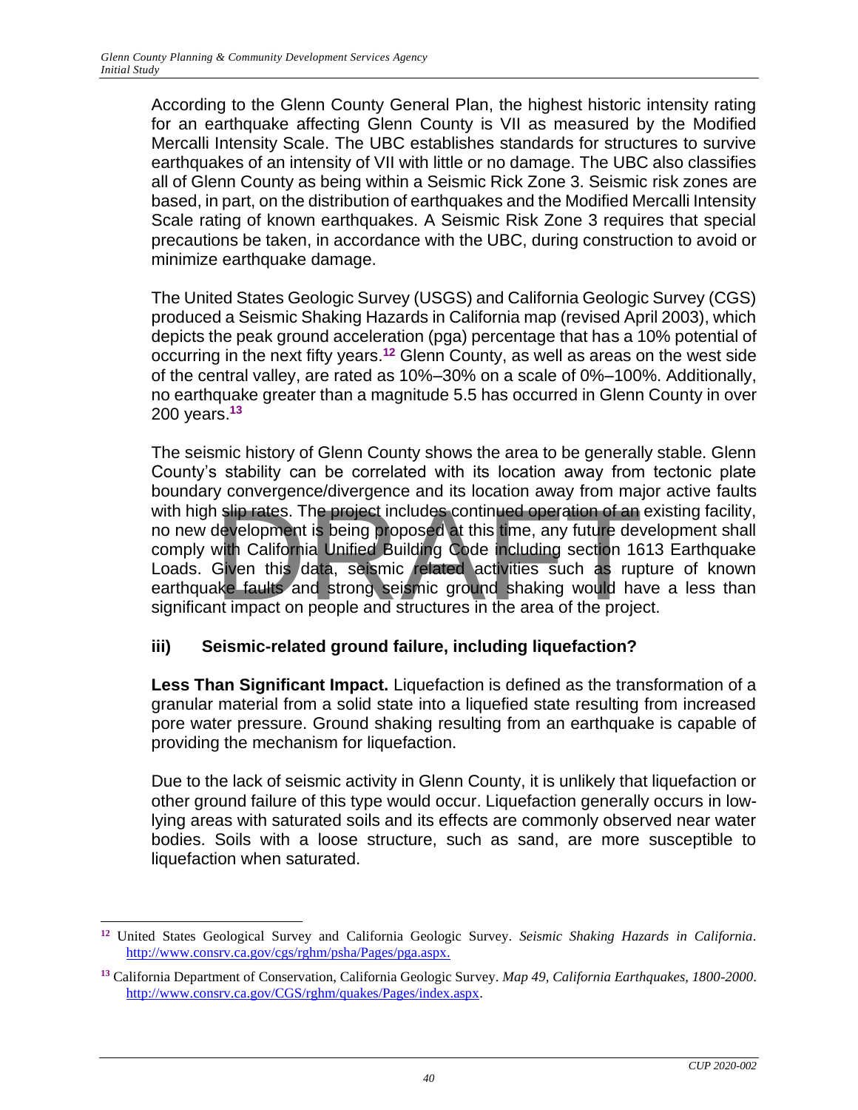According to the Glenn County General Plan, the highest historic intensity rating for an earthquake affecting Glenn County is VII as measured by the Modified Mercalli Intensity Scale. The UBC establishes standards for structures to survive earthquakes of an intensity of VII with little or no damage. The UBC also classifies all of Glenn County as being within a Seismic Rick Zone 3. Seismic risk zones are based, in part, on the distribution of earthquakes and the Modified Mercalli Intensity Scale rating of known earthquakes. A Seismic Risk Zone 3 requires that special precautions be taken, in accordance with the UBC, during construction to avoid or minimize earthquake damage.

The United States Geologic Survey (USGS) and California Geologic Survey (CGS) produced a Seismic Shaking Hazards in California map (revised April 2003), which depicts the peak ground acceleration (pga) percentage that has a 10% potential of occurring in the next fifty years.**<sup>12</sup>** Glenn County, as well as areas on the west side of the central valley, are rated as 10%–30% on a scale of 0%–100%. Additionally, no earthquake greater than a magnitude 5.5 has occurred in Glenn County in over 200 years.**<sup>13</sup>**

The seismic history of Glenn County shows the area to be generally stable. Glenn County's stability can be correlated with its location away from tectonic plate boundary convergence/divergence and its location away from major active faults with high slip rates. The project includes continued operation of an existing facility, no new development is being proposed at this time, any future development shall comply with California Unified Building Code including section 1613 Earthquake Loads. Given this data, seismic related activities such as rupture of known earthquake faults and strong seismic ground shaking would have a less than significant impact on people and structures in the area of the project. The project includes continued operation of an alternative scheme of an development is being proposed at this time, any future development is being proposed at this time, any future development is being proposed at this ti

#### **iii) Seismic-related ground failure, including liquefaction?**

**Less Than Significant Impact.** Liquefaction is defined as the transformation of a granular material from a solid state into a liquefied state resulting from increased pore water pressure. Ground shaking resulting from an earthquake is capable of providing the mechanism for liquefaction.

Due to the lack of seismic activity in Glenn County, it is unlikely that liquefaction or other ground failure of this type would occur. Liquefaction generally occurs in lowlying areas with saturated soils and its effects are commonly observed near water bodies. Soils with a loose structure, such as sand, are more susceptible to liquefaction when saturated.

**<sup>12</sup>** United States Geological Survey and California Geologic Survey. *Seismic Shaking Hazards in California*. [http://www.consrv.ca.gov/cgs/rghm/psha/Pages/pga.aspx.](http://www.consrv.ca.gov/cgs/rghm/psha/Pages/pga.aspx)

**<sup>13</sup>** California Department of Conservation, California Geologic Survey. *Map 49, California Earthquakes, 1800-2000*. [http://www.consrv.ca.gov/CGS/rghm/quakes/Pages/index.aspx.](http://www.consrv.ca.gov/CGS/rghm/quakes/Pages/index.aspx)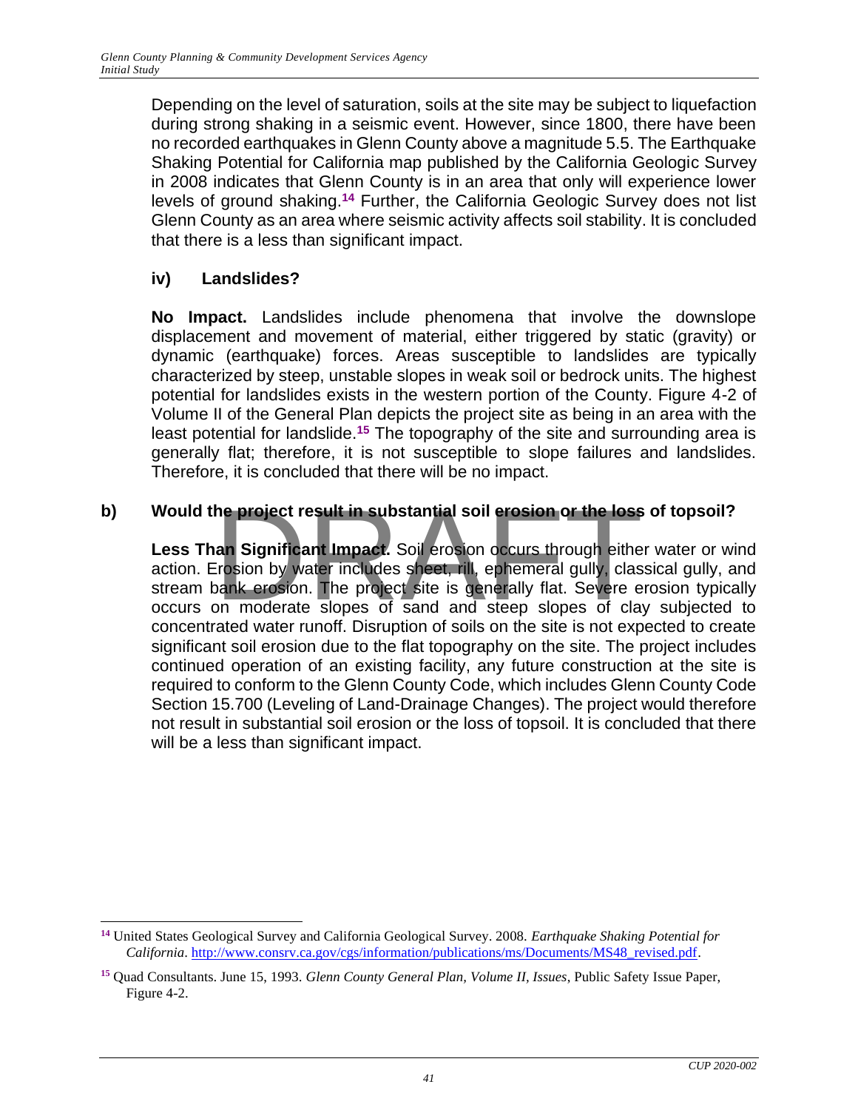Depending on the level of saturation, soils at the site may be subject to liquefaction during strong shaking in a seismic event. However, since 1800, there have been no recorded earthquakes in Glenn County above a magnitude 5.5. The Earthquake Shaking Potential for California map published by the California Geologic Survey in 2008 indicates that Glenn County is in an area that only will experience lower levels of ground shaking.**<sup>14</sup>** Further, the California Geologic Survey does not list Glenn County as an area where seismic activity affects soil stability. It is concluded that there is a less than significant impact.

#### **iv) Landslides?**

**No Impact.** Landslides include phenomena that involve the downslope displacement and movement of material, either triggered by static (gravity) or dynamic (earthquake) forces. Areas susceptible to landslides are typically characterized by steep, unstable slopes in weak soil or bedrock units. The highest potential for landslides exists in the western portion of the County. Figure 4-2 of Volume II of the General Plan depicts the project site as being in an area with the least potential for landslide.**<sup>15</sup>** The topography of the site and surrounding area is generally flat; therefore, it is not susceptible to slope failures and landslides. Therefore, it is concluded that there will be no impact.

#### **b) Would the project result in substantial soil erosion or the loss of topsoil?**

**Less Than Significant Impact.** Soil erosion occurs through either water or wind action. Erosion by water includes sheet, rill, ephemeral gully, classical gully, and stream bank erosion. The project site is generally flat. Severe erosion typically occurs on moderate slopes of sand and steep slopes of clay subjected to concentrated water runoff. Disruption of soils on the site is not expected to create significant soil erosion due to the flat topography on the site. The project includes continued operation of an existing facility, any future construction at the site is required to conform to the Glenn County Code, which includes Glenn County Code Section 15.700 (Leveling of Land-Drainage Changes). The project would therefore not result in substantial soil erosion or the loss of topsoil. It is concluded that there will be a less than significant impact. The project result in substantial soil erosion or the loss<br>an Significant Impact. Soil erosion occurs through either<br>prosion by water includes sheet, rill, ephemeral gully, clas<br>pank erosion. The project site is generally

**<sup>14</sup>** United States Geological Survey and California Geological Survey. 2008. *Earthquake Shaking Potential for California*[. http://www.consrv.ca.gov/cgs/information/publications/ms/Documents/MS48\\_revised.pdf.](http://www.consrv.ca.gov/cgs/information/publications/ms/Documents/MS48_revised.pdf)

**<sup>15</sup>** Quad Consultants. June 15, 1993. *Glenn County General Plan, Volume II, Issues*, Public Safety Issue Paper, Figure 4-2.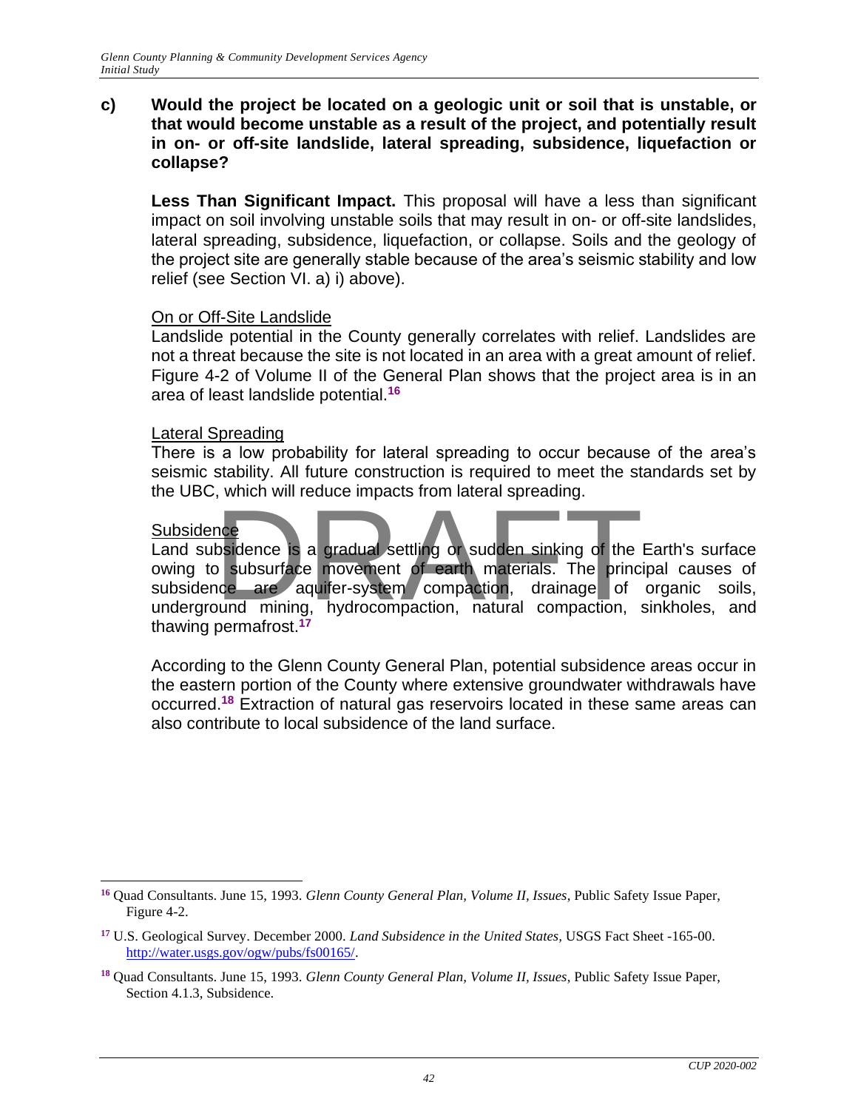#### **c) Would the project be located on a geologic unit or soil that is unstable, or that would become unstable as a result of the project, and potentially result in on- or off-site landslide, lateral spreading, subsidence, liquefaction or collapse?**

**Less Than Significant Impact.** This proposal will have a less than significant impact on soil involving unstable soils that may result in on- or off-site landslides, lateral spreading, subsidence, liquefaction, or collapse. Soils and the geology of the project site are generally stable because of the area's seismic stability and low relief (see Section VI. a) i) above).

#### On or Off-Site Landslide

Landslide potential in the County generally correlates with relief. Landslides are not a threat because the site is not located in an area with a great amount of relief. Figure 4-2 of Volume II of the General Plan shows that the project area is in an area of least landslide potential.**<sup>16</sup>**

#### Lateral Spreading

There is a low probability for lateral spreading to occur because of the area's seismic stability. All future construction is required to meet the standards set by the UBC, which will reduce impacts from lateral spreading.

#### **Subsidence**

Land subsidence is a gradual settling or sudden sinking of the Earth's surface owing to subsurface movement of earth materials. The principal causes of subsidence are aquifer-system compaction, drainage of organic soils, underground mining, hydrocompaction, natural compaction, sinkholes, and thawing permafrost.**<sup>17</sup>** The subsurface is a gradual settling or sudden sinking of the<br>positionce is a gradual settling or sudden sinking of the<br>positionce are aquifer-system compaction, drainage of<br>pund mining, hydrocompaction, natural compaction

According to the Glenn County General Plan, potential subsidence areas occur in the eastern portion of the County where extensive groundwater withdrawals have occurred.**<sup>18</sup>** Extraction of natural gas reservoirs located in these same areas can also contribute to local subsidence of the land surface.

**<sup>16</sup>** Quad Consultants. June 15, 1993. *Glenn County General Plan, Volume II, Issues*, Public Safety Issue Paper, Figure 4-2.

**<sup>17</sup>** U.S. Geological Survey. December 2000. *Land Subsidence in the United States,* USGS Fact Sheet -165-00. [http://water.usgs.gov/ogw/pubs/fs00165/.](http://water.usgs.gov/ogw/pubs/fs00165/)

**<sup>18</sup>** Quad Consultants. June 15, 1993. *Glenn County General Plan, Volume II, Issues*, Public Safety Issue Paper, Section 4.1.3, Subsidence.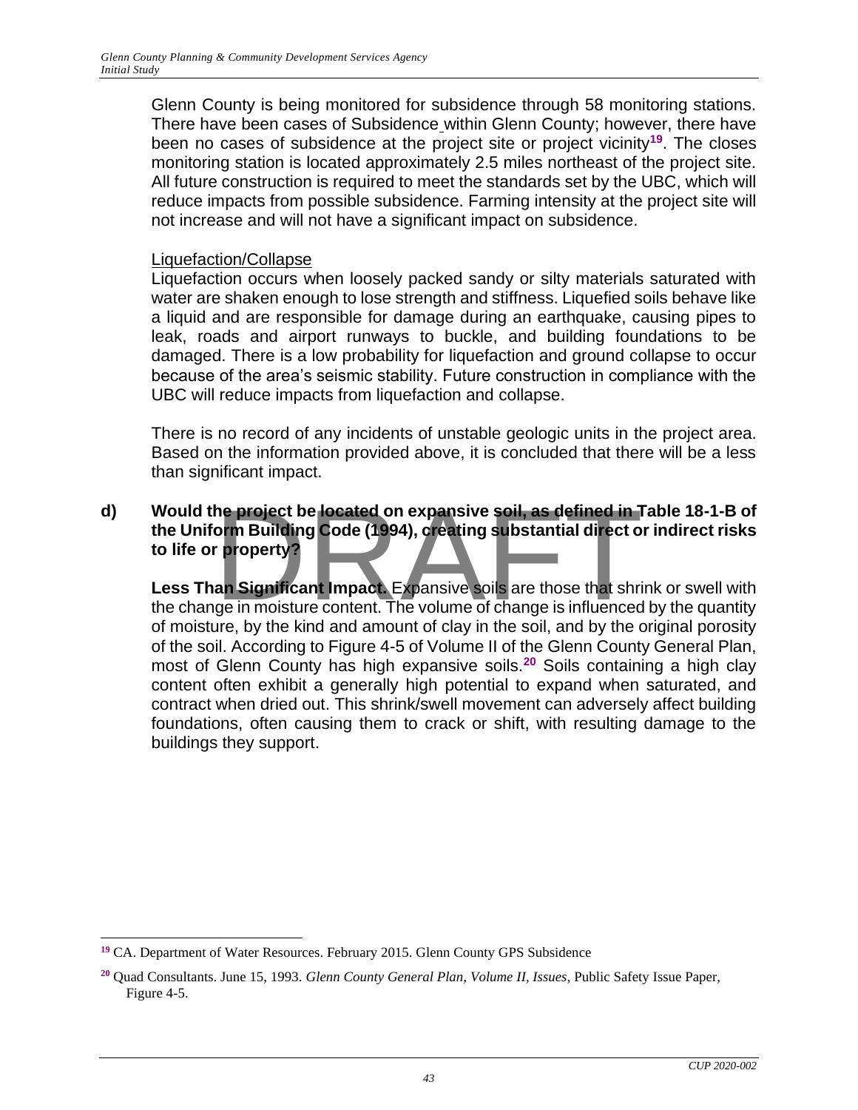Glenn County is being monitored for subsidence through 58 monitoring stations. There have been cases of Subsidence within Glenn County; however, there have been no cases of subsidence at the project site or project vicinity**<sup>19</sup>**. The closes monitoring station is located approximately 2.5 miles northeast of the project site. All future construction is required to meet the standards set by the UBC, which will reduce impacts from possible subsidence. Farming intensity at the project site will not increase and will not have a significant impact on subsidence.

#### Liquefaction/Collapse

Liquefaction occurs when loosely packed sandy or silty materials saturated with water are shaken enough to lose strength and stiffness. Liquefied soils behave like a liquid and are responsible for damage during an earthquake, causing pipes to leak, roads and airport runways to buckle, and building foundations to be damaged. There is a low probability for liquefaction and ground collapse to occur because of the area's seismic stability. Future construction in compliance with the UBC will reduce impacts from liquefaction and collapse.

There is no record of any incidents of unstable geologic units in the project area. Based on the information provided above, it is concluded that there will be a less than significant impact.

### **d) Would the project be located on expansive soil, as defined in Table 18-1-B of the Uniform Building Code (1994), creating substantial direct or indirect risks to life or property?** The project be located on expansive soil, as defined in 1<br>
orm Building Code (1994), creating substantial direct of<br>
property?<br>
an Significant Impact. Expansive soils are those that shrippe in moisture content. The volume

**Less Than Significant Impact.** Expansive soils are those that shrink or swell with the change in moisture content. The volume of change is influenced by the quantity of moisture, by the kind and amount of clay in the soil, and by the original porosity of the soil. According to Figure 4-5 of Volume II of the Glenn County General Plan, most of Glenn County has high expansive soils.**<sup>20</sup>** Soils containing a high clay content often exhibit a generally high potential to expand when saturated, and contract when dried out. This shrink/swell movement can adversely affect building foundations, often causing them to crack or shift, with resulting damage to the buildings they support.

<sup>&</sup>lt;sup>19</sup> CA. Department of Water Resources. February 2015. Glenn County GPS Subsidence

**<sup>20</sup>** Quad Consultants. June 15, 1993. *Glenn County General Plan, Volume II, Issues*, Public Safety Issue Paper, Figure 4-5.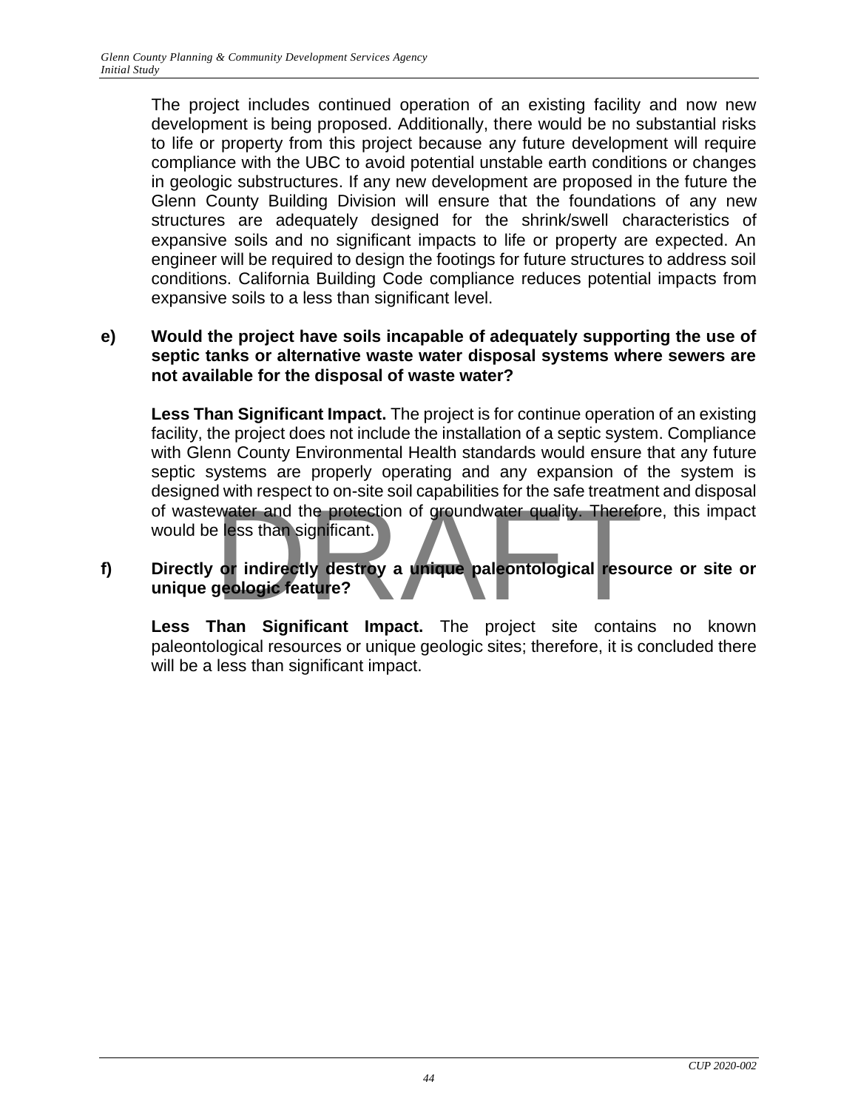The project includes continued operation of an existing facility and now new development is being proposed. Additionally, there would be no substantial risks to life or property from this project because any future development will require compliance with the UBC to avoid potential unstable earth conditions or changes in geologic substructures. If any new development are proposed in the future the Glenn County Building Division will ensure that the foundations of any new structures are adequately designed for the shrink/swell characteristics of expansive soils and no significant impacts to life or property are expected. An engineer will be required to design the footings for future structures to address soil conditions. California Building Code compliance reduces potential impacts from expansive soils to a less than significant level.

#### **e) Would the project have soils incapable of adequately supporting the use of septic tanks or alternative waste water disposal systems where sewers are not available for the disposal of waste water?**

**Less Than Significant Impact.** The project is for continue operation of an existing facility, the project does not include the installation of a septic system. Compliance with Glenn County Environmental Health standards would ensure that any future septic systems are properly operating and any expansion of the system is designed with respect to on-site soil capabilities for the safe treatment and disposal of wastewater and the protection of groundwater quality. Therefore, this impact<br>would be less than significant.<br>Directly or indirectly destroy a unique paleontological resource or site or<br>unique geologic feature? would be less than significant.

#### **f) Directly or indirectly destroy a unique paleontological resource or site or unique geologic feature?**

**Less Than Significant Impact.** The project site contains no known paleontological resources or unique geologic sites; therefore, it is concluded there will be a less than significant impact.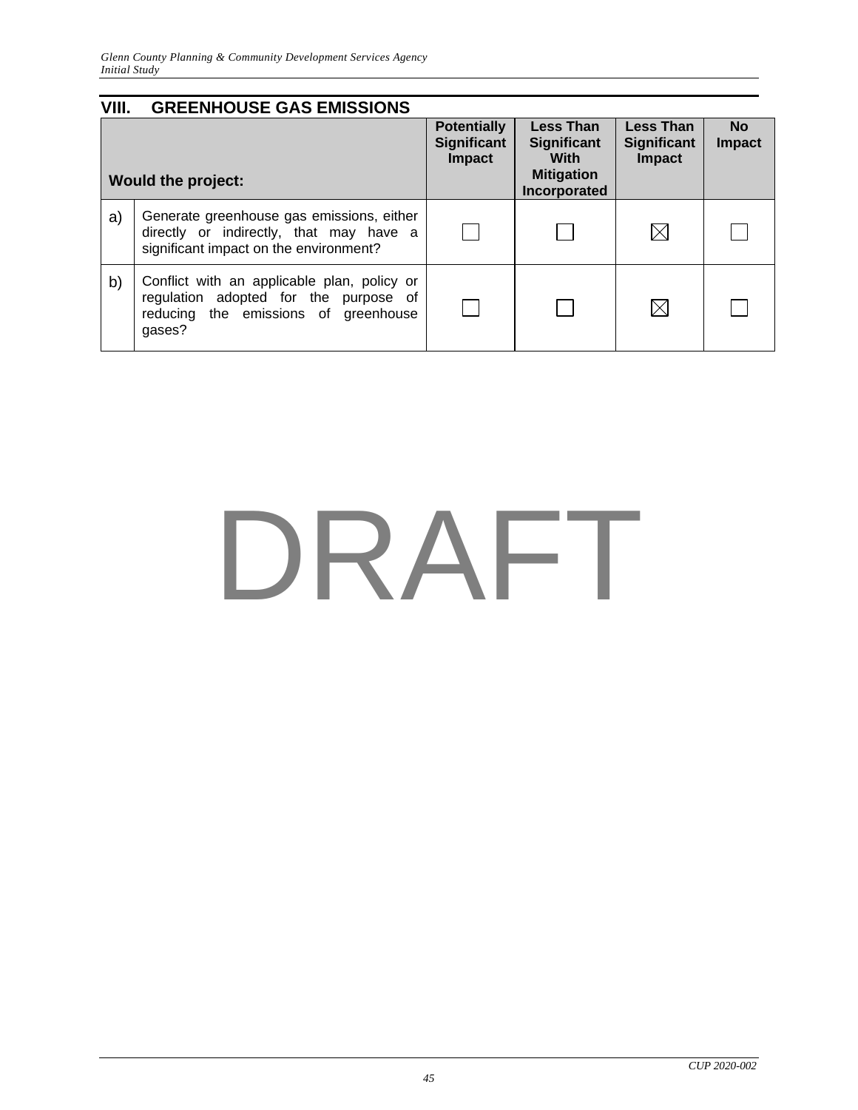| VIII. | <b>GREENHOUSE GAS EMISSIONS</b>                                                                                                        |                                                    |                                                                                     |                                                         |                            |
|-------|----------------------------------------------------------------------------------------------------------------------------------------|----------------------------------------------------|-------------------------------------------------------------------------------------|---------------------------------------------------------|----------------------------|
|       | <b>Would the project:</b>                                                                                                              | <b>Potentially</b><br><b>Significant</b><br>Impact | <b>Less Than</b><br><b>Significant</b><br>With<br><b>Mitigation</b><br>Incorporated | <b>Less Than</b><br><b>Significant</b><br><b>Impact</b> | <b>No</b><br><b>Impact</b> |
| a)    | Generate greenhouse gas emissions, either<br>directly or indirectly, that may have a<br>significant impact on the environment?         |                                                    |                                                                                     | ⋉                                                       |                            |
| b)    | Conflict with an applicable plan, policy or<br>regulation adopted for the purpose of<br>reducing the emissions of greenhouse<br>qases? |                                                    |                                                                                     | $\boxtimes$                                             |                            |

## DRAFT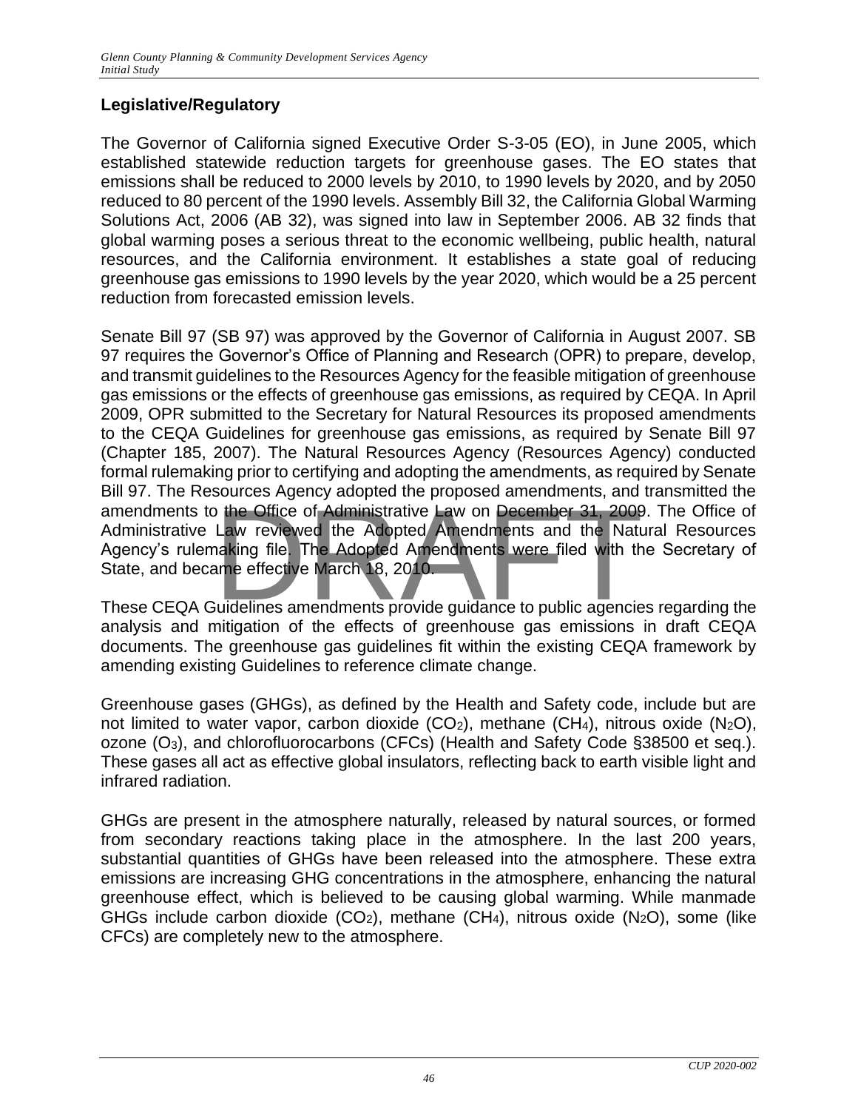#### **Legislative/Regulatory**

The Governor of California signed Executive Order S-3-05 (EO), in June 2005, which established statewide reduction targets for greenhouse gases. The EO states that emissions shall be reduced to 2000 levels by 2010, to 1990 levels by 2020, and by 2050 reduced to 80 percent of the 1990 levels. Assembly Bill 32, the California Global Warming Solutions Act, 2006 (AB 32), was signed into law in September 2006. AB 32 finds that global warming poses a serious threat to the economic wellbeing, public health, natural resources, and the California environment. It establishes a state goal of reducing greenhouse gas emissions to 1990 levels by the year 2020, which would be a 25 percent reduction from forecasted emission levels.

Senate Bill 97 (SB 97) was approved by the Governor of California in August 2007. SB 97 requires the Governor's Office of Planning and Research (OPR) to prepare, develop, and transmit guidelines to the Resources Agency for the feasible mitigation of greenhouse gas emissions or the effects of greenhouse gas emissions, as required by CEQA. In April 2009, OPR submitted to the Secretary for Natural Resources its proposed amendments to the CEQA Guidelines for greenhouse gas emissions, as required by Senate Bill 97 (Chapter 185, 2007). The Natural Resources Agency (Resources Agency) conducted formal rulemaking prior to certifying and adopting the amendments, as required by Senate Bill 97. The Resources Agency adopted the proposed amendments, and transmitted the amendments to the Office of Administrative Law on December 31, 2009. The Office of Administrative Law reviewed the Adopted Amendments and the Natural Resources Agency's rulemaking file. The Adopted Amendments were filed wi Administrative Law reviewed the Adopted Amendments and the Natural Resources Agency's rulemaking file. The Adopted Amendments were filed with the Secretary of State, and became effective March 18, 2010.

These CEQA Guidelines amendments provide guidance to public agencies regarding the analysis and mitigation of the effects of greenhouse gas emissions in draft CEQA documents. The greenhouse gas guidelines fit within the existing CEQA framework by amending existing Guidelines to reference climate change.

Greenhouse gases (GHGs), as defined by the Health and Safety code, include but are not limited to water vapor, carbon dioxide  $(CO_2)$ , methane  $(CH_4)$ , nitrous oxide  $(N_2O)$ , ozone (O3), and chlorofluorocarbons (CFCs) (Health and Safety Code §38500 et seq.). These gases all act as effective global insulators, reflecting back to earth visible light and infrared radiation.

GHGs are present in the atmosphere naturally, released by natural sources, or formed from secondary reactions taking place in the atmosphere. In the last 200 years, substantial quantities of GHGs have been released into the atmosphere. These extra emissions are increasing GHG concentrations in the atmosphere, enhancing the natural greenhouse effect, which is believed to be causing global warming. While manmade GHGs include carbon dioxide  $(CO_2)$ , methane  $(CH_4)$ , nitrous oxide  $(N_2O)$ , some (like CFCs) are completely new to the atmosphere.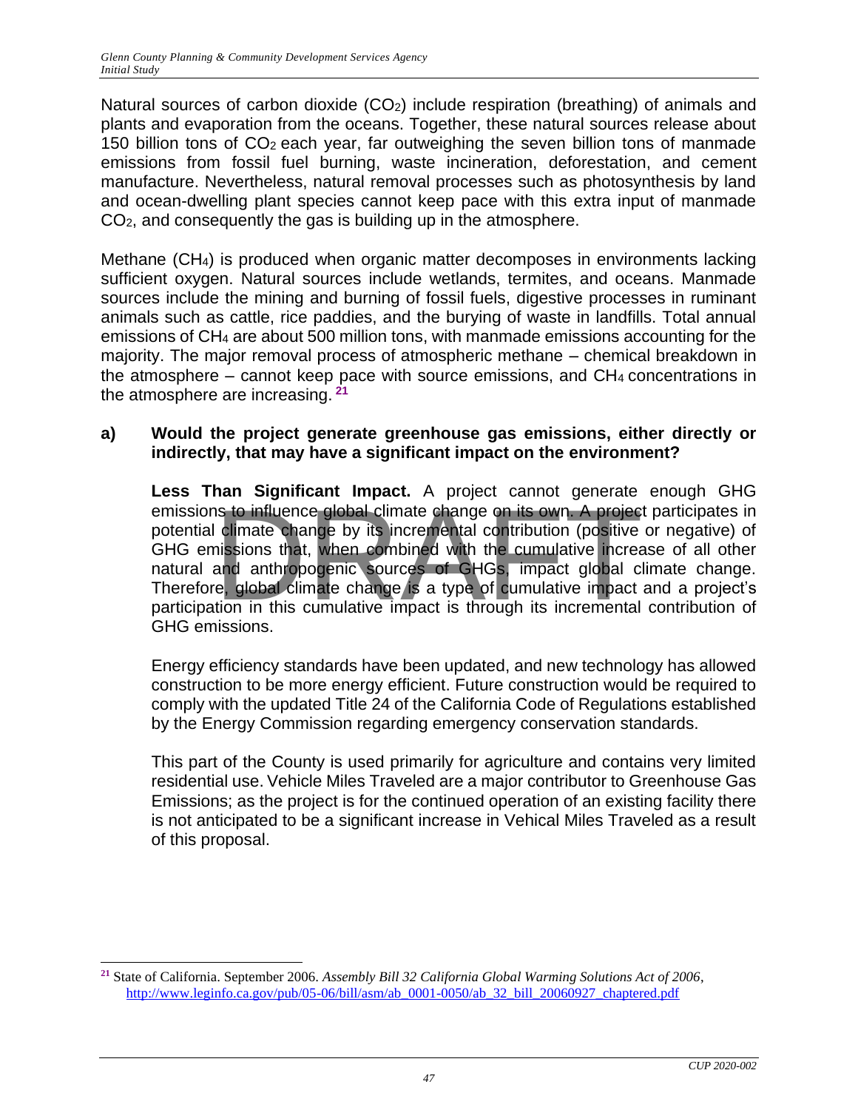Natural sources of carbon dioxide (CO<sub>2</sub>) include respiration (breathing) of animals and plants and evaporation from the oceans. Together, these natural sources release about 150 billion tons of CO2 each year, far outweighing the seven billion tons of manmade emissions from fossil fuel burning, waste incineration, deforestation, and cement manufacture. Nevertheless, natural removal processes such as photosynthesis by land and ocean-dwelling plant species cannot keep pace with this extra input of manmade CO2, and consequently the gas is building up in the atmosphere.

Methane (CH4) is produced when organic matter decomposes in environments lacking sufficient oxygen. Natural sources include wetlands, termites, and oceans. Manmade sources include the mining and burning of fossil fuels, digestive processes in ruminant animals such as cattle, rice paddies, and the burying of waste in landfills. Total annual emissions of CH<sup>4</sup> are about 500 million tons, with manmade emissions accounting for the majority. The major removal process of atmospheric methane – chemical breakdown in the atmosphere – cannot keep pace with source emissions, and  $CH_4$  concentrations in the atmosphere are increasing. **<sup>21</sup>**

#### **a) Would the project generate greenhouse gas emissions, either directly or indirectly, that may have a significant impact on the environment?**

**Less Than Significant Impact.** A project cannot generate enough GHG emissions to influence global climate change on its own. A project participates in potential climate change by its incremental contribution (positive or negative) of GHG emissions that, when combined with the cumulative increase of all other natural and anthropogenic sources of GHGs, impact global climate change. Therefore, global climate change is a type of cumulative impact and a project's participation in this cumulative impact is through its incremental contribution of GHG emissions. The internal contribution (positive state)<br>In the change by its incremental contribution (positive<br>issions that, when combined with the cumulative increased<br>and anthropogenic sources of GHGs, impact global c<br>e, global clim

Energy efficiency standards have been updated, and new technology has allowed construction to be more energy efficient. Future construction would be required to comply with the updated Title 24 of the California Code of Regulations established by the Energy Commission regarding emergency conservation standards.

This part of the County is used primarily for agriculture and contains very limited residential use. Vehicle Miles Traveled are a major contributor to Greenhouse Gas Emissions; as the project is for the continued operation of an existing facility there is not anticipated to be a significant increase in Vehical Miles Traveled as a result of this proposal.

**<sup>21</sup>** State of California. September 2006. *Assembly Bill 32 California Global Warming Solutions Act of 2006*, [http://www.leginfo.ca.gov/pub/05-06/bill/asm/ab\\_0001-0050/ab\\_32\\_bill\\_20060927\\_chaptered.pdf](http://www.leginfo.ca.gov/pub/05-06/bill/asm/ab_0001-0050/ab_32_bill_20060927_chaptered.pdf)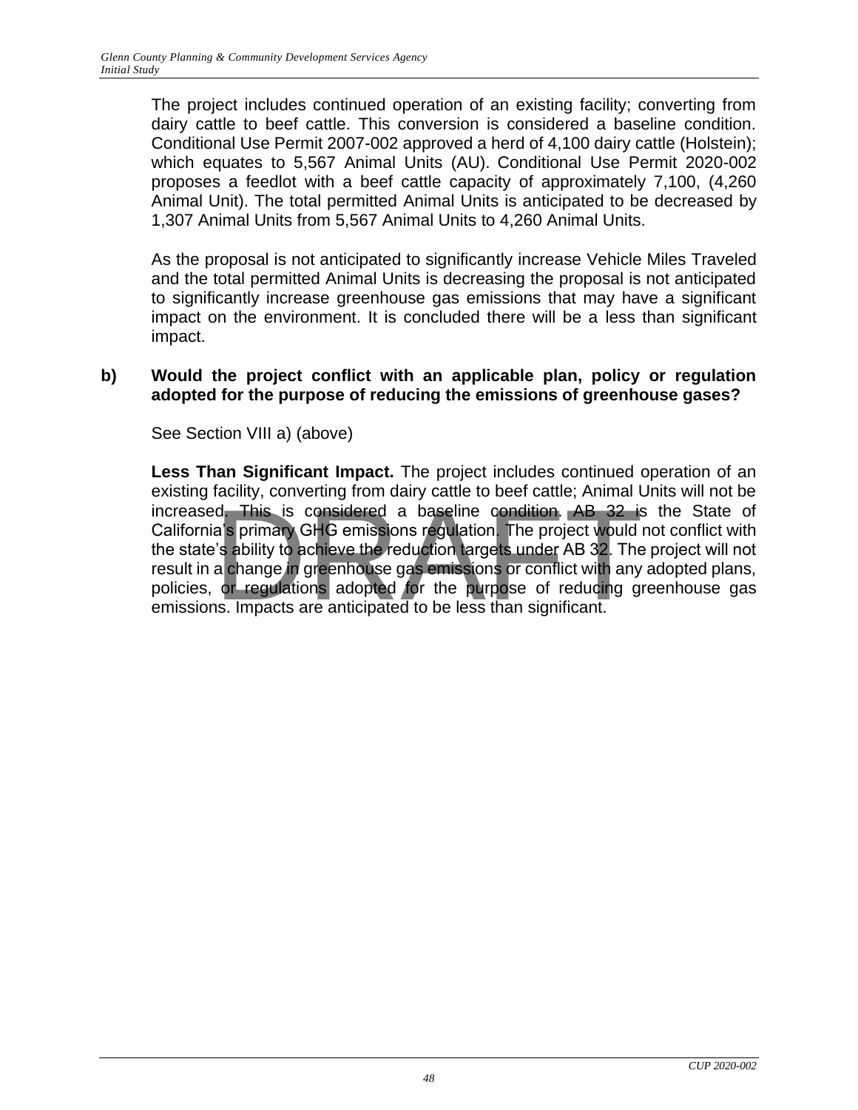The project includes continued operation of an existing facility; converting from dairy cattle to beef cattle. This conversion is considered a baseline condition. Conditional Use Permit 2007-002 approved a herd of 4,100 dairy cattle (Holstein); which equates to 5,567 Animal Units (AU). Conditional Use Permit 2020-002 proposes a feedlot with a beef cattle capacity of approximately 7,100, (4,260 Animal Unit). The total permitted Animal Units is anticipated to be decreased by 1,307 Animal Units from 5,567 Animal Units to 4,260 Animal Units.

As the proposal is not anticipated to significantly increase Vehicle Miles Traveled and the total permitted Animal Units is decreasing the proposal is not anticipated to significantly increase greenhouse gas emissions that may have a significant impact on the environment. It is concluded there will be a less than significant impact.

#### **b) Would the project conflict with an applicable plan, policy or regulation adopted for the purpose of reducing the emissions of greenhouse gases?**

See Section VIII a) (above)

**Less Than Significant Impact.** The project includes continued operation of an existing facility, converting from dairy cattle to beef cattle; Animal Units will not be increased. This is considered a baseline condition. AB 32 is the State of California's primary GHG emissions regulation. The project would not conflict with the state's ability to achieve the reduction targets under AB 32. California's primary GHG emissions regulation. The project would not conflict with the state's ability to achieve the reduction targets under AB 32. The project will not result in a change in greenhouse gas emissions or conflict with any adopted plans, policies, or regulations adopted for the purpose of reducing greenhouse gas emissions. Impacts are anticipated to be less than significant.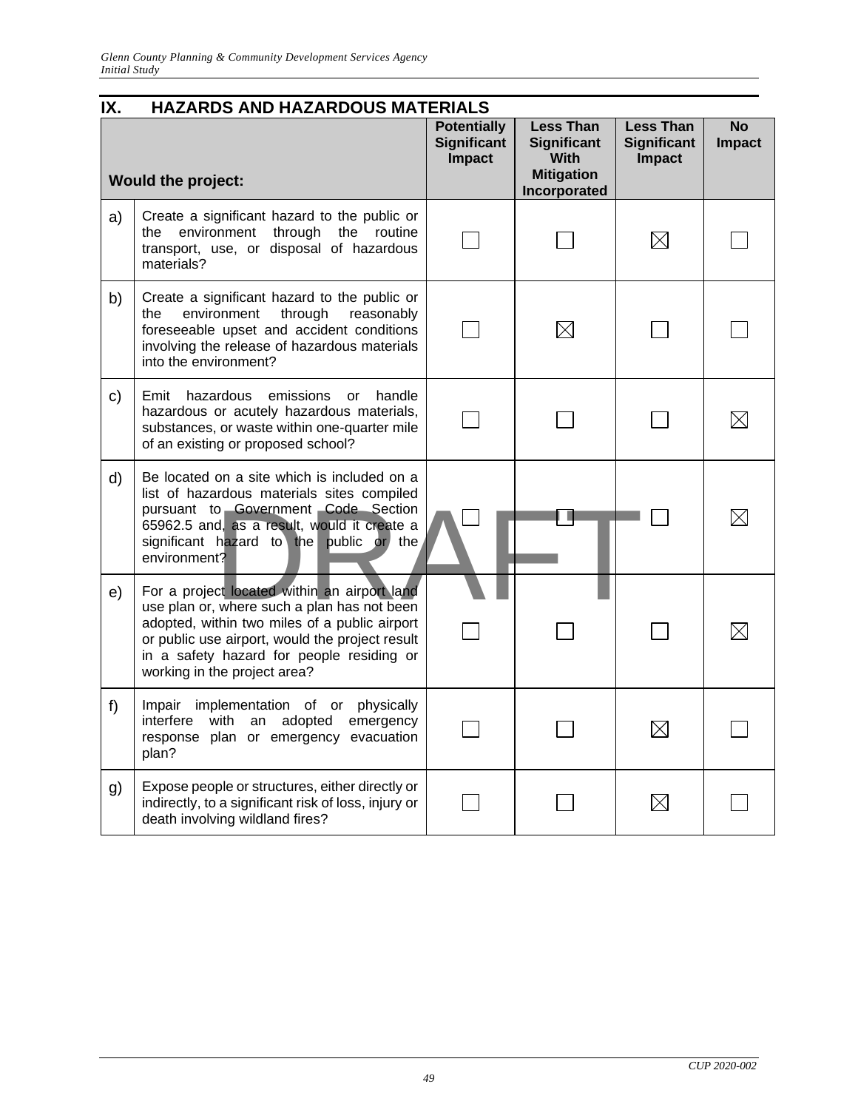| IX. | <b>HAZARDS AND HAZARDOUS MATERIALS</b>                                                                                                                                                                                                                                       |                                                           |                                                                                            |                                                         |                            |  |
|-----|------------------------------------------------------------------------------------------------------------------------------------------------------------------------------------------------------------------------------------------------------------------------------|-----------------------------------------------------------|--------------------------------------------------------------------------------------------|---------------------------------------------------------|----------------------------|--|
|     | <b>Would the project:</b>                                                                                                                                                                                                                                                    | <b>Potentially</b><br><b>Significant</b><br><b>Impact</b> | <b>Less Than</b><br><b>Significant</b><br><b>With</b><br><b>Mitigation</b><br>Incorporated | <b>Less Than</b><br><b>Significant</b><br><b>Impact</b> | <b>No</b><br><b>Impact</b> |  |
| a)  | Create a significant hazard to the public or<br>the environment<br>through<br>the routine<br>transport, use, or disposal of hazardous<br>materials?                                                                                                                          |                                                           |                                                                                            | $\boxtimes$                                             |                            |  |
| b)  | Create a significant hazard to the public or<br>environment<br>through<br>reasonably<br>the<br>foreseeable upset and accident conditions<br>involving the release of hazardous materials<br>into the environment?                                                            |                                                           | $\boxtimes$                                                                                |                                                         |                            |  |
| c)  | hazardous<br>Emit<br>emissions<br>handle<br><b>or</b><br>hazardous or acutely hazardous materials,<br>substances, or waste within one-quarter mile<br>of an existing or proposed school?                                                                                     |                                                           |                                                                                            |                                                         |                            |  |
| d)  | Be located on a site which is included on a<br>list of hazardous materials sites compiled<br>pursuant to Government Code Section<br>65962.5 and, as a result, would it create a<br>significant hazard to the public or<br>the<br>environment?                                |                                                           |                                                                                            |                                                         |                            |  |
| e)  | For a project located within an airport land<br>use plan or, where such a plan has not been<br>adopted, within two miles of a public airport<br>or public use airport, would the project result<br>in a safety hazard for people residing or<br>working in the project area? |                                                           |                                                                                            |                                                         |                            |  |
| f)  | Impair implementation of or physically<br>interfere with an adopted emergency<br>response plan or emergency evacuation<br>plan?                                                                                                                                              |                                                           |                                                                                            | $\boxtimes$                                             |                            |  |
| g)  | Expose people or structures, either directly or<br>indirectly, to a significant risk of loss, injury or<br>death involving wildland fires?                                                                                                                                   |                                                           |                                                                                            | $\boxtimes$                                             |                            |  |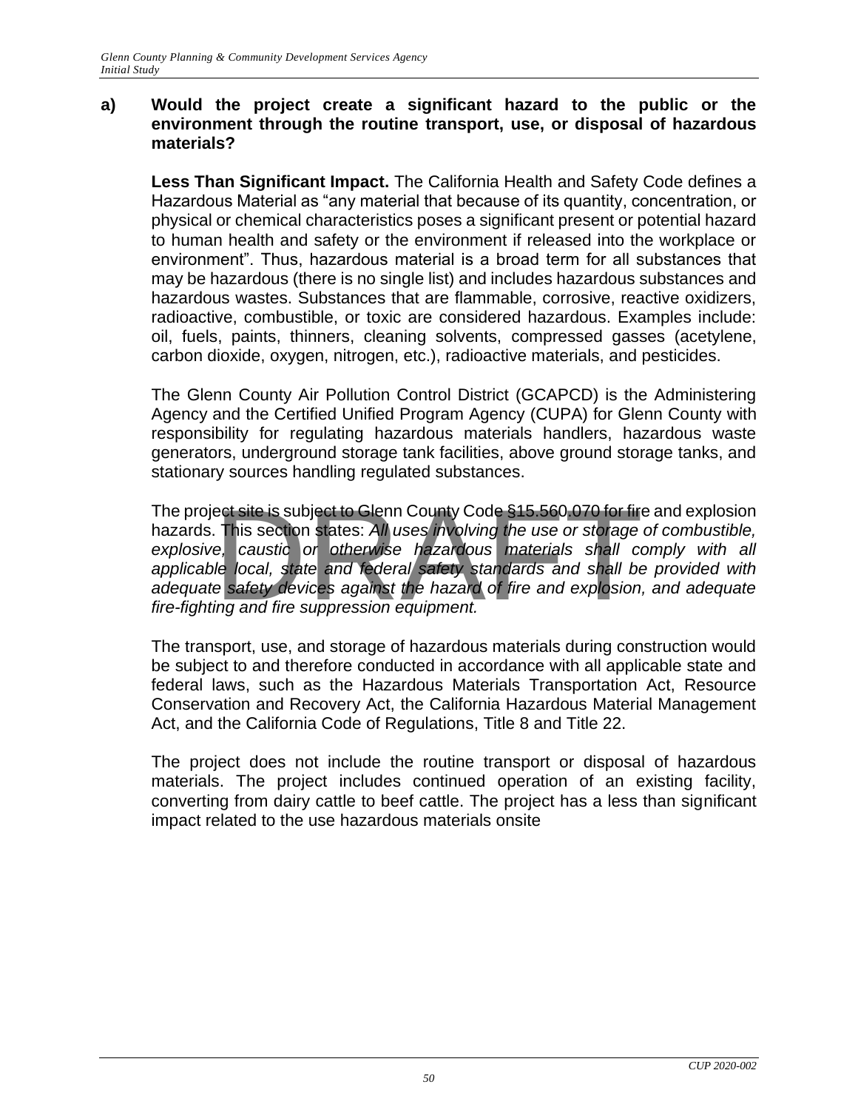#### **a) Would the project create a significant hazard to the public or the environment through the routine transport, use, or disposal of hazardous materials?**

**Less Than Significant Impact.** The California Health and Safety Code defines a Hazardous Material as "any material that because of its quantity, concentration, or physical or chemical characteristics poses a significant present or potential hazard to human health and safety or the environment if released into the workplace or environment". Thus, hazardous material is a broad term for all substances that may be hazardous (there is no single list) and includes hazardous substances and hazardous wastes. Substances that are flammable, corrosive, reactive oxidizers, radioactive, combustible, or toxic are considered hazardous. Examples include: oil, fuels, paints, thinners, cleaning solvents, compressed gasses (acetylene, carbon dioxide, oxygen, nitrogen, etc.), radioactive materials, and pesticides.

The Glenn County Air Pollution Control District (GCAPCD) is the Administering Agency and the Certified Unified Program Agency (CUPA) for Glenn County with responsibility for regulating hazardous materials handlers, hazardous waste generators, underground storage tank facilities, above ground storage tanks, and stationary sources handling regulated substances.

The project site is subject to Glenn County Code §15.560.070 for fire and explosion hazards. This section states: *All uses involving the use or storage of combustible, explosive, caustic or otherwise hazardous materials shall comply with all applicable local, state and federal safety standards and shall be provided with adequate safety devices against the hazard of fire and explosion, and adequate fire-fighting and fire suppression equipment.*  ect site is subject to Glenn County Code §15.560.070 for fire<br>This section states: All uses involving the use or storage<br>e, caustic or otherwise hazardous materials shall co<br>le local, state and federal safety standards and

The transport, use, and storage of hazardous materials during construction would be subject to and therefore conducted in accordance with all applicable state and federal laws, such as the Hazardous Materials Transportation Act, Resource Conservation and Recovery Act, the California Hazardous Material Management Act, and the California Code of Regulations, Title 8 and Title 22.

The project does not include the routine transport or disposal of hazardous materials. The project includes continued operation of an existing facility, converting from dairy cattle to beef cattle. The project has a less than significant impact related to the use hazardous materials onsite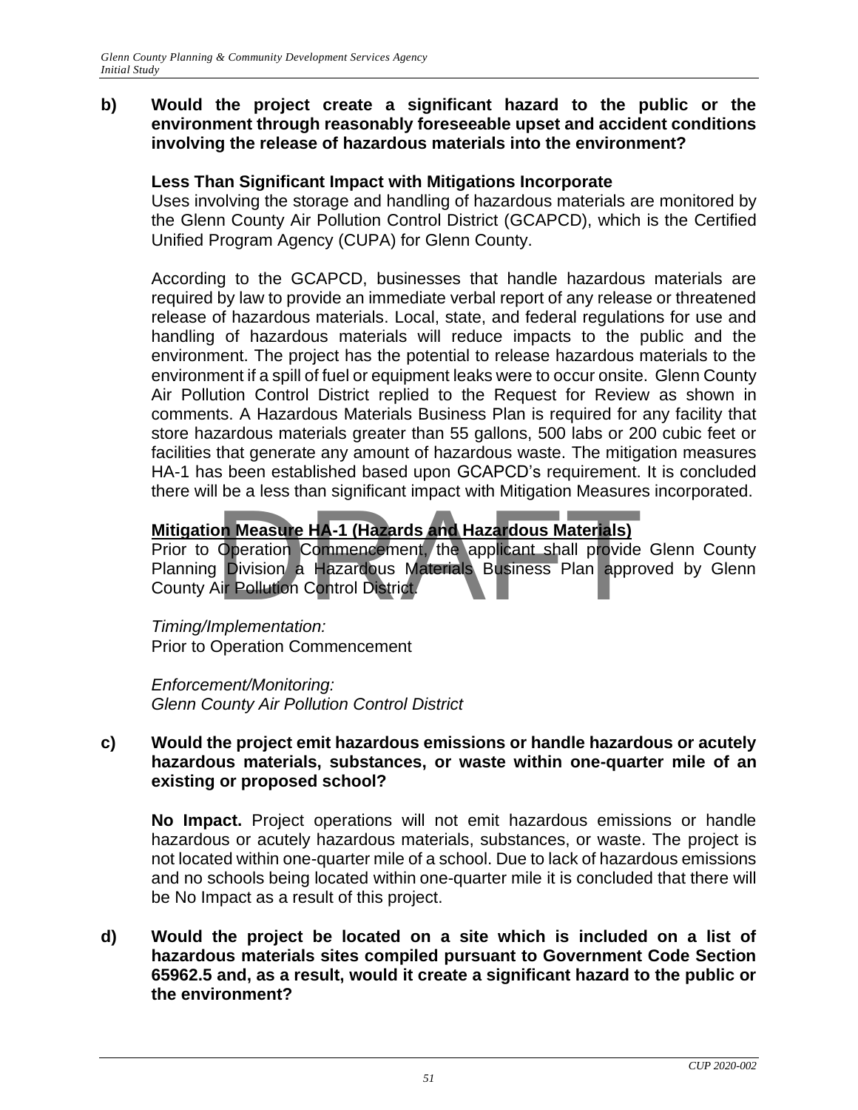#### **b) Would the project create a significant hazard to the public or the environment through reasonably foreseeable upset and accident conditions involving the release of hazardous materials into the environment?**

#### **Less Than Significant Impact with Mitigations Incorporate**

Uses involving the storage and handling of hazardous materials are monitored by the Glenn County Air Pollution Control District (GCAPCD), which is the Certified Unified Program Agency (CUPA) for Glenn County.

According to the GCAPCD, businesses that handle hazardous materials are required by law to provide an immediate verbal report of any release or threatened release of hazardous materials. Local, state, and federal regulations for use and handling of hazardous materials will reduce impacts to the public and the environment. The project has the potential to release hazardous materials to the environment if a spill of fuel or equipment leaks were to occur onsite. Glenn County Air Pollution Control District replied to the Request for Review as shown in comments. A Hazardous Materials Business Plan is required for any facility that store hazardous materials greater than 55 gallons, 500 labs or 200 cubic feet or facilities that generate any amount of hazardous waste. The mitigation measures HA-1 has been established based upon GCAPCD's requirement. It is concluded there will be a less than significant impact with Mitigation Measures incorporated.

#### **Mitigation Measure HA-1 (Hazards and Hazardous Materials)**

Prior to Operation Commencement, the applicant shall provide Glenn County Planning Division a Hazardous Materials Business Plan approved by Glenn County Air Pollution Control District. Dr. Measure HA-1 (Hazards and Hazardous Materials)<br>Operation Commencement, the applicant shall provide<br>Division a Hazardous Materials Business Plan approximating Pollution Control District.

*Timing/Implementation:*  Prior to Operation Commencement

*Enforcement/Monitoring: Glenn County Air Pollution Control District*

#### **c) Would the project emit hazardous emissions or handle hazardous or acutely hazardous materials, substances, or waste within one-quarter mile of an existing or proposed school?**

**No Impact.** Project operations will not emit hazardous emissions or handle hazardous or acutely hazardous materials, substances, or waste. The project is not located within one-quarter mile of a school. Due to lack of hazardous emissions and no schools being located within one-quarter mile it is concluded that there will be No Impact as a result of this project.

**d) Would the project be located on a site which is included on a list of hazardous materials sites compiled pursuant to Government Code Section 65962.5 and, as a result, would it create a significant hazard to the public or the environment?**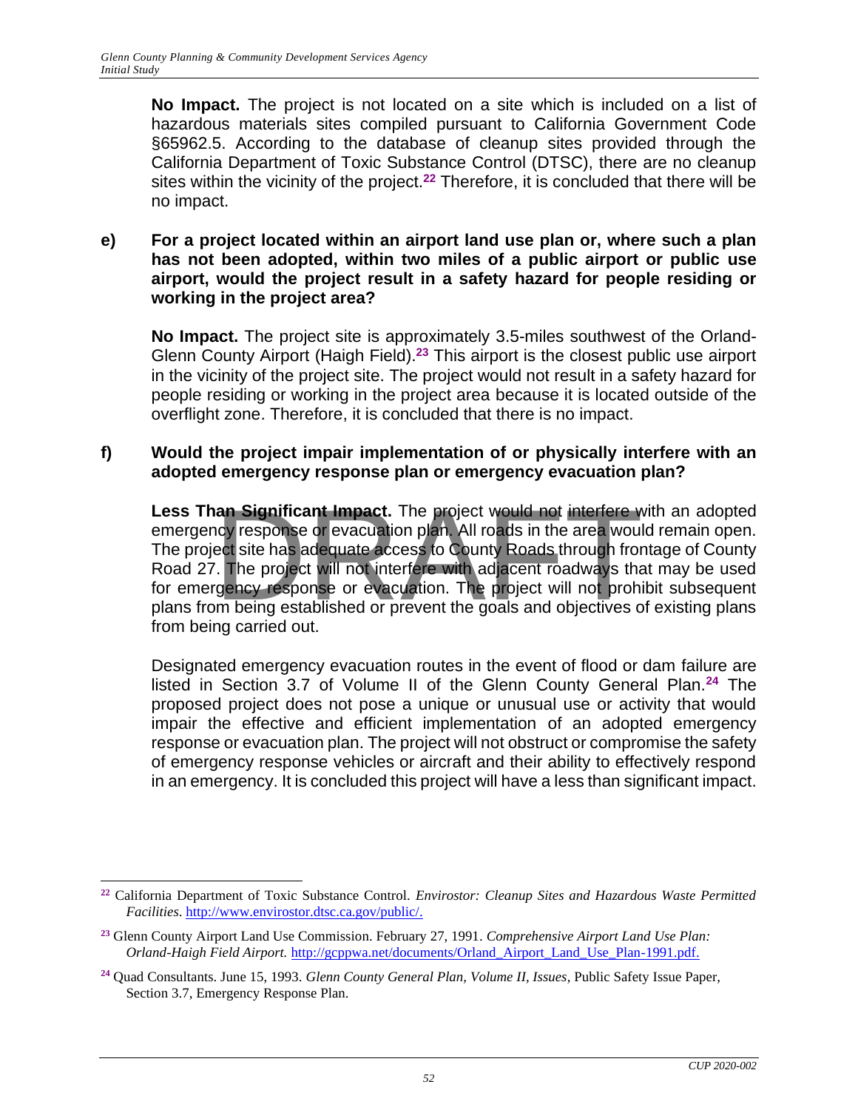**No Impact.** The project is not located on a site which is included on a list of hazardous materials sites compiled pursuant to California Government Code §65962.5. According to the database of cleanup sites provided through the California Department of Toxic Substance Control (DTSC), there are no cleanup sites within the vicinity of the project.**<sup>22</sup>** Therefore, it is concluded that there will be no impact.

**e) For a project located within an airport land use plan or, where such a plan has not been adopted, within two miles of a public airport or public use airport, would the project result in a safety hazard for people residing or working in the project area?**

**No Impact.** The project site is approximately 3.5-miles southwest of the Orland-Glenn County Airport (Haigh Field).<sup>23</sup> This airport is the closest public use airport in the vicinity of the project site. The project would not result in a safety hazard for people residing or working in the project area because it is located outside of the overflight zone. Therefore, it is concluded that there is no impact.

#### **f) Would the project impair implementation of or physically interfere with an adopted emergency response plan or emergency evacuation plan?**

Less Than Significant Impact. The project would not interfere with an adopted emergency response or evacuation plan. All roads in the area would remain open. The project site has adequate access to County Roads through fro emergency response or evacuation plan. All roads in the area would remain open. The project site has adequate access to County Roads through frontage of County Road 27. The project will not interfere with adjacent roadways that may be used for emergency response or evacuation. The project will not prohibit subsequent plans from being established or prevent the goals and objectives of existing plans from being carried out.

Designated emergency evacuation routes in the event of flood or dam failure are listed in Section 3.7 of Volume II of the Glenn County General Plan.**<sup>24</sup>** The proposed project does not pose a unique or unusual use or activity that would impair the effective and efficient implementation of an adopted emergency response or evacuation plan. The project will not obstruct or compromise the safety of emergency response vehicles or aircraft and their ability to effectively respond in an emergency. It is concluded this project will have a less than significant impact.

**<sup>22</sup>** California Department of Toxic Substance Control. *Envirostor: Cleanup Sites and Hazardous Waste Permitted Facilities*. [http://www.envirostor.dtsc.ca.gov/public/.](http://www.envirostor.dtsc.ca.gov/public/)

**<sup>23</sup>** Glenn County Airport Land Use Commission. February 27, 1991. *Comprehensive Airport Land Use Plan: Orland-Haigh Field Airport.* [http://gcppwa.net/documents/Orland\\_Airport\\_Land\\_Use\\_Plan-1991.pdf.](http://gcppwa.net/documents/Orland_Airport_Land_Use_Plan-1991.pdf)

**<sup>24</sup>** Quad Consultants. June 15, 1993. *Glenn County General Plan, Volume II, Issues*, Public Safety Issue Paper, Section 3.7, Emergency Response Plan.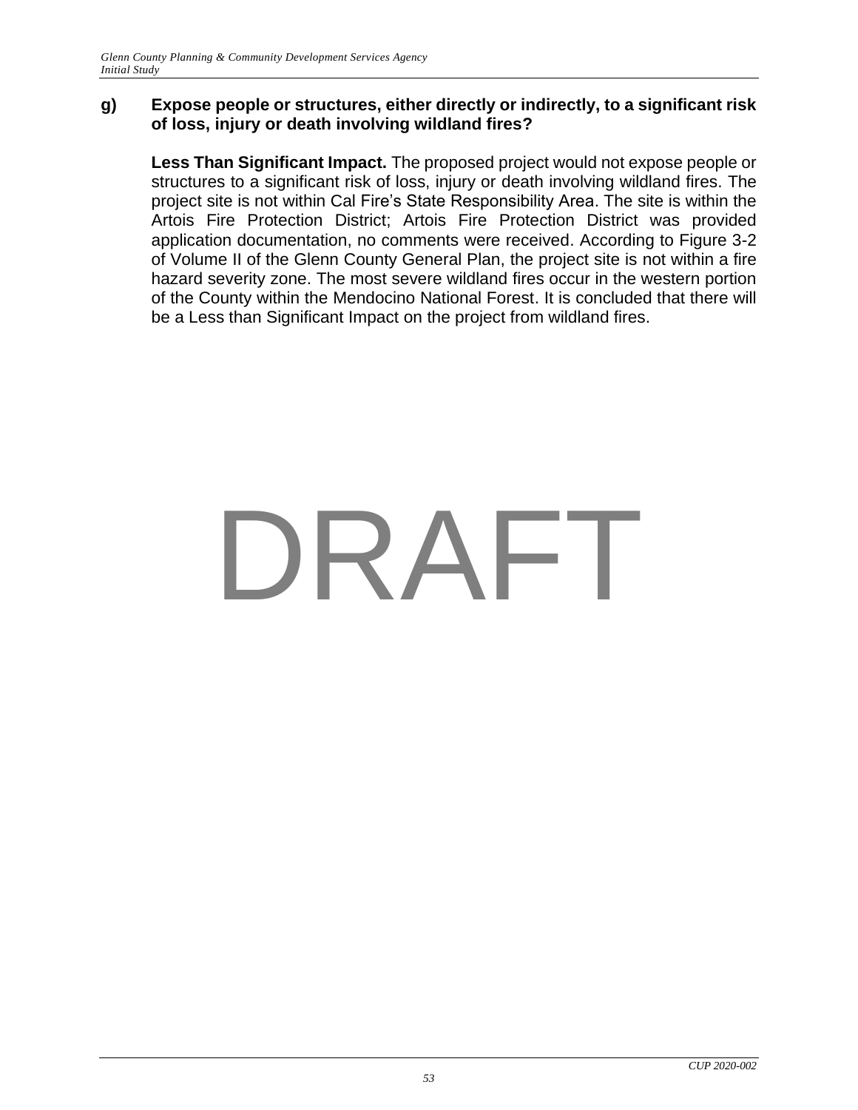#### **g) Expose people or structures, either directly or indirectly, to a significant risk of loss, injury or death involving wildland fires?**

**Less Than Significant Impact.** The proposed project would not expose people or structures to a significant risk of loss, injury or death involving wildland fires. The project site is not within Cal Fire's State Responsibility Area. The site is within the Artois Fire Protection District; Artois Fire Protection District was provided application documentation, no comments were received. According to Figure 3-2 of Volume II of the Glenn County General Plan, the project site is not within a fire hazard severity zone. The most severe wildland fires occur in the western portion of the County within the Mendocino National Forest. It is concluded that there will be a Less than Significant Impact on the project from wildland fires.

# DRAFT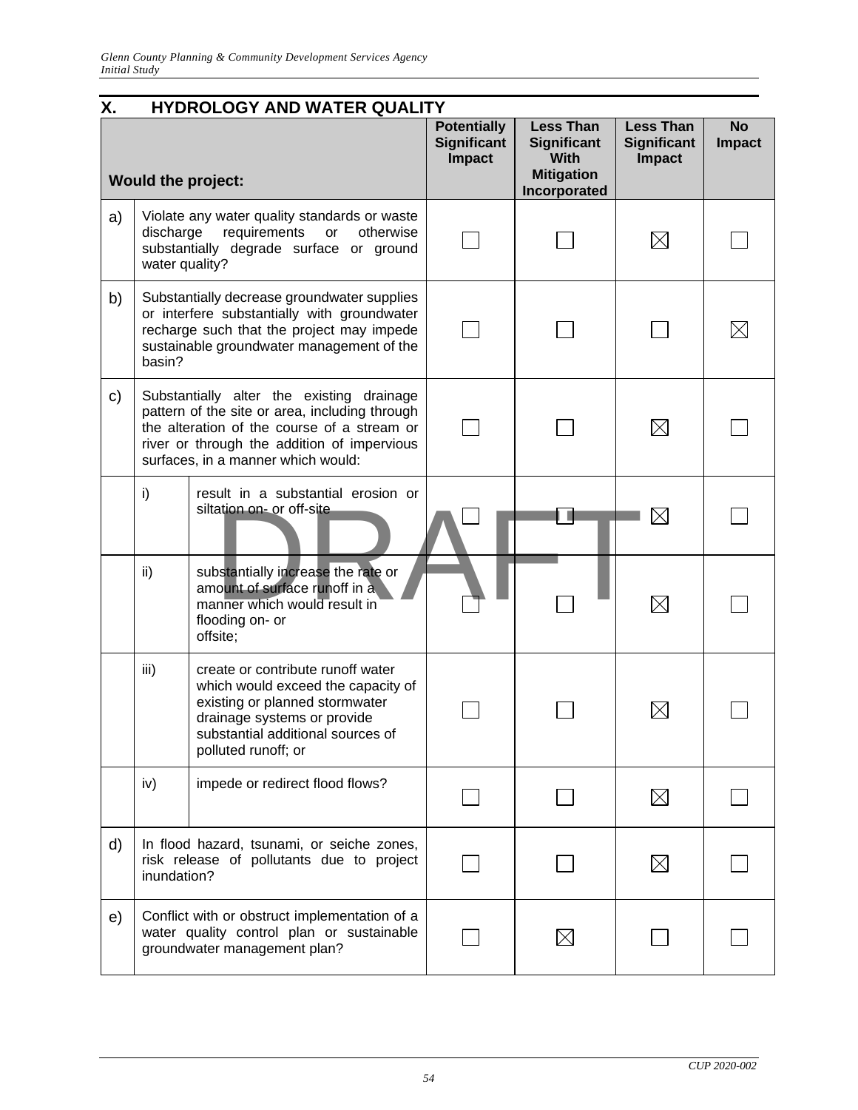| Χ. |                             | HYDROLOGY AND WATER QUALITY                                                                                                                                                                                                     |                                                           |                                                                                            |                                                         |                            |
|----|-----------------------------|---------------------------------------------------------------------------------------------------------------------------------------------------------------------------------------------------------------------------------|-----------------------------------------------------------|--------------------------------------------------------------------------------------------|---------------------------------------------------------|----------------------------|
|    |                             | <b>Would the project:</b>                                                                                                                                                                                                       | <b>Potentially</b><br><b>Significant</b><br><b>Impact</b> | <b>Less Than</b><br><b>Significant</b><br><b>With</b><br><b>Mitigation</b><br>Incorporated | <b>Less Than</b><br><b>Significant</b><br><b>Impact</b> | <b>No</b><br><b>Impact</b> |
| a) | discharge<br>water quality? | Violate any water quality standards or waste<br>requirements<br>otherwise<br>or<br>substantially degrade surface or ground                                                                                                      |                                                           |                                                                                            | $\boxtimes$                                             |                            |
| b) | basin?                      | Substantially decrease groundwater supplies<br>or interfere substantially with groundwater<br>recharge such that the project may impede<br>sustainable groundwater management of the                                            |                                                           |                                                                                            |                                                         |                            |
| C) |                             | Substantially alter the existing drainage<br>pattern of the site or area, including through<br>the alteration of the course of a stream or<br>river or through the addition of impervious<br>surfaces, in a manner which would: |                                                           |                                                                                            | $\boxtimes$                                             |                            |
|    | i)                          | result in a substantial erosion or<br>siltation on- or off-site                                                                                                                                                                 |                                                           |                                                                                            | $\boxtimes$                                             |                            |
|    | ii)                         | substantially increase the rate or<br>amount of surface runoff in a<br>manner which would result in<br>flooding on- or<br>offsite;                                                                                              |                                                           |                                                                                            | $\boxtimes$                                             |                            |
|    | iii)                        | create or contribute runoff water<br>which would exceed the capacity of<br>existing or planned stormwater<br>drainage systems or provide<br>substantial additional sources of<br>polluted runoff; or                            |                                                           |                                                                                            |                                                         |                            |
|    | iv)                         | impede or redirect flood flows?                                                                                                                                                                                                 |                                                           |                                                                                            | $\boxtimes$                                             |                            |
| d) | inundation?                 | In flood hazard, tsunami, or seiche zones,<br>risk release of pollutants due to project                                                                                                                                         |                                                           |                                                                                            | $\boxtimes$                                             |                            |
| e) |                             | Conflict with or obstruct implementation of a<br>water quality control plan or sustainable<br>groundwater management plan?                                                                                                      |                                                           |                                                                                            |                                                         |                            |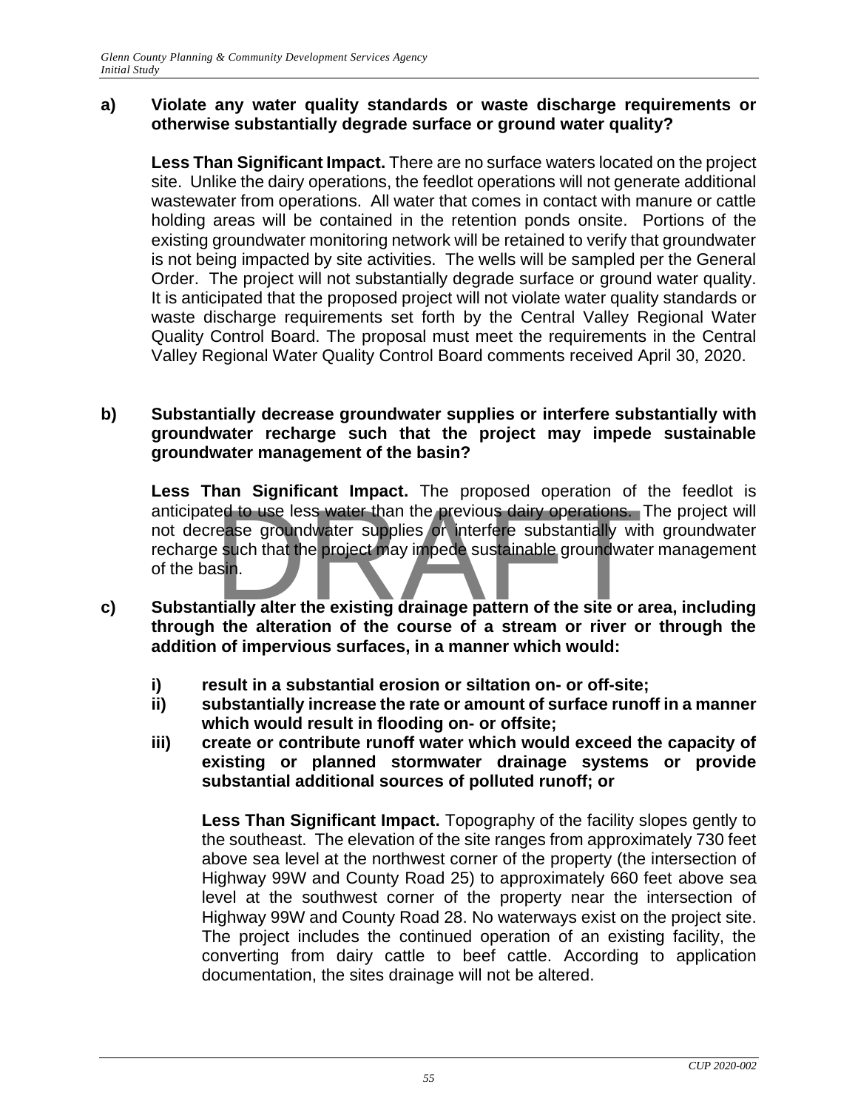#### **a) Violate any water quality standards or waste discharge requirements or otherwise substantially degrade surface or ground water quality?**

**Less Than Significant Impact.** There are no surface waters located on the project site. Unlike the dairy operations, the feedlot operations will not generate additional wastewater from operations. All water that comes in contact with manure or cattle holding areas will be contained in the retention ponds onsite. Portions of the existing groundwater monitoring network will be retained to verify that groundwater is not being impacted by site activities. The wells will be sampled per the General Order. The project will not substantially degrade surface or ground water quality. It is anticipated that the proposed project will not violate water quality standards or waste discharge requirements set forth by the Central Valley Regional Water Quality Control Board. The proposal must meet the requirements in the Central Valley Regional Water Quality Control Board comments received April 30, 2020.

#### **b) Substantially decrease groundwater supplies or interfere substantially with groundwater recharge such that the project may impede sustainable groundwater management of the basin?**

**Less Than Significant Impact.** The proposed operation of the feedlot is anticipated to use less water than the previous dairy operations. The project will not decrease groundwater supplies or interfere substantially with groundwater recharge such that the project may impede sustainable groundwater management of the basin. The proposed operation of<br>ed to use less water than the previous dairy operations.<br>ease groundwater supplies or interfere substantially with<br>sin.<br>trially alter the existing drainage pattern of the site or a

- **c) Substantially alter the existing drainage pattern of the site or area, including through the alteration of the course of a stream or river or through the addition of impervious surfaces, in a manner which would:**
	- **i) result in a substantial erosion or siltation on- or off-site;**
	- **ii) substantially increase the rate or amount of surface runoff in a manner which would result in flooding on- or offsite;**
	- **iii) create or contribute runoff water which would exceed the capacity of existing or planned stormwater drainage systems or provide substantial additional sources of polluted runoff; or**

**Less Than Significant Impact.** Topography of the facility slopes gently to the southeast. The elevation of the site ranges from approximately 730 feet above sea level at the northwest corner of the property (the intersection of Highway 99W and County Road 25) to approximately 660 feet above sea level at the southwest corner of the property near the intersection of Highway 99W and County Road 28. No waterways exist on the project site. The project includes the continued operation of an existing facility, the converting from dairy cattle to beef cattle. According to application documentation, the sites drainage will not be altered.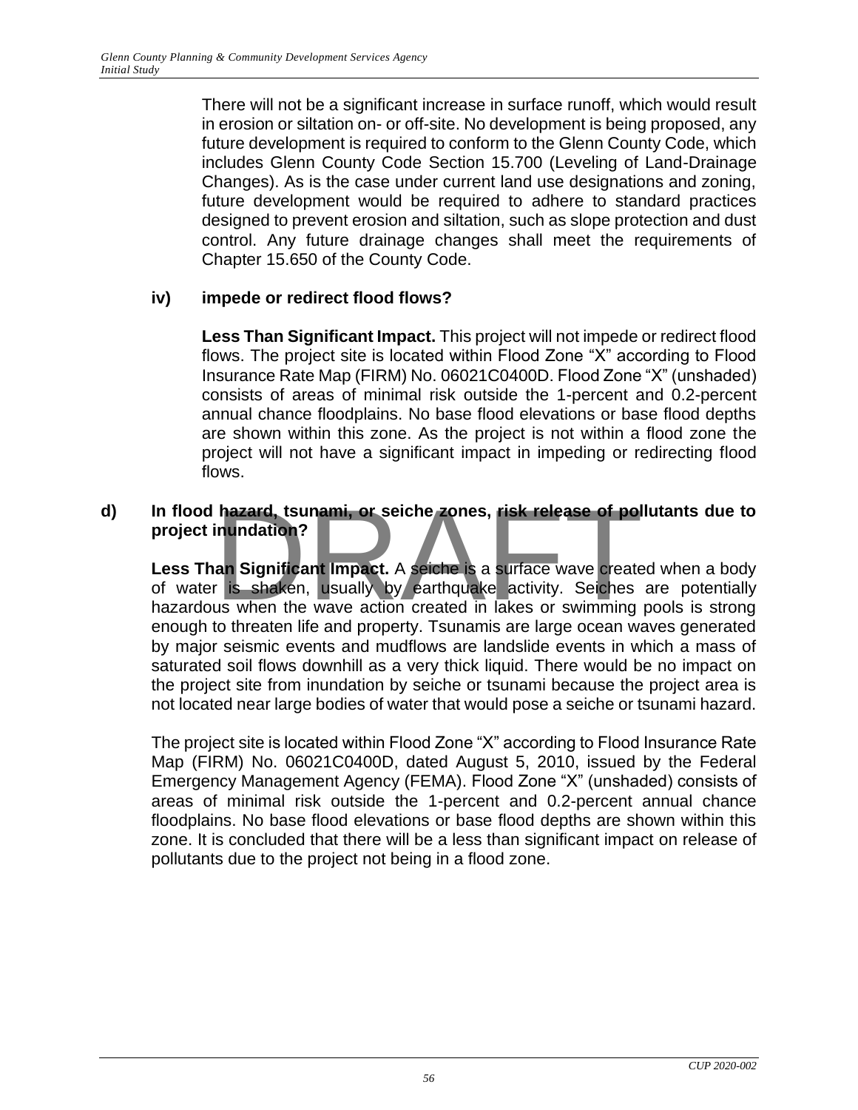There will not be a significant increase in surface runoff, which would result in erosion or siltation on- or off-site. No development is being proposed, any future development is required to conform to the Glenn County Code, which includes Glenn County Code Section 15.700 (Leveling of Land-Drainage Changes). As is the case under current land use designations and zoning, future development would be required to adhere to standard practices designed to prevent erosion and siltation, such as slope protection and dust control. Any future drainage changes shall meet the requirements of Chapter 15.650 of the County Code.

#### **iv) impede or redirect flood flows?**

**Less Than Significant Impact.** This project will not impede or redirect flood flows. The project site is located within Flood Zone "X" according to Flood Insurance Rate Map (FIRM) No. 06021C0400D. Flood Zone "X" (unshaded) consists of areas of minimal risk outside the 1-percent and 0.2-percent annual chance floodplains. No base flood elevations or base flood depths are shown within this zone. As the project is not within a flood zone the project will not have a significant impact in impeding or redirecting flood flows.

#### **d) In flood hazard, tsunami, or seiche zones, risk release of pollutants due to project inundation?**

Less Than Significant Impact. A seiche is a surface wave created when a body of water is shaken, usually by earthquake activity. Seiches are potentially hazardous when the wave action created in lakes or swimming pools is strong enough to threaten life and property. Tsunamis are large ocean waves generated by major seismic events and mudflows are landslide events in which a mass of saturated soil flows downhill as a very thick liquid. There would be no impact on the project site from inundation by seiche or tsunami because the project area is not located near large bodies of water that would pose a seiche or tsunami hazard. hazard, tsunami, or seiche zones, risk release of polinundation?<br>an Significant Impact. A seiche is a surface wave create<br>is shaken, usually by earthquake activity. Seiches<br>us when the wave action created in lakes or swimm

The project site is located within Flood Zone "X" according to Flood Insurance Rate Map (FIRM) No. 06021C0400D, dated August 5, 2010, issued by the Federal Emergency Management Agency (FEMA). Flood Zone "X" (unshaded) consists of areas of minimal risk outside the 1-percent and 0.2-percent annual chance floodplains. No base flood elevations or base flood depths are shown within this zone. It is concluded that there will be a less than significant impact on release of pollutants due to the project not being in a flood zone.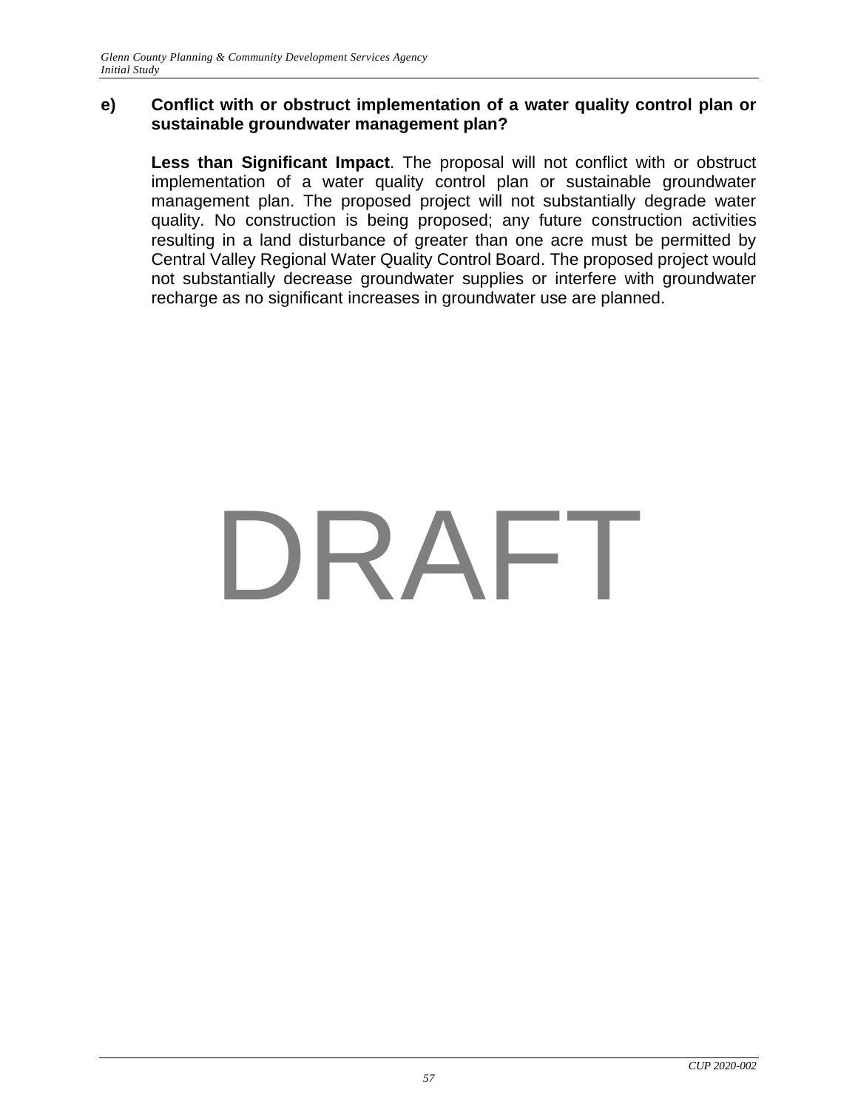#### **e) Conflict with or obstruct implementation of a water quality control plan or sustainable groundwater management plan?**

**Less than Significant Impact**. The proposal will not conflict with or obstruct implementation of a water quality control plan or sustainable groundwater management plan. The proposed project will not substantially degrade water quality. No construction is being proposed; any future construction activities resulting in a land disturbance of greater than one acre must be permitted by Central Valley Regional Water Quality Control Board. The proposed project would not substantially decrease groundwater supplies or interfere with groundwater recharge as no significant increases in groundwater use are planned.

# DRAFT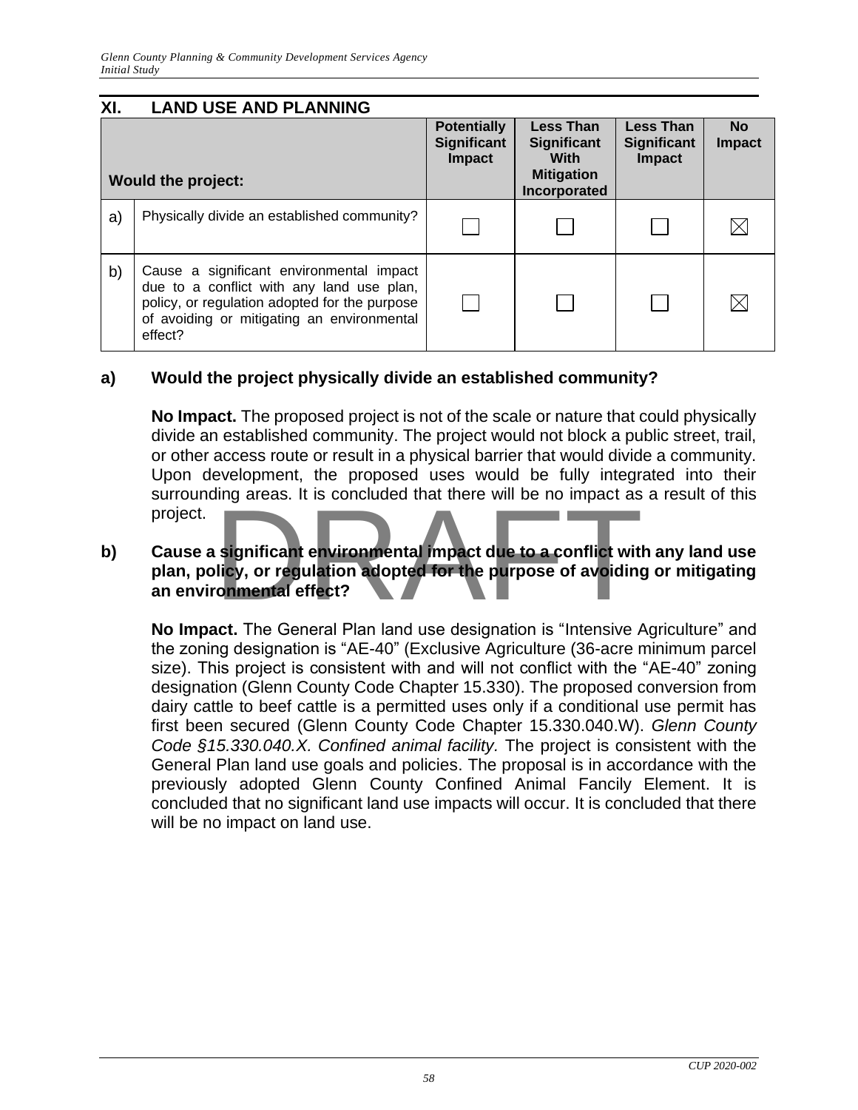| XI. | <b>LAND USE AND PLANNING</b>                                                                                                                                                                    |                                             |                                                                              |                                                         |                            |
|-----|-------------------------------------------------------------------------------------------------------------------------------------------------------------------------------------------------|---------------------------------------------|------------------------------------------------------------------------------|---------------------------------------------------------|----------------------------|
|     | <b>Would the project:</b>                                                                                                                                                                       | <b>Potentially</b><br>Significant<br>Impact | <b>Less Than</b><br>Significant<br>With<br><b>Mitigation</b><br>Incorporated | <b>Less Than</b><br><b>Significant</b><br><b>Impact</b> | <b>No</b><br><b>Impact</b> |
| a)  | Physically divide an established community?                                                                                                                                                     |                                             |                                                                              |                                                         |                            |
| b)  | Cause a significant environmental impact<br>due to a conflict with any land use plan,<br>policy, or regulation adopted for the purpose<br>of avoiding or mitigating an environmental<br>effect? |                                             |                                                                              |                                                         |                            |

#### **a) Would the project physically divide an established community?**

**No Impact.** The proposed project is not of the scale or nature that could physically divide an established community. The project would not block a public street, trail, or other access route or result in a physical barrier that would divide a community. Upon development, the proposed uses would be fully integrated into their surrounding areas. It is concluded that there will be no impact as a result of this project.

### **b) Cause a significant environmental impact due to a conflict with any land use plan, policy, or regulation adopted for the purpose of avoiding or mitigating an environmental effect?** significant environmental impact due to a conflict with<br>licy, or regulation adopted for the purpose of avoiding<br>conmental effect?

**No Impact.** The General Plan land use designation is "Intensive Agriculture" and the zoning designation is "AE-40" (Exclusive Agriculture (36-acre minimum parcel size). This project is consistent with and will not conflict with the "AE-40" zoning designation (Glenn County Code Chapter 15.330). The proposed conversion from dairy cattle to beef cattle is a permitted uses only if a conditional use permit has first been secured (Glenn County Code Chapter 15.330.040.W). *Glenn County Code §15.330.040.X. Confined animal facility.* The project is consistent with the General Plan land use goals and policies. The proposal is in accordance with the previously adopted Glenn County Confined Animal Fancily Element. It is concluded that no significant land use impacts will occur. It is concluded that there will be no impact on land use.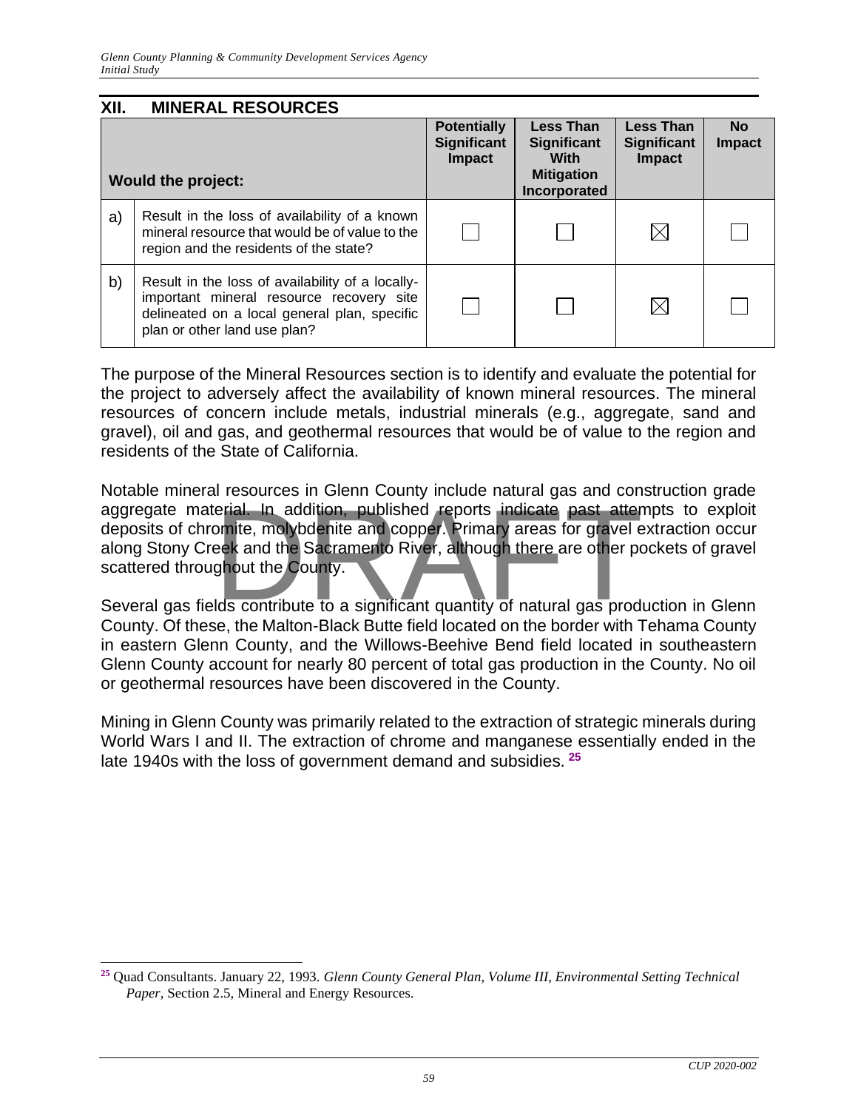| XII. | <b>MINERAL RESOURCES</b>                                                                                                                                                     |                                                    |                                                                              |                                                         |                            |
|------|------------------------------------------------------------------------------------------------------------------------------------------------------------------------------|----------------------------------------------------|------------------------------------------------------------------------------|---------------------------------------------------------|----------------------------|
|      | <b>Would the project:</b>                                                                                                                                                    | <b>Potentially</b><br><b>Significant</b><br>Impact | <b>Less Than</b><br>Significant<br>With<br><b>Mitigation</b><br>Incorporated | <b>Less Than</b><br><b>Significant</b><br><b>Impact</b> | <b>No</b><br><b>Impact</b> |
| a)   | Result in the loss of availability of a known<br>mineral resource that would be of value to the<br>region and the residents of the state?                                    |                                                    |                                                                              | $\boxtimes$                                             |                            |
| b)   | Result in the loss of availability of a locally-<br>important mineral resource recovery site<br>delineated on a local general plan, specific<br>plan or other land use plan? |                                                    |                                                                              | $\boxtimes$                                             |                            |

The purpose of the Mineral Resources section is to identify and evaluate the potential for the project to adversely affect the availability of known mineral resources. The mineral resources of concern include metals, industrial minerals (e.g., aggregate, sand and gravel), oil and gas, and geothermal resources that would be of value to the region and residents of the State of California.

Notable mineral resources in Glenn County include natural gas and construction grade aggregate material. In addition, published reports indicate past attempts to exploit deposits of chronite, molybdenite and copper. Primary areas for gravel extraction occur along Stony Creek and the Sacramento River, altho deposits of chromite, molybdenite and copper. Primary areas for gravel extraction occur along Stony Creek and the Sacramento River, although there are other pockets of gravel scattered throughout the County.

Several gas fields contribute to a significant quantity of natural gas production in Glenn County. Of these, the Malton-Black Butte field located on the border with Tehama County in eastern Glenn County, and the Willows-Beehive Bend field located in southeastern Glenn County account for nearly 80 percent of total gas production in the County. No oil or geothermal resources have been discovered in the County.

Mining in Glenn County was primarily related to the extraction of strategic minerals during World Wars I and II. The extraction of chrome and manganese essentially ended in the late 1940s with the loss of government demand and subsidies. **<sup>25</sup>**

**<sup>25</sup>** Quad Consultants. January 22, 1993. *Glenn County General Plan, Volume III, Environmental Setting Technical Paper*, Section 2.5, Mineral and Energy Resources.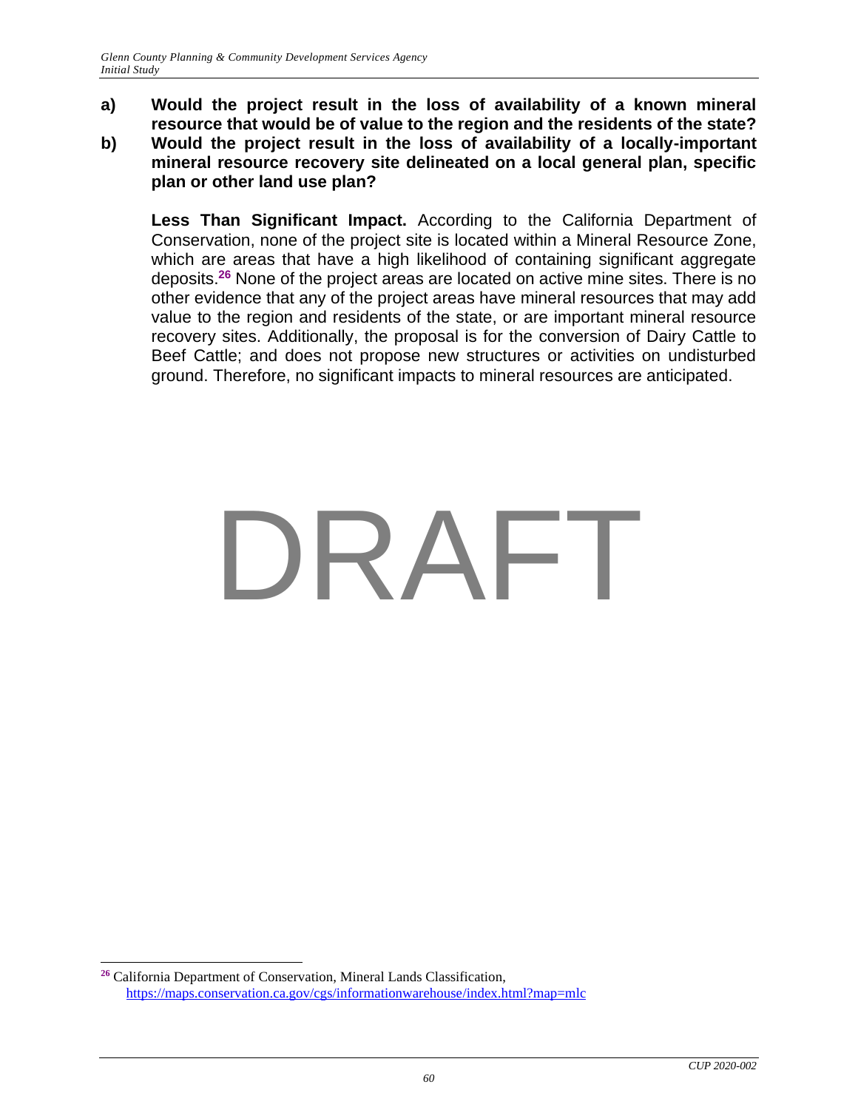**a) Would the project result in the loss of availability of a known mineral resource that would be of value to the region and the residents of the state? b) Would the project result in the loss of availability of a locally-important mineral resource recovery site delineated on a local general plan, specific plan or other land use plan?**

**Less Than Significant Impact.** According to the California Department of Conservation, none of the project site is located within a Mineral Resource Zone, which are areas that have a high likelihood of containing significant aggregate deposits.**<sup>26</sup>** None of the project areas are located on active mine sites. There is no other evidence that any of the project areas have mineral resources that may add value to the region and residents of the state, or are important mineral resource recovery sites. Additionally, the proposal is for the conversion of Dairy Cattle to Beef Cattle; and does not propose new structures or activities on undisturbed ground. Therefore, no significant impacts to mineral resources are anticipated.

## DRAFT

**<sup>26</sup>** California Department of Conservation, Mineral Lands Classification, <https://maps.conservation.ca.gov/cgs/informationwarehouse/index.html?map=mlc>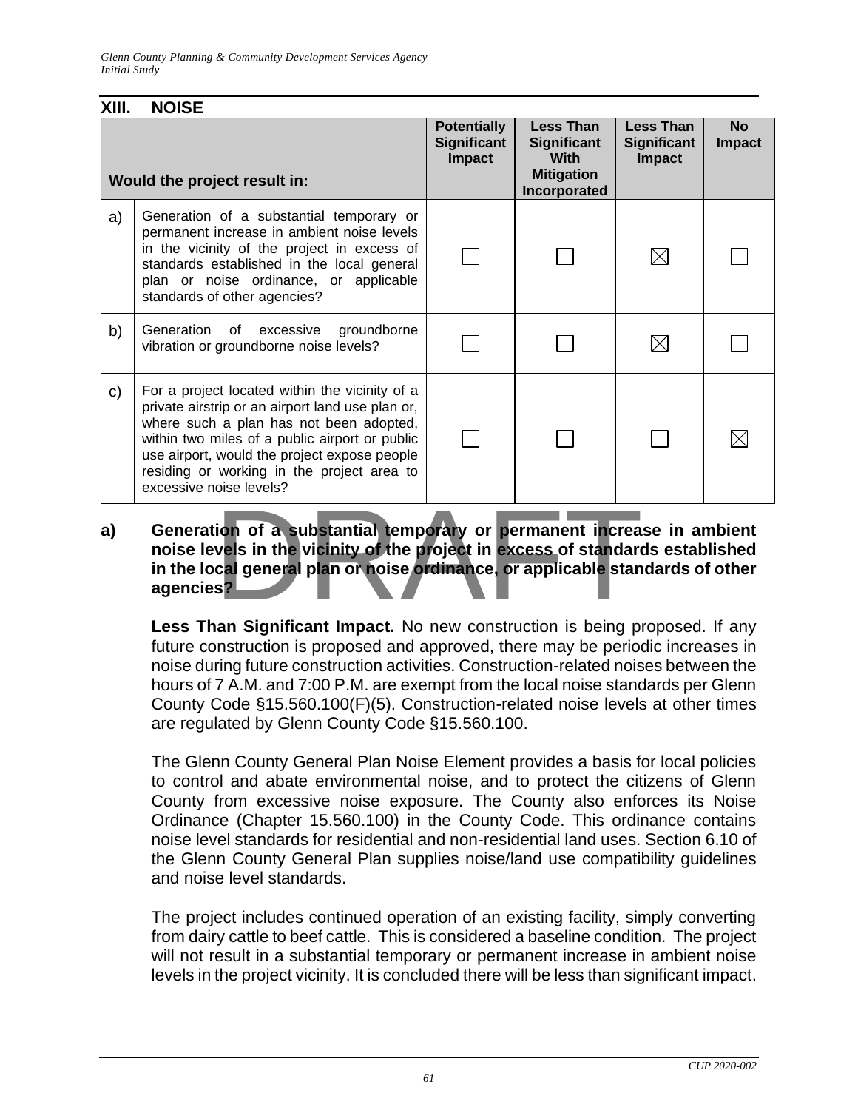| XIII. | <b>NOISE</b>                                                                                                                                                                                                                                                                                                             |                                                           |                                                                                            |                                                         |                            |
|-------|--------------------------------------------------------------------------------------------------------------------------------------------------------------------------------------------------------------------------------------------------------------------------------------------------------------------------|-----------------------------------------------------------|--------------------------------------------------------------------------------------------|---------------------------------------------------------|----------------------------|
|       | Would the project result in:                                                                                                                                                                                                                                                                                             | <b>Potentially</b><br><b>Significant</b><br><b>Impact</b> | <b>Less Than</b><br><b>Significant</b><br><b>With</b><br><b>Mitigation</b><br>Incorporated | <b>Less Than</b><br><b>Significant</b><br><b>Impact</b> | <b>No</b><br><b>Impact</b> |
| a)    | Generation of a substantial temporary or<br>permanent increase in ambient noise levels<br>in the vicinity of the project in excess of<br>standards established in the local general<br>plan or noise ordinance, or applicable<br>standards of other agencies?                                                            |                                                           |                                                                                            |                                                         |                            |
| b)    | Generation of excessive<br>groundborne<br>vibration or groundborne noise levels?                                                                                                                                                                                                                                         |                                                           |                                                                                            |                                                         |                            |
| C)    | For a project located within the vicinity of a<br>private airstrip or an airport land use plan or,<br>where such a plan has not been adopted,<br>within two miles of a public airport or public<br>use airport, would the project expose people<br>residing or working in the project area to<br>excessive noise levels? |                                                           |                                                                                            |                                                         |                            |

#### **a) Generation of a substantial temporary or permanent increase in ambient noise levels in the vicinity of the project in excess of standards established in the local general plan or noise ordinance, or applicable standards of other agencies?** ion of a substantial temporary or permanent increa<br>vels in the vicinity of the project in excess of standard<br>cal general plan or noise ordinance, or applicable stan<br>s?

**Less Than Significant Impact.** No new construction is being proposed. If any future construction is proposed and approved, there may be periodic increases in noise during future construction activities. Construction-related noises between the hours of 7 A.M. and 7:00 P.M. are exempt from the local noise standards per Glenn County Code §15.560.100(F)(5). Construction-related noise levels at other times are regulated by Glenn County Code §15.560.100.

The Glenn County General Plan Noise Element provides a basis for local policies to control and abate environmental noise, and to protect the citizens of Glenn County from excessive noise exposure. The County also enforces its Noise Ordinance (Chapter 15.560.100) in the County Code. This ordinance contains noise level standards for residential and non-residential land uses. Section 6.10 of the Glenn County General Plan supplies noise/land use compatibility guidelines and noise level standards.

The project includes continued operation of an existing facility, simply converting from dairy cattle to beef cattle. This is considered a baseline condition. The project will not result in a substantial temporary or permanent increase in ambient noise levels in the project vicinity. It is concluded there will be less than significant impact.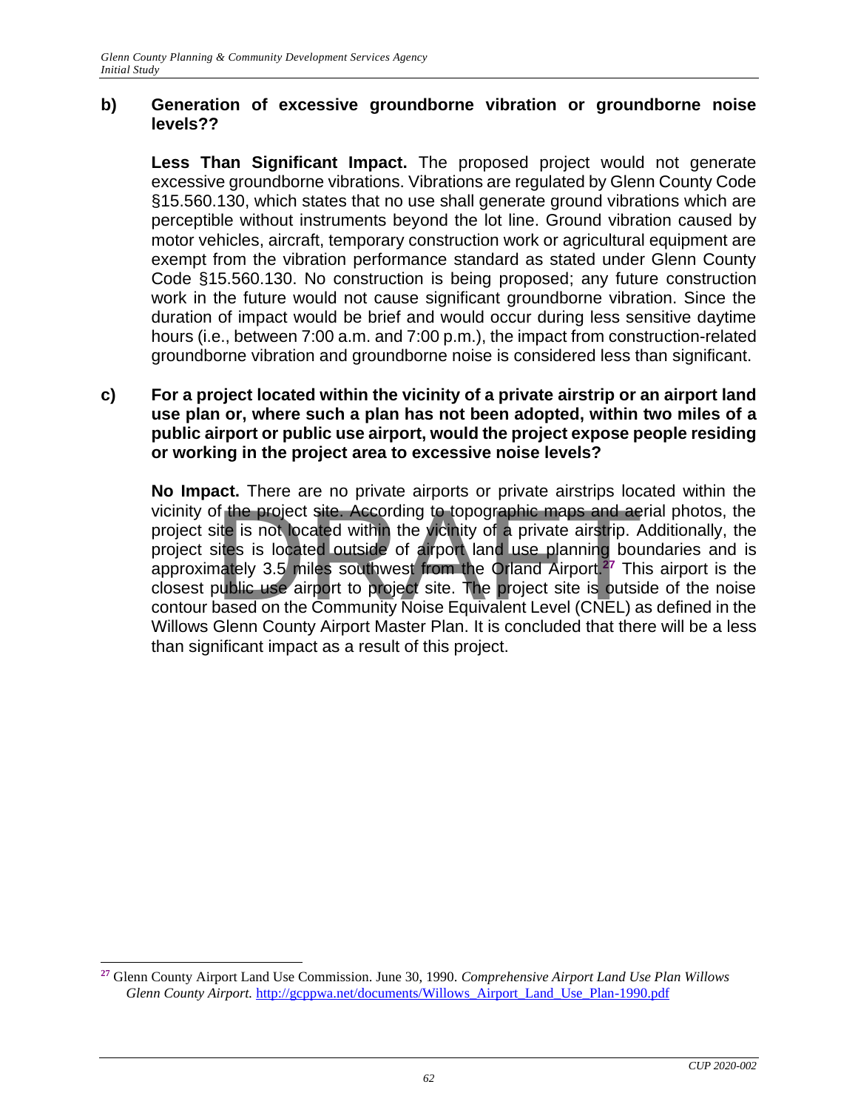#### **b) Generation of excessive groundborne vibration or groundborne noise levels??**

**Less Than Significant Impact.** The proposed project would not generate excessive groundborne vibrations. Vibrations are regulated by Glenn County Code §15.560.130, which states that no use shall generate ground vibrations which are perceptible without instruments beyond the lot line. Ground vibration caused by motor vehicles, aircraft, temporary construction work or agricultural equipment are exempt from the vibration performance standard as stated under Glenn County Code §15.560.130. No construction is being proposed; any future construction work in the future would not cause significant groundborne vibration. Since the duration of impact would be brief and would occur during less sensitive daytime hours (i.e., between 7:00 a.m. and 7:00 p.m.), the impact from construction-related groundborne vibration and groundborne noise is considered less than significant.

#### **c) For a project located within the vicinity of a private airstrip or an airport land use plan or, where such a plan has not been adopted, within two miles of a public airport or public use airport, would the project expose people residing or working in the project area to excessive noise levels?**

**No Impact.** There are no private airports or private airstrips located within the vicinity of the project site. According to topographic maps and aerial photos, the project site is not located within the vicinity of a private airstrip. Additionally, the project sites is located outside of airport land use planning boundaries and is approximately 3.5 miles southwest from the Orland Airport.**<sup>27</sup>** This airport is the closest public use airport to project site. The project site is outside of the noise contour based on the Community Noise Equivalent Level (CNEL) as defined in the Willows Glenn County Airport Master Plan. It is concluded that there will be a less than significant impact as a result of this project. of the project site. According to topographic maps and ae<br>ite is not located within the vicinity of a private airstrip. A<br>sites is located outside of airport land use planning bounately 3.5 miles southwest from the Orland

**<sup>27</sup>** Glenn County Airport Land Use Commission. June 30, 1990. *Comprehensive Airport Land Use Plan Willows Glenn County Airport.* [http://gcppwa.net/documents/Willows\\_Airport\\_Land\\_Use\\_Plan-1990.pdf](http://gcppwa.net/documents/Willows_Airport_Land_Use_Plan-1990.pdf)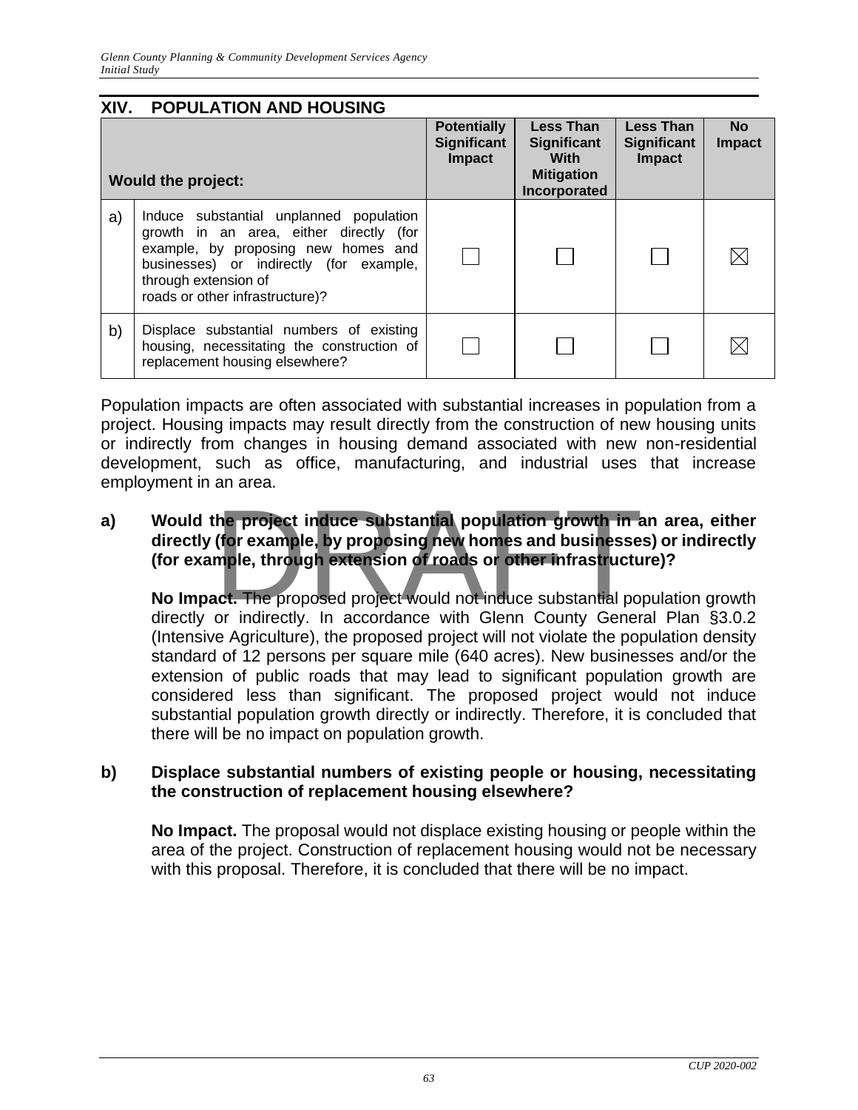| XIV. | <b>POPULATION AND HOUSING</b>                                                                                                                                                                                                   |                                                           |                                                                              |                                                  |                            |
|------|---------------------------------------------------------------------------------------------------------------------------------------------------------------------------------------------------------------------------------|-----------------------------------------------------------|------------------------------------------------------------------------------|--------------------------------------------------|----------------------------|
|      | <b>Would the project:</b>                                                                                                                                                                                                       | <b>Potentially</b><br><b>Significant</b><br><b>Impact</b> | Less Than<br><b>Significant</b><br>With<br><b>Mitigation</b><br>Incorporated | <b>Less Than</b><br><b>Significant</b><br>Impact | <b>No</b><br><b>Impact</b> |
| a)   | Induce substantial unplanned population<br>growth in an area, either directly (for<br>example, by proposing new homes and<br>businesses) or indirectly (for example,<br>through extension of<br>roads or other infrastructure)? |                                                           |                                                                              |                                                  |                            |
| b)   | Displace substantial numbers of existing<br>housing, necessitating the construction of<br>replacement housing elsewhere?                                                                                                        |                                                           |                                                                              |                                                  |                            |

Population impacts are often associated with substantial increases in population from a project. Housing impacts may result directly from the construction of new housing units or indirectly from changes in housing demand associated with new non-residential development, such as office, manufacturing, and industrial uses that increase employment in an area.

### **a) Would the project induce substantial population growth in an area, either directly (for example, by proposing new homes and businesses) or indirectly (for example, through extension of roads or other infrastructure)?** he project induce substantial population growth in a<br>(for example, by proposing new homes and businesse<br>mple, through extension of roads or other infrastructure.<br>In the proposed project would not induce substantial por<br>or

**No Impact.** The proposed project would not induce substantial population growth directly or indirectly. In accordance with Glenn County General Plan §3.0.2 (Intensive Agriculture), the proposed project will not violate the population density standard of 12 persons per square mile (640 acres). New businesses and/or the extension of public roads that may lead to significant population growth are considered less than significant. The proposed project would not induce substantial population growth directly or indirectly. Therefore, it is concluded that there will be no impact on population growth.

#### **b) Displace substantial numbers of existing people or housing, necessitating the construction of replacement housing elsewhere?**

**No Impact.** The proposal would not displace existing housing or people within the area of the project. Construction of replacement housing would not be necessary with this proposal. Therefore, it is concluded that there will be no impact.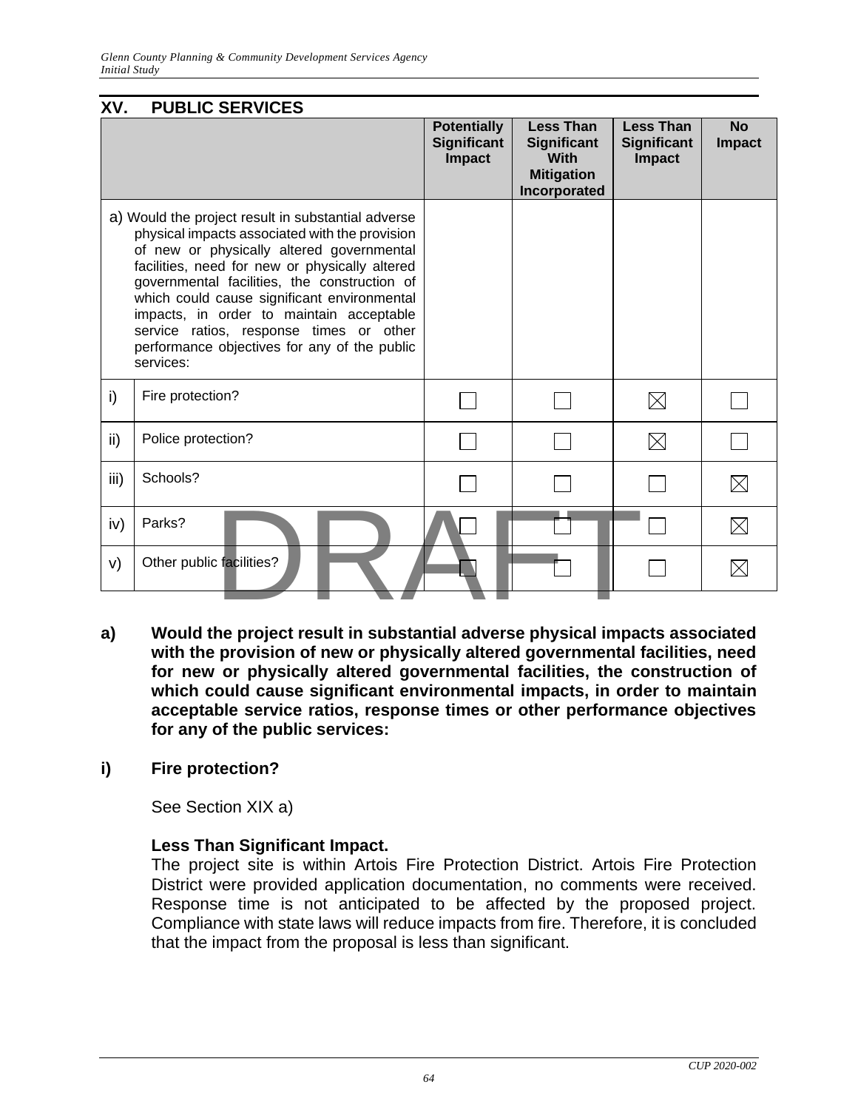| XV.  | <b>PUBLIC SERVICES</b>                                                                                                                                                                                                                                                                                                                                                                                                                                 |                                                           |                                                                                            |                                                         |                            |
|------|--------------------------------------------------------------------------------------------------------------------------------------------------------------------------------------------------------------------------------------------------------------------------------------------------------------------------------------------------------------------------------------------------------------------------------------------------------|-----------------------------------------------------------|--------------------------------------------------------------------------------------------|---------------------------------------------------------|----------------------------|
|      |                                                                                                                                                                                                                                                                                                                                                                                                                                                        | <b>Potentially</b><br><b>Significant</b><br><b>Impact</b> | <b>Less Than</b><br><b>Significant</b><br><b>With</b><br><b>Mitigation</b><br>Incorporated | <b>Less Than</b><br><b>Significant</b><br><b>Impact</b> | <b>No</b><br><b>Impact</b> |
|      | a) Would the project result in substantial adverse<br>physical impacts associated with the provision<br>of new or physically altered governmental<br>facilities, need for new or physically altered<br>governmental facilities, the construction of<br>which could cause significant environmental<br>impacts, in order to maintain acceptable<br>service ratios, response times or other<br>performance objectives for any of the public<br>services: |                                                           |                                                                                            |                                                         |                            |
| i)   | Fire protection?                                                                                                                                                                                                                                                                                                                                                                                                                                       |                                                           |                                                                                            | $\boxtimes$                                             |                            |
| ii)  | Police protection?                                                                                                                                                                                                                                                                                                                                                                                                                                     |                                                           |                                                                                            | $\boxtimes$                                             |                            |
| iii) | Schools?                                                                                                                                                                                                                                                                                                                                                                                                                                               |                                                           |                                                                                            |                                                         | $\boxtimes$                |
| iv)  | Parks?                                                                                                                                                                                                                                                                                                                                                                                                                                                 |                                                           |                                                                                            |                                                         | $\boxtimes$                |
| V)   | Other public facilities?                                                                                                                                                                                                                                                                                                                                                                                                                               |                                                           |                                                                                            |                                                         |                            |
|      |                                                                                                                                                                                                                                                                                                                                                                                                                                                        |                                                           |                                                                                            |                                                         |                            |

**a) Would the project result in substantial adverse physical impacts associated with the provision of new or physically altered governmental facilities, need for new or physically altered governmental facilities, the construction of which could cause significant environmental impacts, in order to maintain acceptable service ratios, response times or other performance objectives for any of the public services:**

#### **i) Fire protection?**

See Section XIX a)

#### **Less Than Significant Impact.**

The project site is within Artois Fire Protection District. Artois Fire Protection District were provided application documentation, no comments were received. Response time is not anticipated to be affected by the proposed project. Compliance with state laws will reduce impacts from fire. Therefore, it is concluded that the impact from the proposal is less than significant.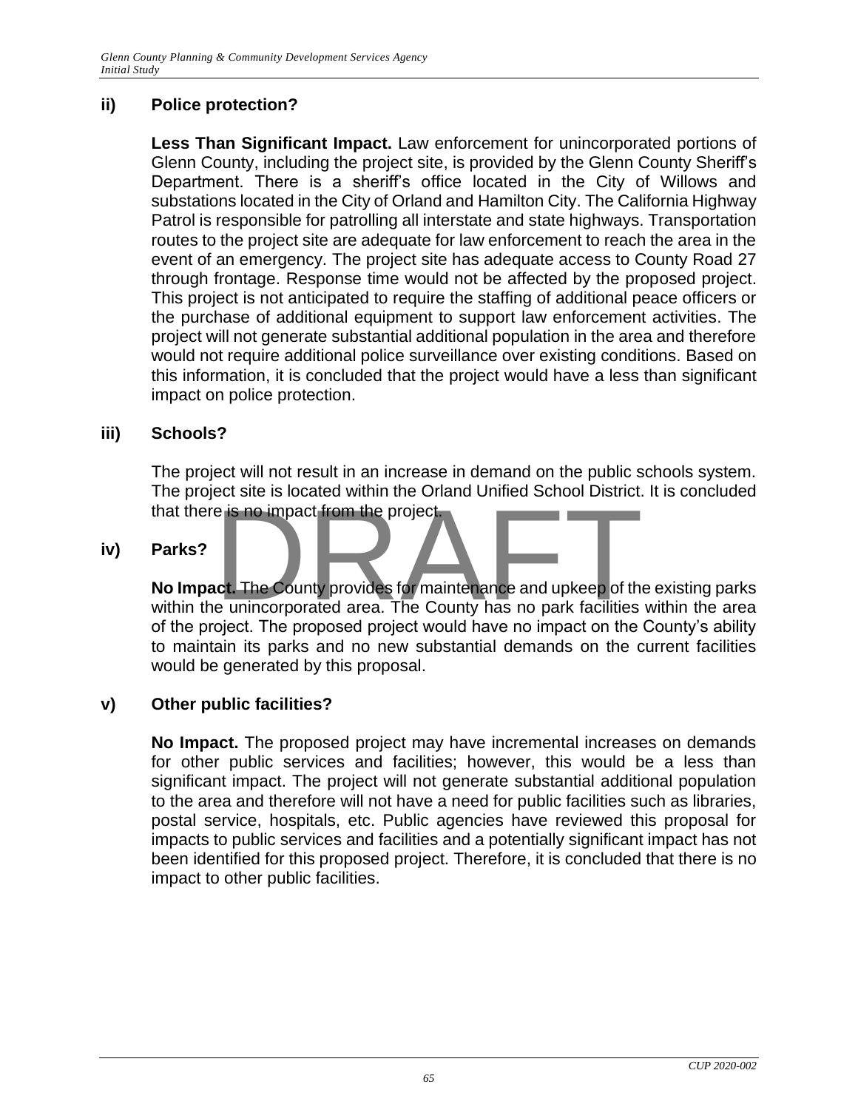#### **ii) Police protection?**

**Less Than Significant Impact.** Law enforcement for unincorporated portions of Glenn County, including the project site, is provided by the Glenn County Sheriff's Department. There is a sheriff's office located in the City of Willows and substations located in the City of Orland and Hamilton City. The California Highway Patrol is responsible for patrolling all interstate and state highways. Transportation routes to the project site are adequate for law enforcement to reach the area in the event of an emergency. The project site has adequate access to County Road 27 through frontage. Response time would not be affected by the proposed project. This project is not anticipated to require the staffing of additional peace officers or the purchase of additional equipment to support law enforcement activities. The project will not generate substantial additional population in the area and therefore would not require additional police surveillance over existing conditions. Based on this information, it is concluded that the project would have a less than significant impact on police protection.

#### **iii) Schools?**

The project will not result in an increase in demand on the public schools system. The project site is located within the Orland Unified School District. It is concluded that there is no impact from the project.

#### **iv) Parks?**

**No Impact.** The County provides for maintenance and upkeep of the existing parks For the unincorporated area. The County has no park facilities within the area within the unincorporated area. The County has no park facilities within the area of the project. The proposed project would have no impact on the County's ability to maintain its parks and no new substantial demands on the current facilities would be generated by this proposal.

#### **v) Other public facilities?**

**No Impact.** The proposed project may have incremental increases on demands for other public services and facilities; however, this would be a less than significant impact. The project will not generate substantial additional population to the area and therefore will not have a need for public facilities such as libraries, postal service, hospitals, etc. Public agencies have reviewed this proposal for impacts to public services and facilities and a potentially significant impact has not been identified for this proposed project. Therefore, it is concluded that there is no impact to other public facilities.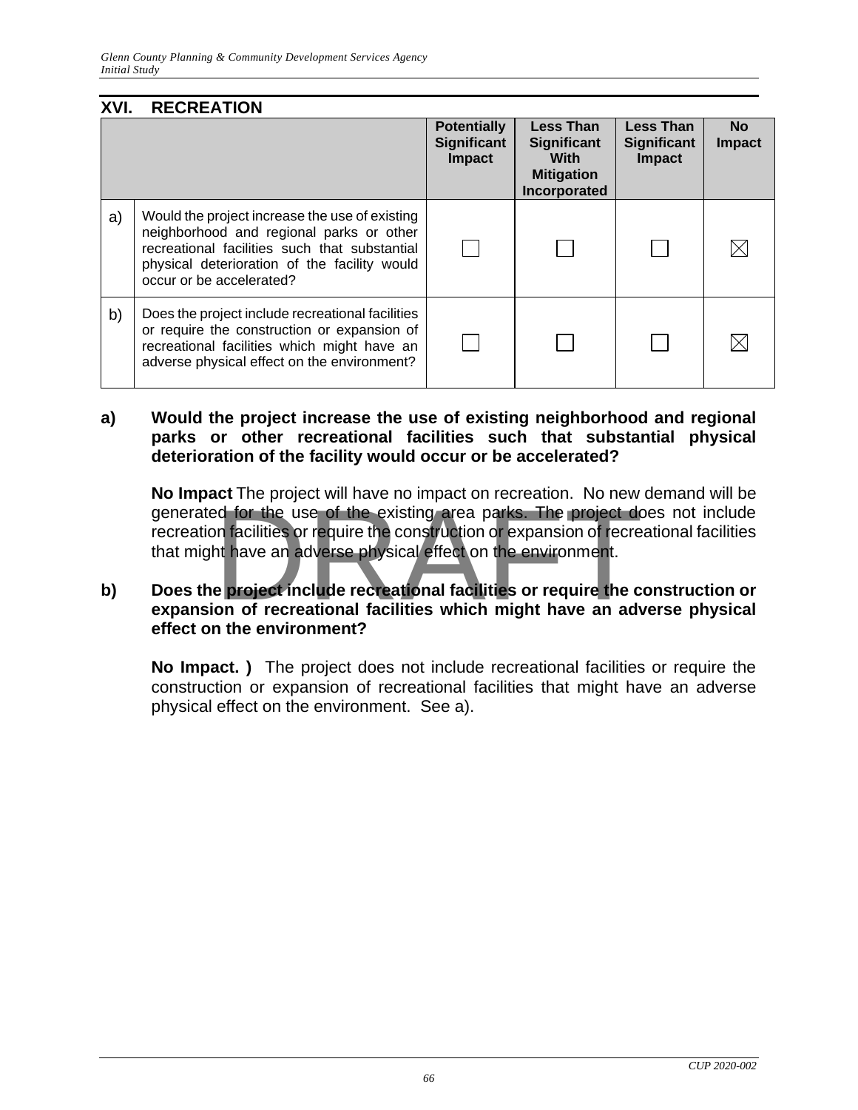| XVI. | <b>RECREATION</b>                                                                                                                                                                                                       |                                                    |                                                                                     |                                                  |                            |
|------|-------------------------------------------------------------------------------------------------------------------------------------------------------------------------------------------------------------------------|----------------------------------------------------|-------------------------------------------------------------------------------------|--------------------------------------------------|----------------------------|
|      |                                                                                                                                                                                                                         | <b>Potentially</b><br><b>Significant</b><br>Impact | <b>Less Than</b><br><b>Significant</b><br>With<br><b>Mitigation</b><br>Incorporated | <b>Less Than</b><br><b>Significant</b><br>Impact | <b>No</b><br><b>Impact</b> |
| a)   | Would the project increase the use of existing<br>neighborhood and regional parks or other<br>recreational facilities such that substantial<br>physical deterioration of the facility would<br>occur or be accelerated? |                                                    |                                                                                     |                                                  |                            |
| b)   | Does the project include recreational facilities<br>or require the construction or expansion of<br>recreational facilities which might have an<br>adverse physical effect on the environment?                           |                                                    |                                                                                     |                                                  |                            |

#### **a) Would the project increase the use of existing neighborhood and regional parks or other recreational facilities such that substantial physical deterioration of the facility would occur or be accelerated?**

**No Impact** The project will have no impact on recreation. No new demand will be generated for the use of the existing area parks. The project does not include recreation facilities or require the construction or expansion of recreational facilities that might have an adverse physical effect on the environment. The project will have no impact of recreation. The new ed for the use of the existing area parks. The project do<br>not facilities or require the construction or expansion of recreation<br>thave an adverse physical effect on the

#### **b) Does the project include recreational facilities or require the construction or expansion of recreational facilities which might have an adverse physical effect on the environment?**

**No Impact. )** The project does not include recreational facilities or require the construction or expansion of recreational facilities that might have an adverse physical effect on the environment. See a).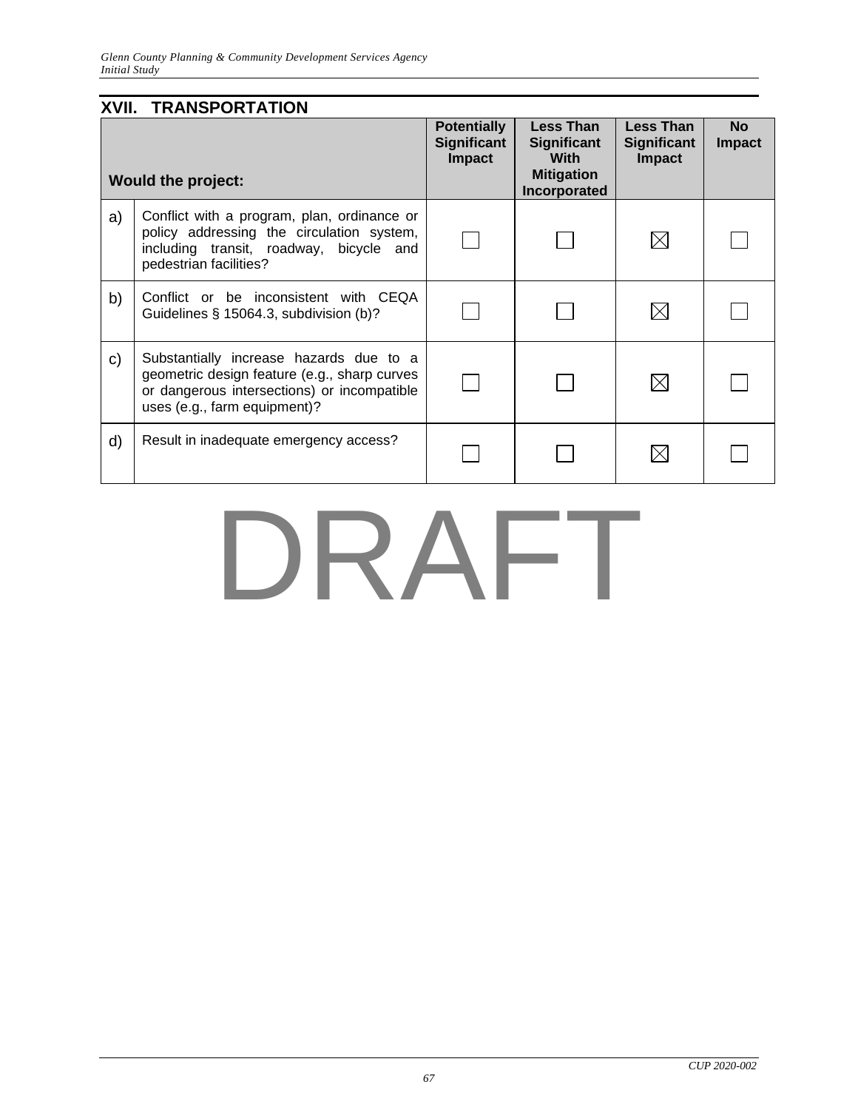|    | <b>XVII. TRANSPORTATION</b>                                                                                                                                            |                                                           |                                                                                            |                                                  |                            |
|----|------------------------------------------------------------------------------------------------------------------------------------------------------------------------|-----------------------------------------------------------|--------------------------------------------------------------------------------------------|--------------------------------------------------|----------------------------|
|    | <b>Would the project:</b>                                                                                                                                              | <b>Potentially</b><br><b>Significant</b><br><b>Impact</b> | <b>Less Than</b><br><b>Significant</b><br><b>With</b><br><b>Mitigation</b><br>Incorporated | Less Than<br><b>Significant</b><br><b>Impact</b> | <b>No</b><br><b>Impact</b> |
| a) | Conflict with a program, plan, ordinance or<br>policy addressing the circulation system,<br>including transit, roadway, bicycle and<br>pedestrian facilities?          |                                                           |                                                                                            | $\boxtimes$                                      |                            |
| b) | Conflict or be inconsistent with CEQA<br>Guidelines § 15064.3, subdivision (b)?                                                                                        |                                                           |                                                                                            | $\boxtimes$                                      |                            |
| C) | Substantially increase hazards due to a<br>geometric design feature (e.g., sharp curves<br>or dangerous intersections) or incompatible<br>uses (e.g., farm equipment)? |                                                           |                                                                                            | $\boxtimes$                                      |                            |
| d) | Result in inadequate emergency access?                                                                                                                                 |                                                           |                                                                                            |                                                  |                            |

## DRAFT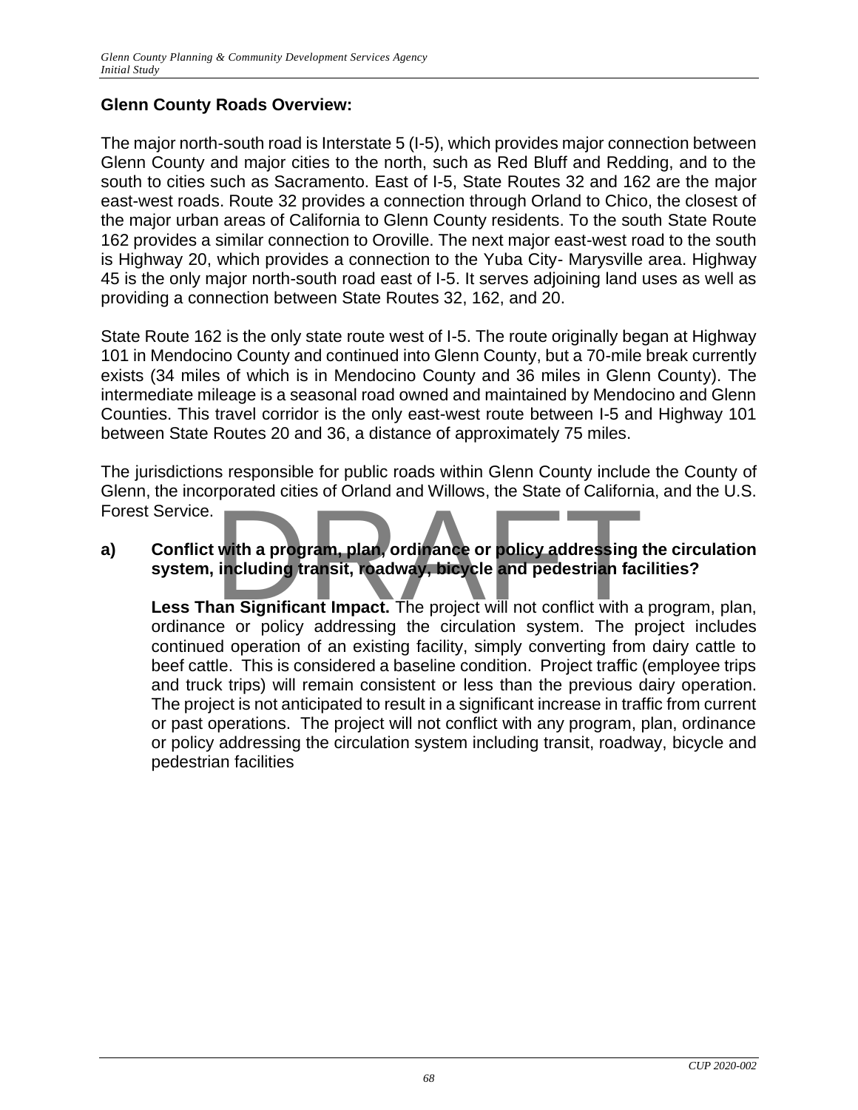#### **Glenn County Roads Overview:**

The major north-south road is Interstate 5 (I-5), which provides major connection between Glenn County and major cities to the north, such as Red Bluff and Redding, and to the south to cities such as Sacramento. East of I-5, State Routes 32 and 162 are the major east-west roads. Route 32 provides a connection through Orland to Chico, the closest of the major urban areas of California to Glenn County residents. To the south State Route 162 provides a similar connection to Oroville. The next major east-west road to the south is Highway 20, which provides a connection to the Yuba City- Marysville area. Highway 45 is the only major north-south road east of I-5. It serves adjoining land uses as well as providing a connection between State Routes 32, 162, and 20.

State Route 162 is the only state route west of I-5. The route originally began at Highway 101 in Mendocino County and continued into Glenn County, but a 70-mile break currently exists (34 miles of which is in Mendocino County and 36 miles in Glenn County). The intermediate mileage is a seasonal road owned and maintained by Mendocino and Glenn Counties. This travel corridor is the only east-west route between I-5 and Highway 101 between State Routes 20 and 36, a distance of approximately 75 miles.

The jurisdictions responsible for public roads within Glenn County include the County of Glenn, the incorporated cities of Orland and Willows, the State of California, and the U.S. Forest Service.

## **a) Conflict with a program, plan, ordinance or policy addressing the circulation system, including transit, roadway, bicycle and pedestrian facilities?** with a program, plan, ordinance or policy addressing<br>including transit, roadway, bicycle and pedestrian factors.

**Less Than Significant Impact.** The project will not conflict with a program, plan, ordinance or policy addressing the circulation system. The project includes continued operation of an existing facility, simply converting from dairy cattle to beef cattle. This is considered a baseline condition. Project traffic (employee trips and truck trips) will remain consistent or less than the previous dairy operation. The project is not anticipated to result in a significant increase in traffic from current or past operations. The project will not conflict with any program, plan, ordinance or policy addressing the circulation system including transit, roadway, bicycle and pedestrian facilities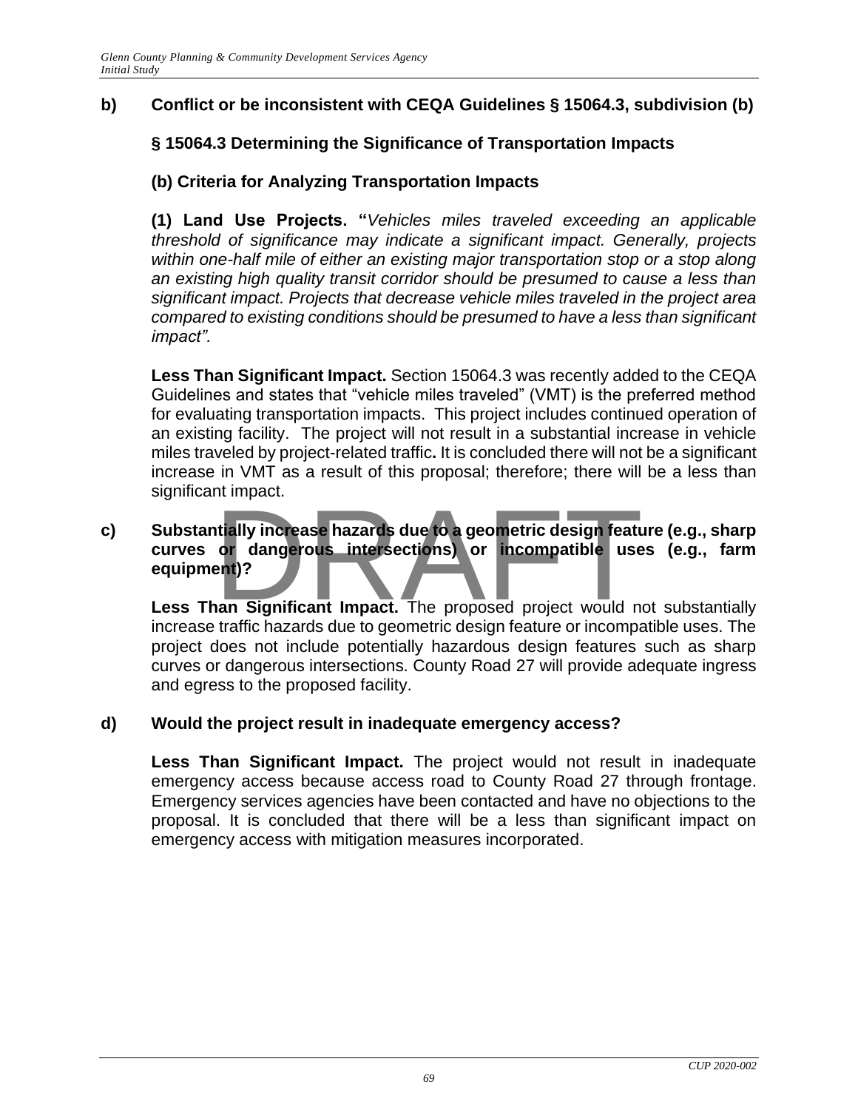#### **b) Conflict or be inconsistent with CEQA Guidelines § 15064.3, subdivision (b)**

#### **§ 15064.3 Determining the Significance of Transportation Impacts**

#### **(b) Criteria for Analyzing Transportation Impacts**

**(1) Land Use Projects. "***Vehicles miles traveled exceeding an applicable threshold of significance may indicate a significant impact. Generally, projects*  within one-half mile of either an existing major transportation stop or a stop along *an existing high quality transit corridor should be presumed to cause a less than significant impact. Projects that decrease vehicle miles traveled in the project area compared to existing conditions should be presumed to have a less than significant impact".*

**Less Than Significant Impact.** Section 15064.3 was recently added to the CEQA Guidelines and states that "vehicle miles traveled" (VMT) is the preferred method for evaluating transportation impacts. This project includes continued operation of an existing facility. The project will not result in a substantial increase in vehicle miles traveled by project-related traffic**.** It is concluded there will not be a significant increase in VMT as a result of this proposal; therefore; there will be a less than significant impact.

### **c) Substantially increase hazards due to a geometric design feature (e.g., sharp curves or dangerous intersections) or incompatible uses (e.g., farm equipment)?** In Impact.<br>
In Impact of dangerous intersections) or incompatible use<br>
Pant)?<br>
In Significant Impact. The proposed project would not

**Less Than Significant Impact.** The proposed project would not substantially increase traffic hazards due to geometric design feature or incompatible uses. The project does not include potentially hazardous design features such as sharp curves or dangerous intersections. County Road 27 will provide adequate ingress and egress to the proposed facility.

#### **d) Would the project result in inadequate emergency access?**

**Less Than Significant Impact.** The project would not result in inadequate emergency access because access road to County Road 27 through frontage. Emergency services agencies have been contacted and have no objections to the proposal. It is concluded that there will be a less than significant impact on emergency access with mitigation measures incorporated.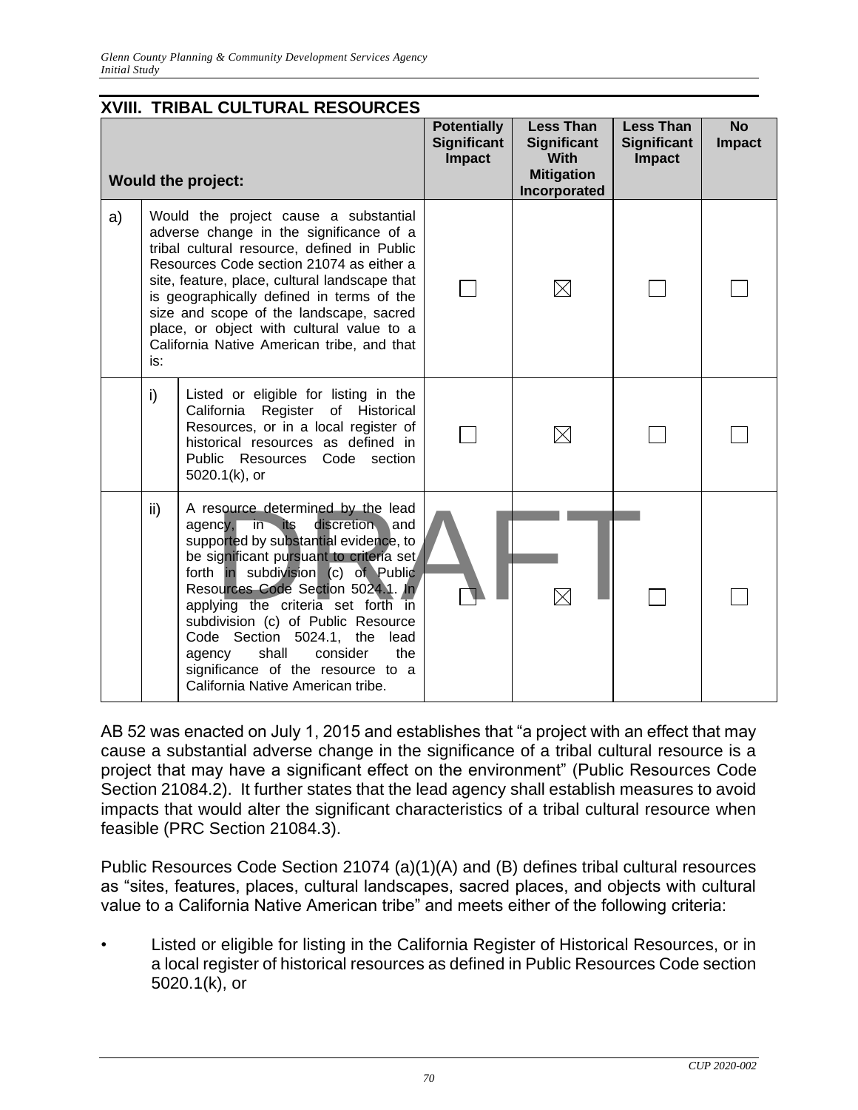| <b>XVIII. TRIBAL CULTURAL RESOURCES</b> |                                                                                                                                                                                                                                                                                                                                                                                                                        |                                                                                                                                                                                                                                                                                                                                                                                                                                                                                   |                                                           |                                                                                            |                                                         |                            |
|-----------------------------------------|------------------------------------------------------------------------------------------------------------------------------------------------------------------------------------------------------------------------------------------------------------------------------------------------------------------------------------------------------------------------------------------------------------------------|-----------------------------------------------------------------------------------------------------------------------------------------------------------------------------------------------------------------------------------------------------------------------------------------------------------------------------------------------------------------------------------------------------------------------------------------------------------------------------------|-----------------------------------------------------------|--------------------------------------------------------------------------------------------|---------------------------------------------------------|----------------------------|
| <b>Would the project:</b>               |                                                                                                                                                                                                                                                                                                                                                                                                                        |                                                                                                                                                                                                                                                                                                                                                                                                                                                                                   | <b>Potentially</b><br><b>Significant</b><br><b>Impact</b> | <b>Less Than</b><br><b>Significant</b><br><b>With</b><br><b>Mitigation</b><br>Incorporated | <b>Less Than</b><br><b>Significant</b><br><b>Impact</b> | <b>No</b><br><b>Impact</b> |
| a)                                      | Would the project cause a substantial<br>adverse change in the significance of a<br>tribal cultural resource, defined in Public<br>Resources Code section 21074 as either a<br>site, feature, place, cultural landscape that<br>is geographically defined in terms of the<br>size and scope of the landscape, sacred<br>place, or object with cultural value to a<br>California Native American tribe, and that<br>is: |                                                                                                                                                                                                                                                                                                                                                                                                                                                                                   |                                                           | $\boxtimes$                                                                                |                                                         |                            |
|                                         | i)                                                                                                                                                                                                                                                                                                                                                                                                                     | Listed or eligible for listing in the<br>California Register of Historical<br>Resources, or in a local register of<br>historical resources as defined in<br>Public Resources Code section<br>$5020.1(k)$ , or                                                                                                                                                                                                                                                                     |                                                           | $\boxtimes$                                                                                |                                                         |                            |
|                                         | ii)                                                                                                                                                                                                                                                                                                                                                                                                                    | A resource determined by the lead<br>discretion<br>agency,<br>in<br><b>its</b><br>and<br>supported by substantial evidence, to<br>be significant pursuant to criteria set<br>forth in subdivision (c) of Public<br>Resources Code Section 5024.1. In<br>applying the criteria set forth in<br>subdivision (c) of Public Resource<br>Code Section 5024.1, the lead<br>shall<br>consider<br>the<br>agency<br>significance of the resource to a<br>California Native American tribe. |                                                           |                                                                                            |                                                         |                            |

AB 52 was enacted on July 1, 2015 and establishes that "a project with an effect that may cause a substantial adverse change in the significance of a tribal cultural resource is a project that may have a significant effect on the environment" (Public Resources Code Section 21084.2). It further states that the lead agency shall establish measures to avoid impacts that would alter the significant characteristics of a tribal cultural resource when feasible (PRC Section 21084.3).

Public Resources Code Section 21074 (a)(1)(A) and (B) defines tribal cultural resources as "sites, features, places, cultural landscapes, sacred places, and objects with cultural value to a California Native American tribe" and meets either of the following criteria:

• Listed or eligible for listing in the California Register of Historical Resources, or in a local register of historical resources as defined in Public Resources Code section 5020.1(k), or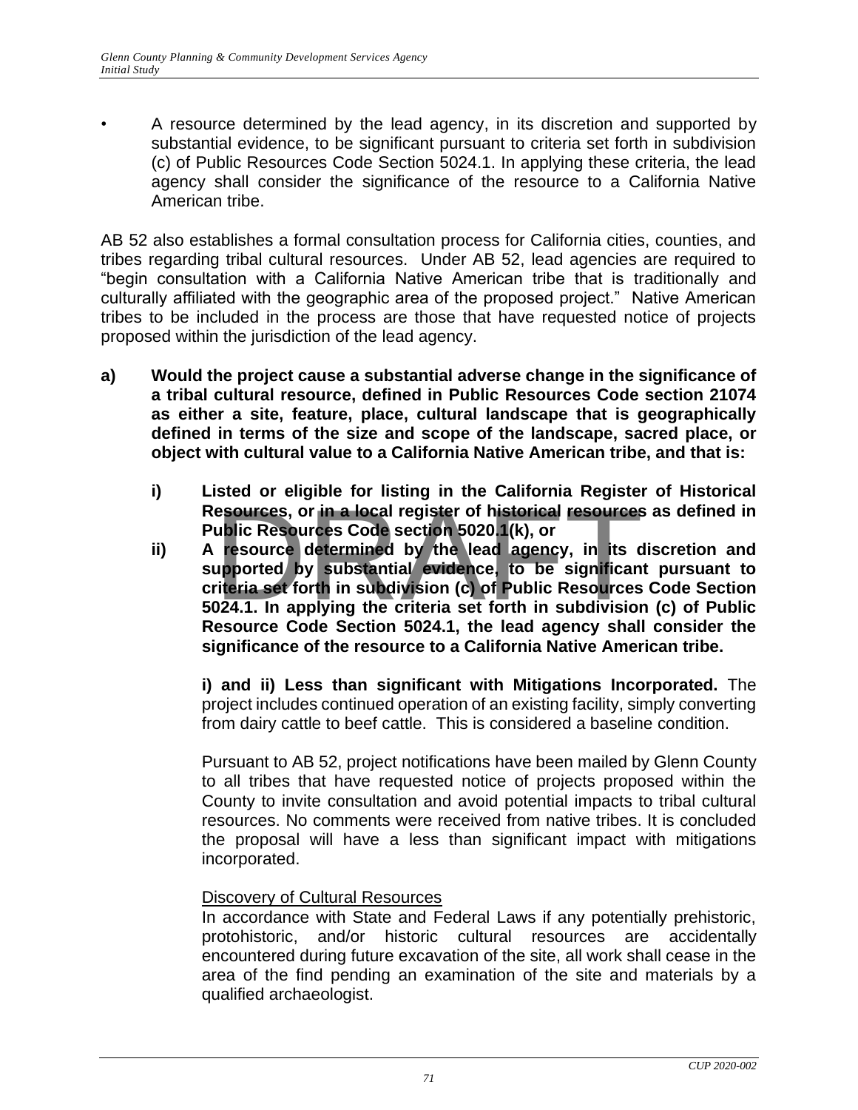• A resource determined by the lead agency, in its discretion and supported by substantial evidence, to be significant pursuant to criteria set forth in subdivision (c) of Public Resources Code Section 5024.1. In applying these criteria, the lead agency shall consider the significance of the resource to a California Native American tribe.

AB 52 also establishes a formal consultation process for California cities, counties, and tribes regarding tribal cultural resources. Under AB 52, lead agencies are required to "begin consultation with a California Native American tribe that is traditionally and culturally affiliated with the geographic area of the proposed project." Native American tribes to be included in the process are those that have requested notice of projects proposed within the jurisdiction of the lead agency.

- **a) Would the project cause a substantial adverse change in the significance of a tribal cultural resource, defined in Public Resources Code section 21074 as either a site, feature, place, cultural landscape that is geographically defined in terms of the size and scope of the landscape, sacred place, or object with cultural value to a California Native American tribe, and that is:**
	- **i) Listed or eligible for listing in the California Register of Historical Public Resources Code section 5020.1(k), or**
	- **Resources, or in a local register of historical resources** as defined in Public Resources Code section 5020.1(k), or<br>A resource determined by the lead agency, in its discretion and supported by substantial evidence, to be **ii) A resource determined by the lead agency, in its discretion and supported by substantial evidence, to be significant pursuant to criteria set forth in subdivision (c) of Public Resources Code Section 5024.1. In applying the criteria set forth in subdivision (c) of Public Resource Code Section 5024.1, the lead agency shall consider the significance of the resource to a California Native American tribe.**

**i) and ii) Less than significant with Mitigations Incorporated.** The project includes continued operation of an existing facility, simply converting from dairy cattle to beef cattle. This is considered a baseline condition.

Pursuant to AB 52, project notifications have been mailed by Glenn County to all tribes that have requested notice of projects proposed within the County to invite consultation and avoid potential impacts to tribal cultural resources. No comments were received from native tribes. It is concluded the proposal will have a less than significant impact with mitigations incorporated.

#### Discovery of Cultural Resources

In accordance with State and Federal Laws if any potentially prehistoric, protohistoric, and/or historic cultural resources are accidentally encountered during future excavation of the site, all work shall cease in the area of the find pending an examination of the site and materials by a qualified archaeologist.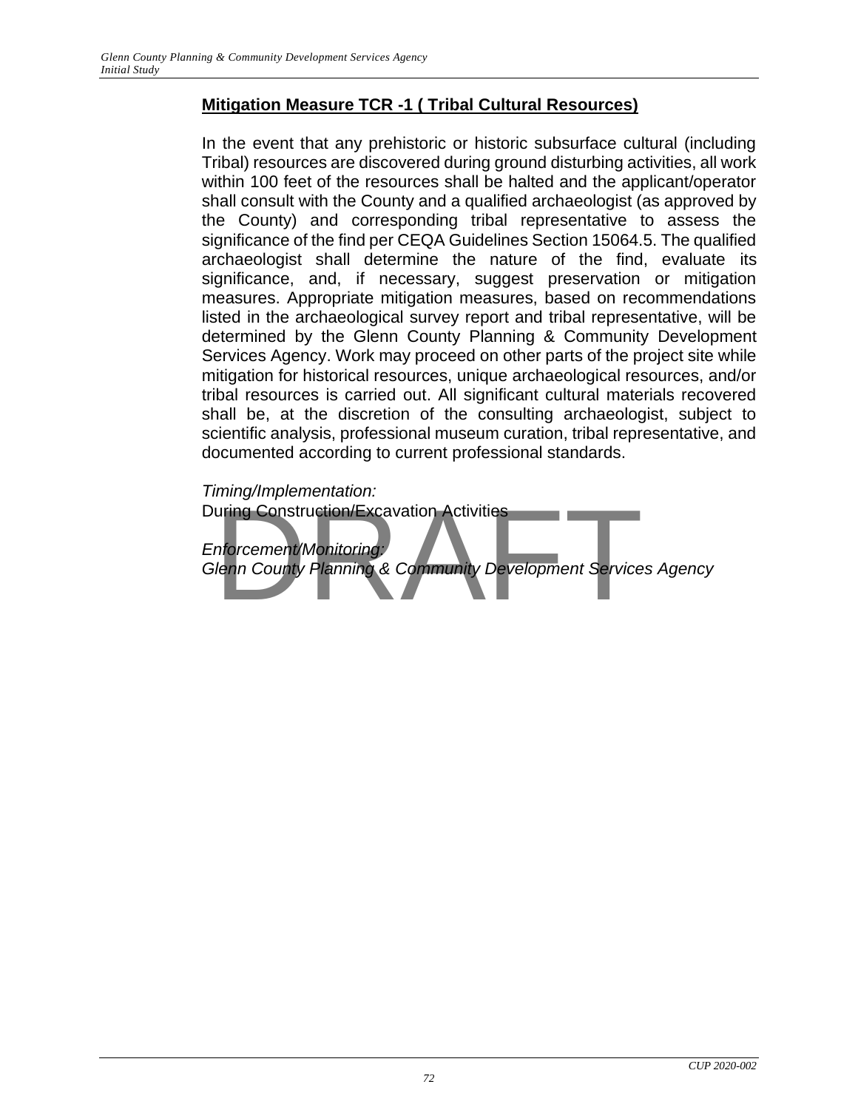## **Mitigation Measure TCR -1 ( Tribal Cultural Resources)**

In the event that any prehistoric or historic subsurface cultural (including Tribal) resources are discovered during ground disturbing activities, all work within 100 feet of the resources shall be halted and the applicant/operator shall consult with the County and a qualified archaeologist (as approved by the County) and corresponding tribal representative to assess the significance of the find per CEQA Guidelines Section 15064.5. The qualified archaeologist shall determine the nature of the find, evaluate its significance, and, if necessary, suggest preservation or mitigation measures. Appropriate mitigation measures, based on recommendations listed in the archaeological survey report and tribal representative, will be determined by the Glenn County Planning & Community Development Services Agency. Work may proceed on other parts of the project site while mitigation for historical resources, unique archaeological resources, and/or tribal resources is carried out. All significant cultural materials recovered shall be, at the discretion of the consulting archaeologist, subject to scientific analysis, professional museum curation, tribal representative, and documented according to current professional standards.

*Timing/Implementation:*  During Construction/Excavation Activities *Enforcement/Monitoring: Glenn County Planning & Community Development Services Agency* The Construction/Excavation Activities<br>Inforcement/Monitoring:<br>Ienn County Planning & Community Development Service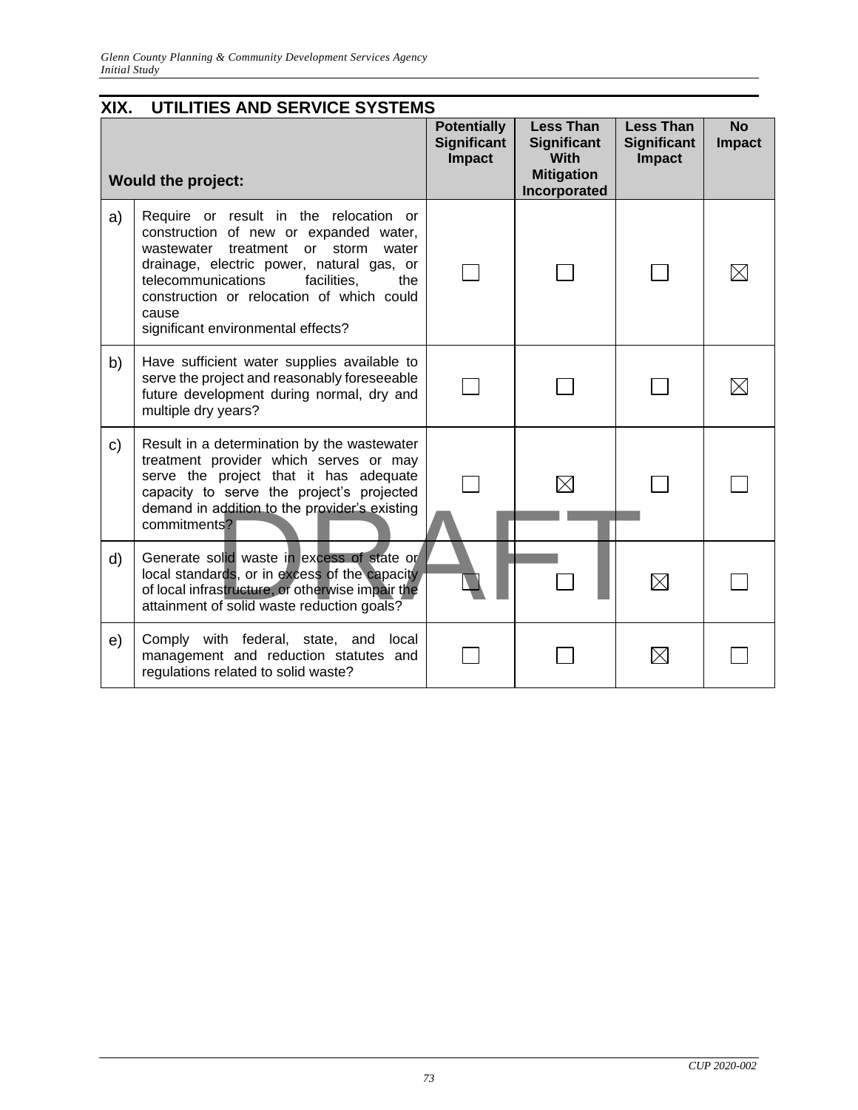| XIX.<br>UTILITIES AND SERVICE SYSTEMS |                                                                                                                                                                                                                                                                                                                 |                                                           |                                                                                            |                                                         |                            |  |  |  |
|---------------------------------------|-----------------------------------------------------------------------------------------------------------------------------------------------------------------------------------------------------------------------------------------------------------------------------------------------------------------|-----------------------------------------------------------|--------------------------------------------------------------------------------------------|---------------------------------------------------------|----------------------------|--|--|--|
| <b>Would the project:</b>             |                                                                                                                                                                                                                                                                                                                 | <b>Potentially</b><br><b>Significant</b><br><b>Impact</b> | <b>Less Than</b><br><b>Significant</b><br><b>With</b><br><b>Mitigation</b><br>Incorporated | <b>Less Than</b><br><b>Significant</b><br><b>Impact</b> | <b>No</b><br><b>Impact</b> |  |  |  |
| a)                                    | Require or result in the relocation or<br>construction of new or expanded water,<br>wastewater treatment or storm<br>water<br>drainage, electric power, natural gas, or<br>telecommunications<br>facilities.<br>the<br>construction or relocation of which could<br>cause<br>significant environmental effects? |                                                           |                                                                                            |                                                         |                            |  |  |  |
| b)                                    | Have sufficient water supplies available to<br>serve the project and reasonably foreseeable<br>future development during normal, dry and<br>multiple dry years?                                                                                                                                                 |                                                           |                                                                                            |                                                         |                            |  |  |  |
| C)                                    | Result in a determination by the wastewater<br>treatment provider which serves or may<br>serve the project that it has adequate<br>capacity to serve the project's projected<br>demand in addition to the provider's existing<br>commitments?                                                                   |                                                           |                                                                                            |                                                         |                            |  |  |  |
| d)                                    | Generate solid waste in excess of state or<br>local standards, or in excess of the capacity<br>of local infrastructure, or otherwise impair the<br>attainment of solid waste reduction goals?                                                                                                                   |                                                           |                                                                                            |                                                         |                            |  |  |  |
| e)                                    | Comply with federal, state, and<br>local<br>management and reduction statutes and<br>regulations related to solid waste?                                                                                                                                                                                        |                                                           |                                                                                            | $\times$                                                |                            |  |  |  |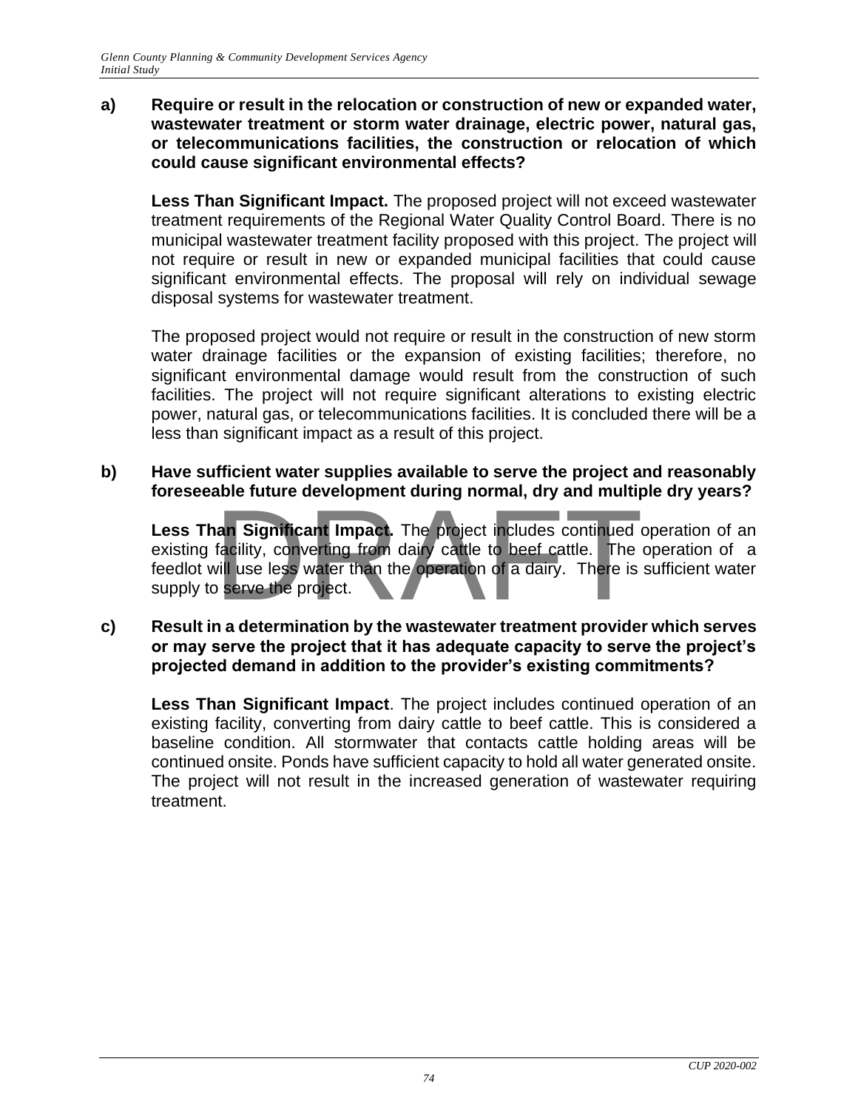### **a) Require or result in the relocation or construction of new or expanded water, wastewater treatment or storm water drainage, electric power, natural gas, or telecommunications facilities, the construction or relocation of which could cause significant environmental effects?**

**Less Than Significant Impact.** The proposed project will not exceed wastewater treatment requirements of the Regional Water Quality Control Board. There is no municipal wastewater treatment facility proposed with this project. The project will not require or result in new or expanded municipal facilities that could cause significant environmental effects. The proposal will rely on individual sewage disposal systems for wastewater treatment.

The proposed project would not require or result in the construction of new storm water drainage facilities or the expansion of existing facilities; therefore, no significant environmental damage would result from the construction of such facilities. The project will not require significant alterations to existing electric power, natural gas, or telecommunications facilities. It is concluded there will be a less than significant impact as a result of this project.

### **b) Have sufficient water supplies available to serve the project and reasonably foreseeable future development during normal, dry and multiple dry years?**

**Less Than Significant Impact.** The project includes continued operation of an existing facility, converting from dairy cattle to beef cattle. The operation of a feedlot will use less water than the operation of a dairy. There is sufficient water supply to serve the project. an Significant Impact. The project includes continued of facility, converting from dairy cattle to beef cattle. The vill use less water than the operation of a dairy. There is serve the project.

### **c) Result in a determination by the wastewater treatment provider which serves or may serve the project that it has adequate capacity to serve the project's projected demand in addition to the provider's existing commitments?**

**Less Than Significant Impact**. The project includes continued operation of an existing facility, converting from dairy cattle to beef cattle. This is considered a baseline condition. All stormwater that contacts cattle holding areas will be continued onsite. Ponds have sufficient capacity to hold all water generated onsite. The project will not result in the increased generation of wastewater requiring treatment.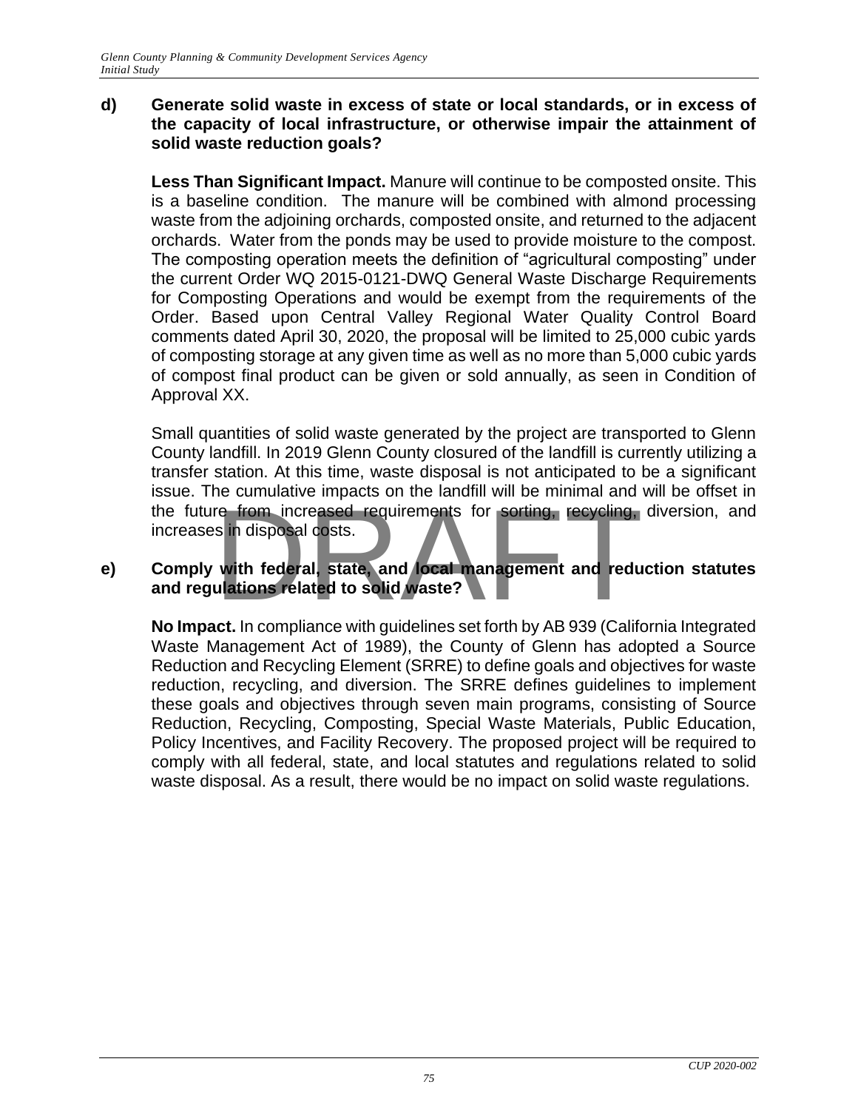### **d) Generate solid waste in excess of state or local standards, or in excess of the capacity of local infrastructure, or otherwise impair the attainment of solid waste reduction goals?**

**Less Than Significant Impact.** Manure will continue to be composted onsite. This is a baseline condition. The manure will be combined with almond processing waste from the adjoining orchards, composted onsite, and returned to the adjacent orchards. Water from the ponds may be used to provide moisture to the compost. The composting operation meets the definition of "agricultural composting" under the current Order WQ 2015-0121-DWQ General Waste Discharge Requirements for Composting Operations and would be exempt from the requirements of the Order. Based upon Central Valley Regional Water Quality Control Board comments dated April 30, 2020, the proposal will be limited to 25,000 cubic yards of composting storage at any given time as well as no more than 5,000 cubic yards of compost final product can be given or sold annually, as seen in Condition of Approval XX.

Small quantities of solid waste generated by the project are transported to Glenn County landfill. In 2019 Glenn County closured of the landfill is currently utilizing a transfer station. At this time, waste disposal is not anticipated to be a significant issue. The cumulative impacts on the landfill will be minimal and will be offset in the future from increased requirements for sorting, recycling, diversion, and increases in disposal costs. The standard in place of the landard will be minimized and<br>the disposal costs.<br>with federal, state, and local management and reduced<br>disposal costs.

### **e) Comply with federal, state, and local management and reduction statutes and regulations related to solid waste?**

**No Impact.** In compliance with guidelines set forth by AB 939 (California Integrated Waste Management Act of 1989), the County of Glenn has adopted a Source Reduction and Recycling Element (SRRE) to define goals and objectives for waste reduction, recycling, and diversion. The SRRE defines guidelines to implement these goals and objectives through seven main programs, consisting of Source Reduction, Recycling, Composting, Special Waste Materials, Public Education, Policy Incentives, and Facility Recovery. The proposed project will be required to comply with all federal, state, and local statutes and regulations related to solid waste disposal. As a result, there would be no impact on solid waste regulations.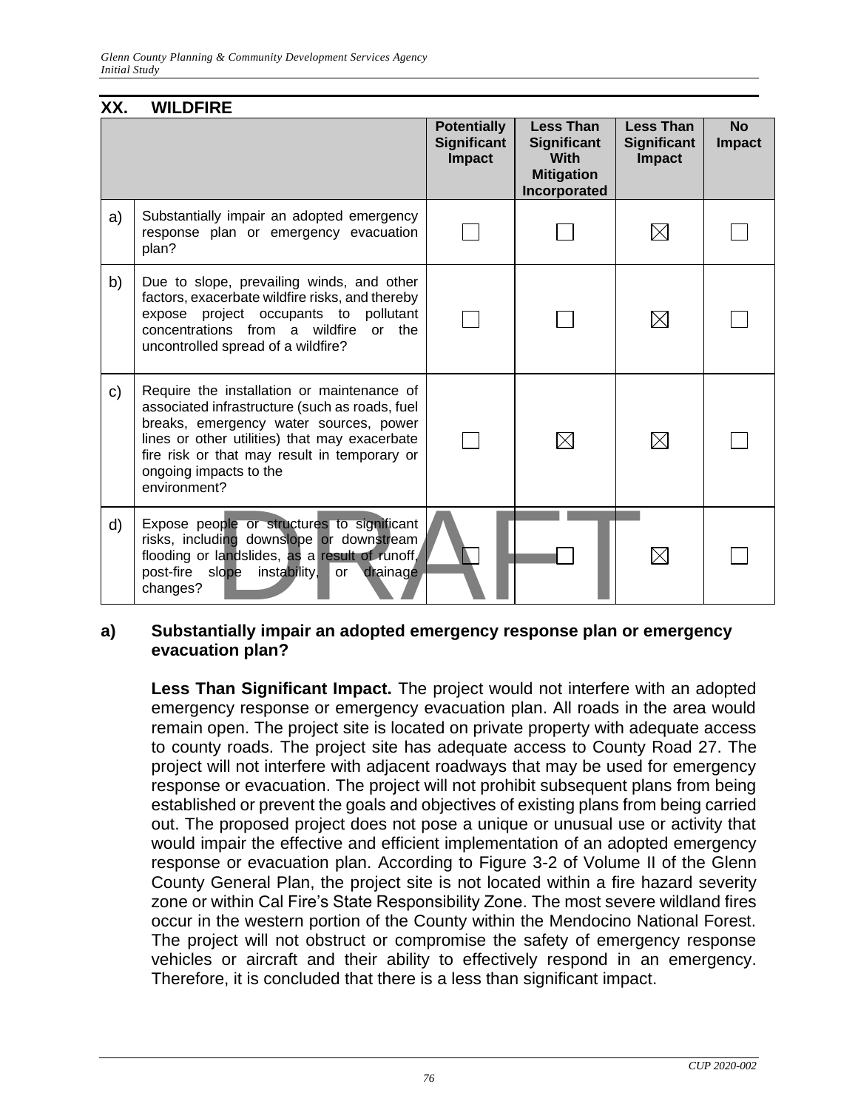| <b>Less Than</b><br><b>Significant</b><br><b>With</b><br><b>Mitigation</b><br>Incorporated | <b>Less Than</b><br><b>Significant</b><br>Impact | <b>No</b><br><b>Impact</b> |
|--------------------------------------------------------------------------------------------|--------------------------------------------------|----------------------------|
|                                                                                            |                                                  |                            |
|                                                                                            | $\boxtimes$                                      |                            |
|                                                                                            | $\boxtimes$                                      |                            |
|                                                                                            | $\boxtimes$                                      |                            |
|                                                                                            | $\boxtimes$                                      |                            |
|                                                                                            |                                                  |                            |

### **a) Substantially impair an adopted emergency response plan or emergency evacuation plan?**

**Less Than Significant Impact.** The project would not interfere with an adopted emergency response or emergency evacuation plan. All roads in the area would remain open. The project site is located on private property with adequate access to county roads. The project site has adequate access to County Road 27. The project will not interfere with adjacent roadways that may be used for emergency response or evacuation. The project will not prohibit subsequent plans from being established or prevent the goals and objectives of existing plans from being carried out. The proposed project does not pose a unique or unusual use or activity that would impair the effective and efficient implementation of an adopted emergency response or evacuation plan. According to Figure 3-2 of Volume II of the Glenn County General Plan, the project site is not located within a fire hazard severity zone or within Cal Fire's State Responsibility Zone. The most severe wildland fires occur in the western portion of the County within the Mendocino National Forest. The project will not obstruct or compromise the safety of emergency response vehicles or aircraft and their ability to effectively respond in an emergency. Therefore, it is concluded that there is a less than significant impact.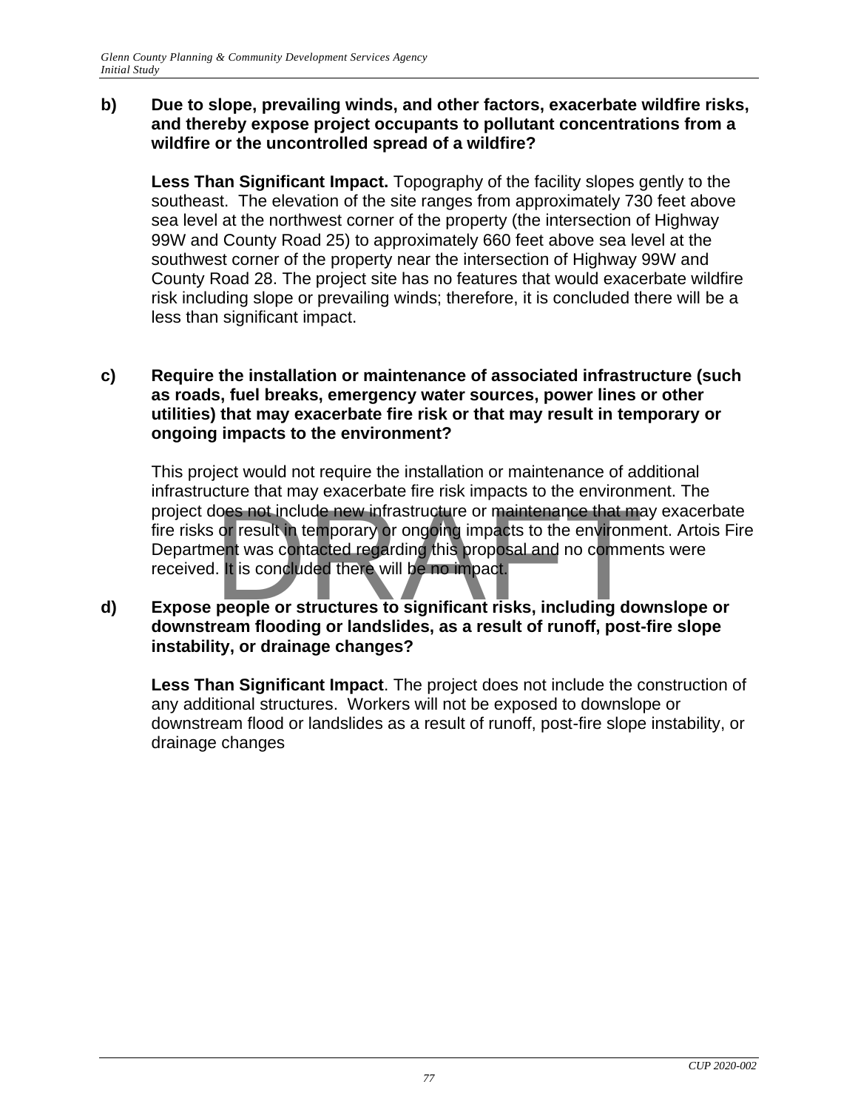### **b) Due to slope, prevailing winds, and other factors, exacerbate wildfire risks, and thereby expose project occupants to pollutant concentrations from a wildfire or the uncontrolled spread of a wildfire?**

**Less Than Significant Impact.** Topography of the facility slopes gently to the southeast. The elevation of the site ranges from approximately 730 feet above sea level at the northwest corner of the property (the intersection of Highway 99W and County Road 25) to approximately 660 feet above sea level at the southwest corner of the property near the intersection of Highway 99W and County Road 28. The project site has no features that would exacerbate wildfire risk including slope or prevailing winds; therefore, it is concluded there will be a less than significant impact.

### **c) Require the installation or maintenance of associated infrastructure (such as roads, fuel breaks, emergency water sources, power lines or other utilities) that may exacerbate fire risk or that may result in temporary or ongoing impacts to the environment?**

This project would not require the installation or maintenance of additional infrastructure that may exacerbate fire risk impacts to the environment. The maculated that may exacerbate the new infrastructure or maintenance that may exacerbate<br>fire risks or result in temporary or ongoing impacts to the environment. Artois Fire<br>Department was contacted regarding this proposal fire risks or result in temporary or ongoing impacts to the environment. Artois Fire Department was contacted regarding this proposal and no comments were received. It is concluded there will be no impact.

### **d) Expose people or structures to significant risks, including downslope or downstream flooding or landslides, as a result of runoff, post-fire slope instability, or drainage changes?**

**Less Than Significant Impact**. The project does not include the construction of any additional structures. Workers will not be exposed to downslope or downstream flood or landslides as a result of runoff, post-fire slope instability, or drainage changes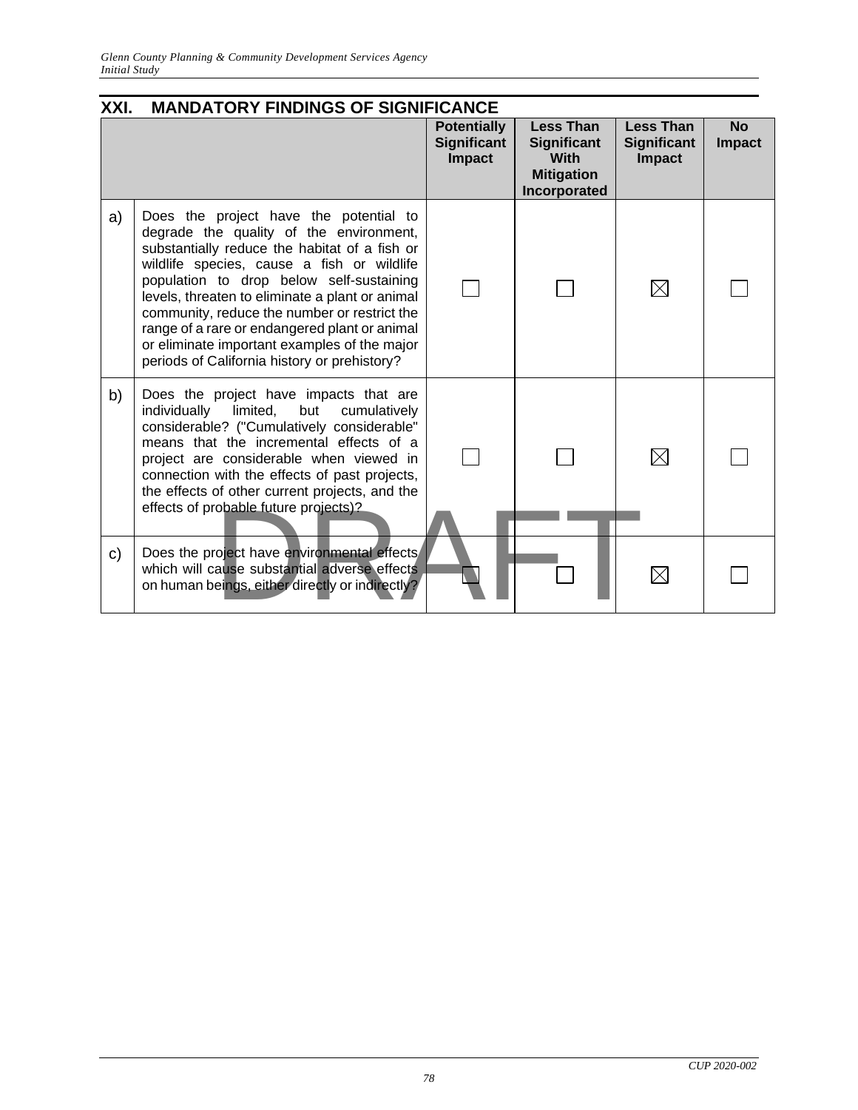| XXI.<br><b>MANDATORY FINDINGS OF SIGNIFICANCE</b> |                                                                                                                                                                                                                                                                                                                                                                                                                                                                                  |                                                           |                                                                                     |                                                         |                            |  |  |  |
|---------------------------------------------------|----------------------------------------------------------------------------------------------------------------------------------------------------------------------------------------------------------------------------------------------------------------------------------------------------------------------------------------------------------------------------------------------------------------------------------------------------------------------------------|-----------------------------------------------------------|-------------------------------------------------------------------------------------|---------------------------------------------------------|----------------------------|--|--|--|
|                                                   |                                                                                                                                                                                                                                                                                                                                                                                                                                                                                  | <b>Potentially</b><br><b>Significant</b><br><b>Impact</b> | <b>Less Than</b><br>Significant<br><b>With</b><br><b>Mitigation</b><br>Incorporated | <b>Less Than</b><br><b>Significant</b><br><b>Impact</b> | <b>No</b><br><b>Impact</b> |  |  |  |
| a)                                                | Does the project have the potential to<br>degrade the quality of the environment,<br>substantially reduce the habitat of a fish or<br>wildlife species, cause a fish or wildlife<br>population to drop below self-sustaining<br>levels, threaten to eliminate a plant or animal<br>community, reduce the number or restrict the<br>range of a rare or endangered plant or animal<br>or eliminate important examples of the major<br>periods of California history or prehistory? |                                                           |                                                                                     | $\boxtimes$                                             |                            |  |  |  |
| b)                                                | Does the project have impacts that are<br>individually<br>limited,<br>but<br>cumulatively<br>considerable? ("Cumulatively considerable"<br>means that the incremental effects of a<br>project are considerable when viewed in<br>connection with the effects of past projects,<br>the effects of other current projects, and the<br>effects of probable future projects)?                                                                                                        |                                                           |                                                                                     | $\boxtimes$                                             |                            |  |  |  |
| C)                                                | Does the project have environmental effects<br>which will cause substantial adverse effects<br>on human beings, either directly or indirectly?                                                                                                                                                                                                                                                                                                                                   |                                                           |                                                                                     | $\boxtimes$                                             |                            |  |  |  |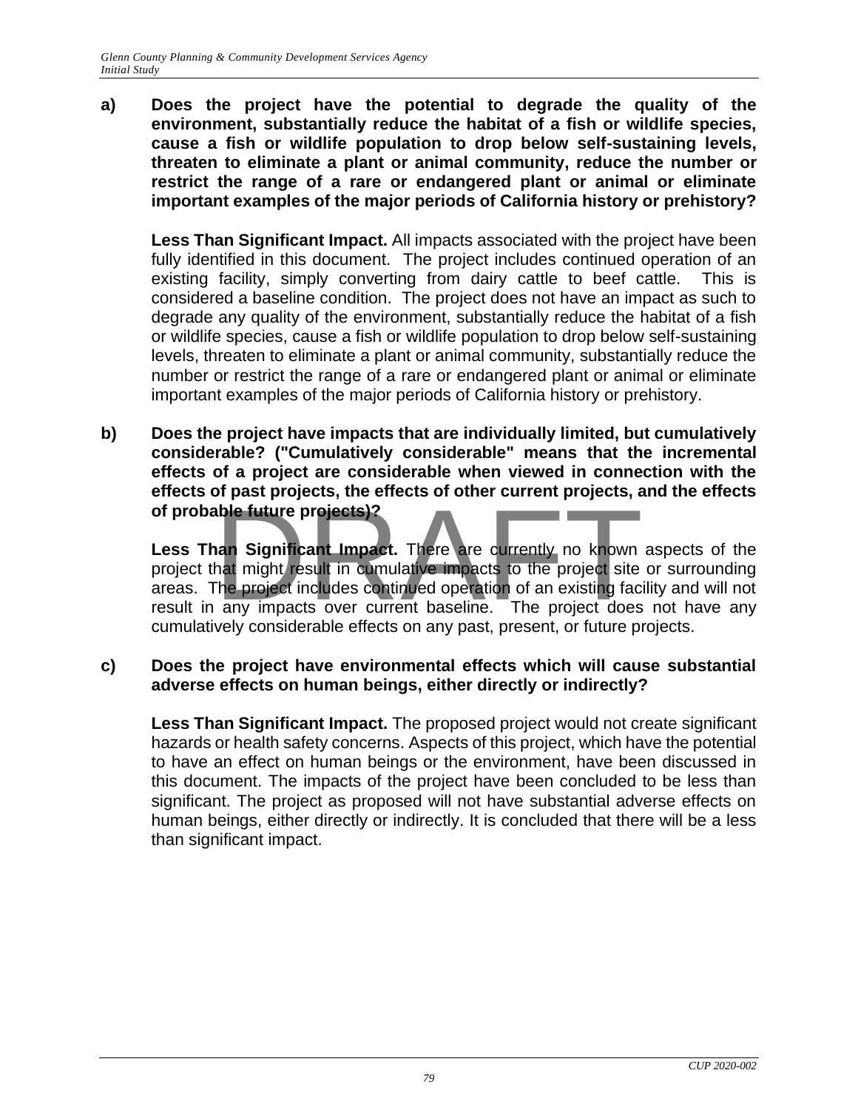**a) Does the project have the potential to degrade the quality of the environment, substantially reduce the habitat of a fish or wildlife species, cause a fish or wildlife population to drop below self-sustaining levels, threaten to eliminate a plant or animal community, reduce the number or restrict the range of a rare or endangered plant or animal or eliminate important examples of the major periods of California history or prehistory?**

**Less Than Significant Impact.** All impacts associated with the project have been fully identified in this document. The project includes continued operation of an existing facility, simply converting from dairy cattle to beef cattle. This is considered a baseline condition. The project does not have an impact as such to degrade any quality of the environment, substantially reduce the habitat of a fish or wildlife species, cause a fish or wildlife population to drop below self-sustaining levels, threaten to eliminate a plant or animal community, substantially reduce the number or restrict the range of a rare or endangered plant or animal or eliminate important examples of the major periods of California history or prehistory.

**b) Does the project have impacts that are individually limited, but cumulatively considerable? ("Cumulatively considerable" means that the incremental effects of a project are considerable when viewed in connection with the effects of past projects, the effects of other current projects, and the effects of probable future projects)?**

Less Than Significant Impact. There are currently no known aspects of the project that might result in cumulative impacts to the project site or surrounding areas. The project includes continued operation of an existing facility and will not Frequency of probable future projects)?<br>Less Than Significant Impact. There are currently no known aspects of the<br>project that might result in cumulative impacts to the project site or surrounding<br>areas. The project includ cumulatively considerable effects on any past, present, or future projects.

### **c) Does the project have environmental effects which will cause substantial adverse effects on human beings, either directly or indirectly?**

**Less Than Significant Impact.** The proposed project would not create significant hazards or health safety concerns. Aspects of this project, which have the potential to have an effect on human beings or the environment, have been discussed in this document. The impacts of the project have been concluded to be less than significant. The project as proposed will not have substantial adverse effects on human beings, either directly or indirectly. It is concluded that there will be a less than significant impact.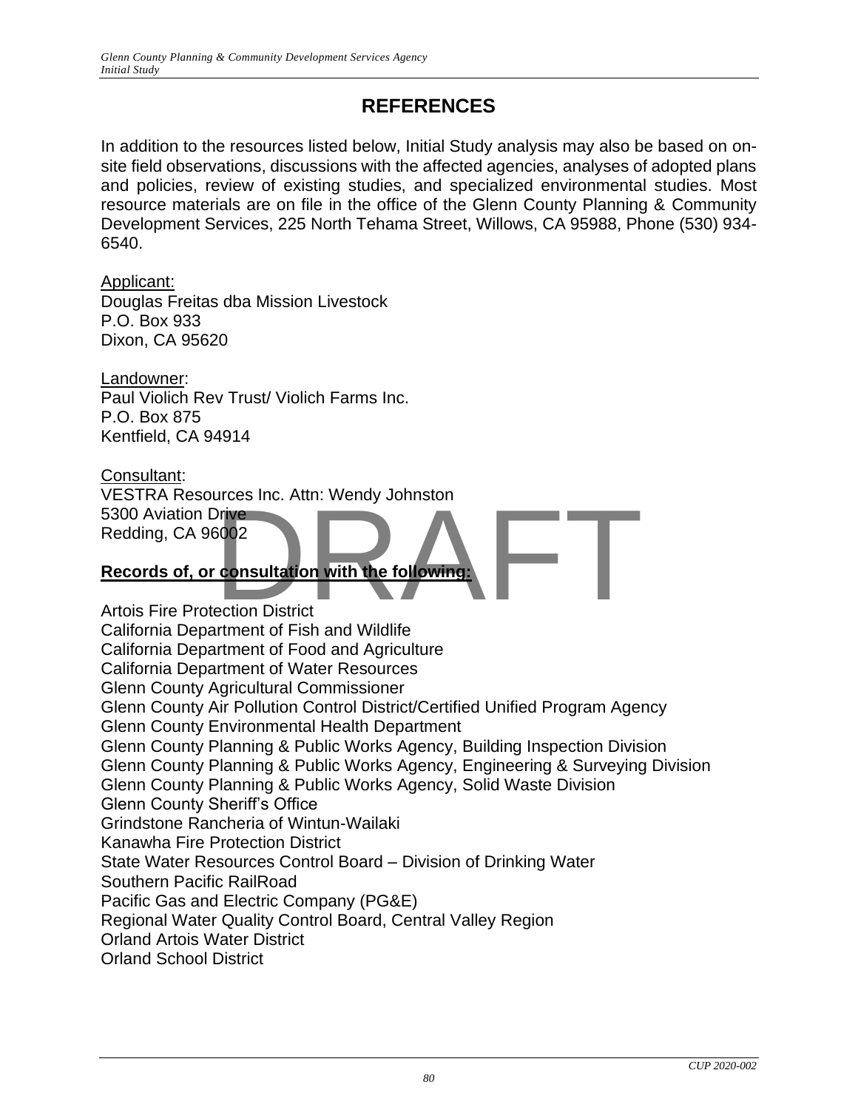# **REFERENCES**

In addition to the resources listed below, Initial Study analysis may also be based on onsite field observations, discussions with the affected agencies, analyses of adopted plans and policies, review of existing studies, and specialized environmental studies. Most resource materials are on file in the office of the Glenn County Planning & Community Development Services, 225 North Tehama Street, Willows, CA 95988, Phone (530) 934- 6540.

Applicant: Douglas Freitas dba Mission Livestock P.O. Box 933

Dixon, CA 95620

Landowner: Paul Violich Rev Trust/ Violich Farms Inc. P.O. Box 875 Kentfield, CA 94914

Consultant: VESTRA Resources Inc. Attn: Wendy Johnston 5300 Aviation Drive Redding, CA 96002 Drive<br>
S002<br>
consultation with the following:<br>
ection District

## **Records of, or consultation with the following:**

Artois Fire Protection District California Department of Fish and Wildlife California Department of Food and Agriculture California Department of Water Resources Glenn County Agricultural Commissioner Glenn County Air Pollution Control District/Certified Unified Program Agency Glenn County Environmental Health Department Glenn County Planning & Public Works Agency, Building Inspection Division Glenn County Planning & Public Works Agency, Engineering & Surveying Division Glenn County Planning & Public Works Agency, Solid Waste Division Glenn County Sheriff's Office Grindstone Rancheria of Wintun-Wailaki Kanawha Fire Protection District State Water Resources Control Board – Division of Drinking Water Southern Pacific RailRoad Pacific Gas and Electric Company (PG&E) Regional Water Quality Control Board, Central Valley Region Orland Artois Water District Orland School District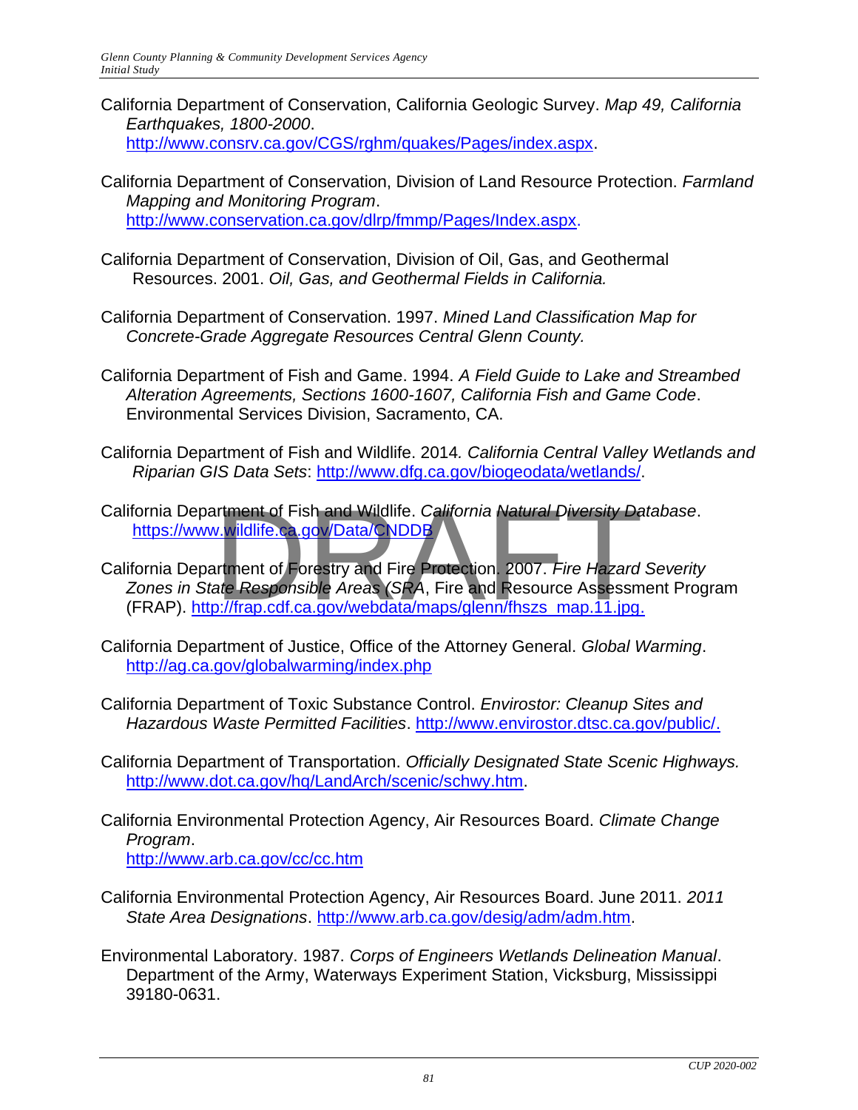- California Department of Conservation, California Geologic Survey. *Map 49, California Earthquakes, 1800-2000*. [http://www.consrv.ca.gov/CGS/rghm/quakes/Pages/index.aspx.](http://www.consrv.ca.gov/CGS/rghm/quakes/Pages/index.aspx)
- California Department of Conservation, Division of Land Resource Protection. *Farmland Mapping and Monitoring Program*. [http://www.conservation.ca.gov/dlrp/fmmp/Pages/Index.aspx.](http://www.conservation.ca.gov/dlrp/fmmp/Pages/Index.aspx)
- California Department of Conservation, Division of Oil, Gas, and Geothermal Resources. 2001. *Oil, Gas, and Geothermal Fields in California.*
- California Department of Conservation. 1997. *Mined Land Classification Map for Concrete-Grade Aggregate Resources Central Glenn County.*
- California Department of Fish and Game. 1994. *A Field Guide to Lake and Streambed Alteration Agreements, Sections 1600-1607, California Fish and Game Code*. Environmental Services Division, Sacramento, CA.
- California Department of Fish and Wildlife. 2014*. California Central Valley Wetlands and Riparian GIS Data Sets*: [http://www.dfg.ca.gov/biogeodata/wetlands/.](http://www.dfg.ca.gov/biogeodata/wetlands/)
- California Department of Fish and Wildlife. *California Natural Diversity Database*. <https://www.wildlife.ca.gov/Data/CNDDB>
- California Department of Forestry and Fire Protection. 2007. *Fire Hazard Severity Zones in State Responsible Areas (SRA*, Fire and Resource Assessment Program (FRAP). http://frap.cdf.ca.gov/webdata/maps/glenn/fhszs\_map.11.jpg. rtment of Fish and Wildlife. *Ca*lifornia Natural Diversity Day.<br>V.w<mark>ildlife.ca.gov/Data/CNDDB</mark><br>Intment of Forestry and Fire Protection. 2007. *Fire Hazard*<br>ate Responsible Areas (SRA, Fire and Resource Assessm<br>D.//frap.cd
- California Department of Justice, Office of the Attorney General. *Global Warming*. <http://ag.ca.gov/globalwarming/index.php>
- California Department of Toxic Substance Control. *Envirostor: Cleanup Sites and Hazardous Waste Permitted Facilities*. [http://www.envirostor.dtsc.ca.gov/public/.](http://www.envirostor.dtsc.ca.gov/public/)
- California Department of Transportation. *Officially Designated State Scenic Highways.* [http://www.dot.ca.gov/hq/LandArch/scenic/schwy.htm.](http://www.dot.ca.gov/hq/LandArch/scenic/schwy.htm)
- California Environmental Protection Agency, Air Resources Board. *Climate Change Program*. <http://www.arb.ca.gov/cc/cc.htm>
- California Environmental Protection Agency, Air Resources Board. June 2011. *2011 State Area Designations*. [http://www.arb.ca.gov/desig/adm/adm.htm.](http://www.arb.ca.gov/desig/adm/adm.htm)
- Environmental Laboratory. 1987. *Corps of Engineers Wetlands Delineation Manual*. Department of the Army, Waterways Experiment Station, Vicksburg, Mississippi 39180-0631.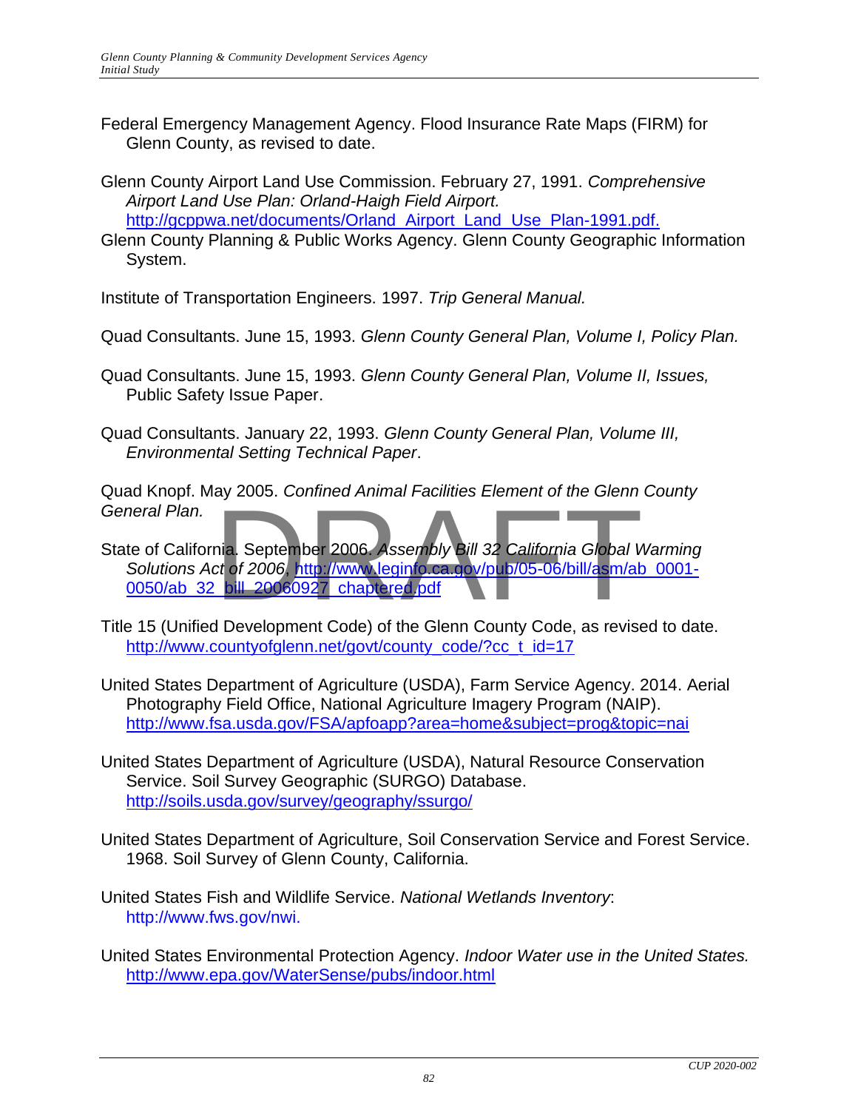- Federal Emergency Management Agency. Flood Insurance Rate Maps (FIRM) for Glenn County, as revised to date.
- Glenn County Airport Land Use Commission. February 27, 1991. *Comprehensive Airport Land Use Plan: Orland-Haigh Field Airport.*  http://gcppwa.net/documents/Orland Airport Land Use Plan-1991.pdf.
- Glenn County Planning & Public Works Agency. Glenn County Geographic Information System.

Institute of Transportation Engineers. 1997. *Trip General Manual.* 

- Quad Consultants. June 15, 1993. *Glenn County General Plan, Volume I, Policy Plan.*
- Quad Consultants. June 15, 1993. *Glenn County General Plan, Volume II, Issues,*  Public Safety Issue Paper.
- Quad Consultants. January 22, 1993. *Glenn County General Plan, Volume III, Environmental Setting Technical Paper*.

Quad Knopf. May 2005. *Confined Animal Facilities Element of the Glenn County General Plan.* 

- State of California. September 2006. *Assembly Bill 32 California Global Warming Solutions Act of 2006*, [http://www.leginfo.ca.gov/pub/05-06/bill/asm/ab\\_0001-](http://www.leginfo.ca.gov/pub/05-06/bill/asm/ab_0001-0050/ab_32_bill_20060927_chaptered.pdf) [0050/ab\\_32\\_bill\\_20060927\\_chaptered.pdf](http://www.leginfo.ca.gov/pub/05-06/bill/asm/ab_0001-0050/ab_32_bill_20060927_chaptered.pdf) nia. September 2006. Assembly Bill 32 California Global V<br>Ct of 2006, http://www.leginfo.ca.gov/pub/05-06/bill/asm/ab<br>bill 20060927 chaptered.pdf
- Title 15 (Unified Development Code) of the Glenn County Code, as revised to date. [http://www.countyofglenn.net/govt/county\\_code/?cc\\_t\\_id=17](http://www.countyofglenn.net/govt/county_code/?cc_t_id=17)
- United States Department of Agriculture (USDA), Farm Service Agency. 2014. Aerial Photography Field Office, National Agriculture Imagery Program (NAIP). <http://www.fsa.usda.gov/FSA/apfoapp?area=home&subject=prog&topic=nai>
- United States Department of Agriculture (USDA), Natural Resource Conservation Service. Soil Survey Geographic (SURGO) Database. <http://soils.usda.gov/survey/geography/ssurgo/>
- United States Department of Agriculture, Soil Conservation Service and Forest Service. 1968. Soil Survey of Glenn County, California.
- United States Fish and Wildlife Service. *National Wetlands Inventory*: http://www.fws.gov/nwi.
- United States Environmental Protection Agency. *Indoor Water use in the United States.* <http://www.epa.gov/WaterSense/pubs/indoor.html>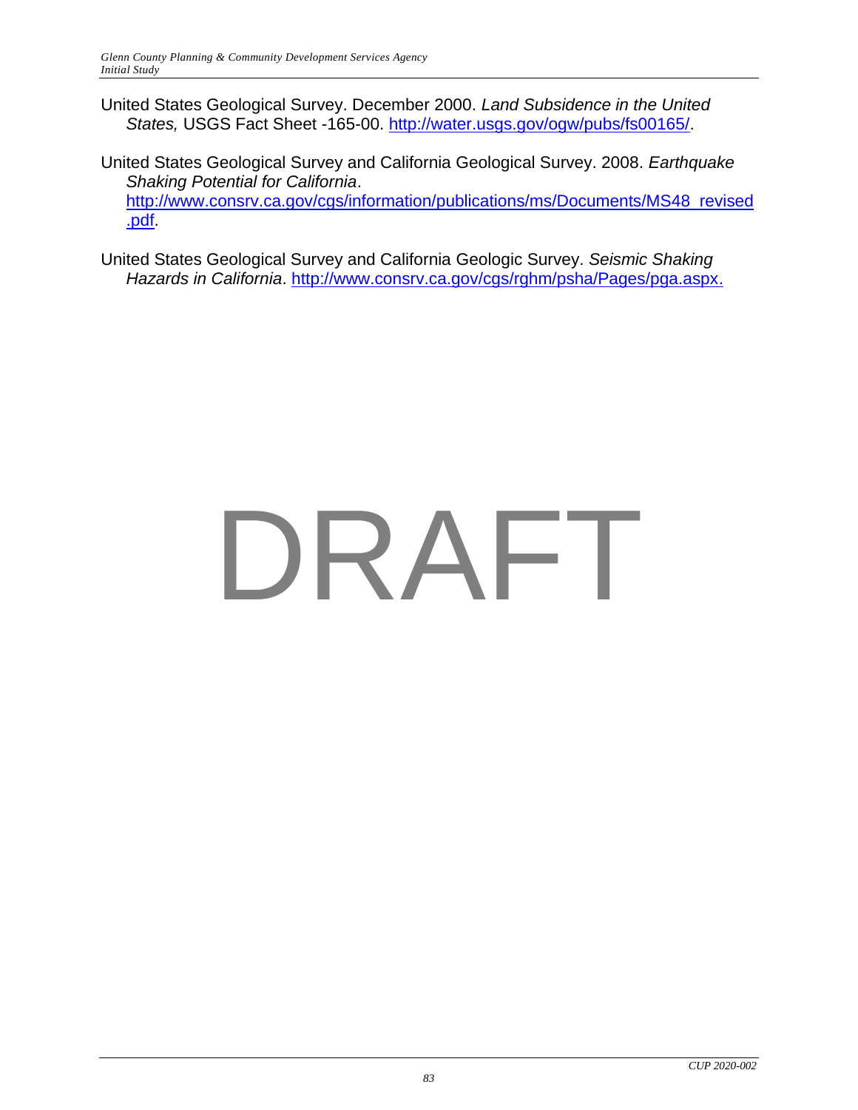United States Geological Survey. December 2000. *Land Subsidence in the United States,* USGS Fact Sheet -165-00. [http://water.usgs.gov/ogw/pubs/fs00165/.](http://water.usgs.gov/ogw/pubs/fs00165/)

United States Geological Survey and California Geological Survey. 2008. *Earthquake Shaking Potential for California*. [http://www.consrv.ca.gov/cgs/information/publications/ms/Documents/MS48\\_revised](http://www.consrv.ca.gov/cgs/information/publications/ms/Documents/MS48_revised.pdf) [.pdf.](http://www.consrv.ca.gov/cgs/information/publications/ms/Documents/MS48_revised.pdf)

United States Geological Survey and California Geologic Survey. *Seismic Shaking Hazards in California*. [http://www.consrv.ca.gov/cgs/rghm/psha/Pages/pga.aspx.](http://www.consrv.ca.gov/cgs/rghm/psha/Pages/pga.aspx)

# DRAFT